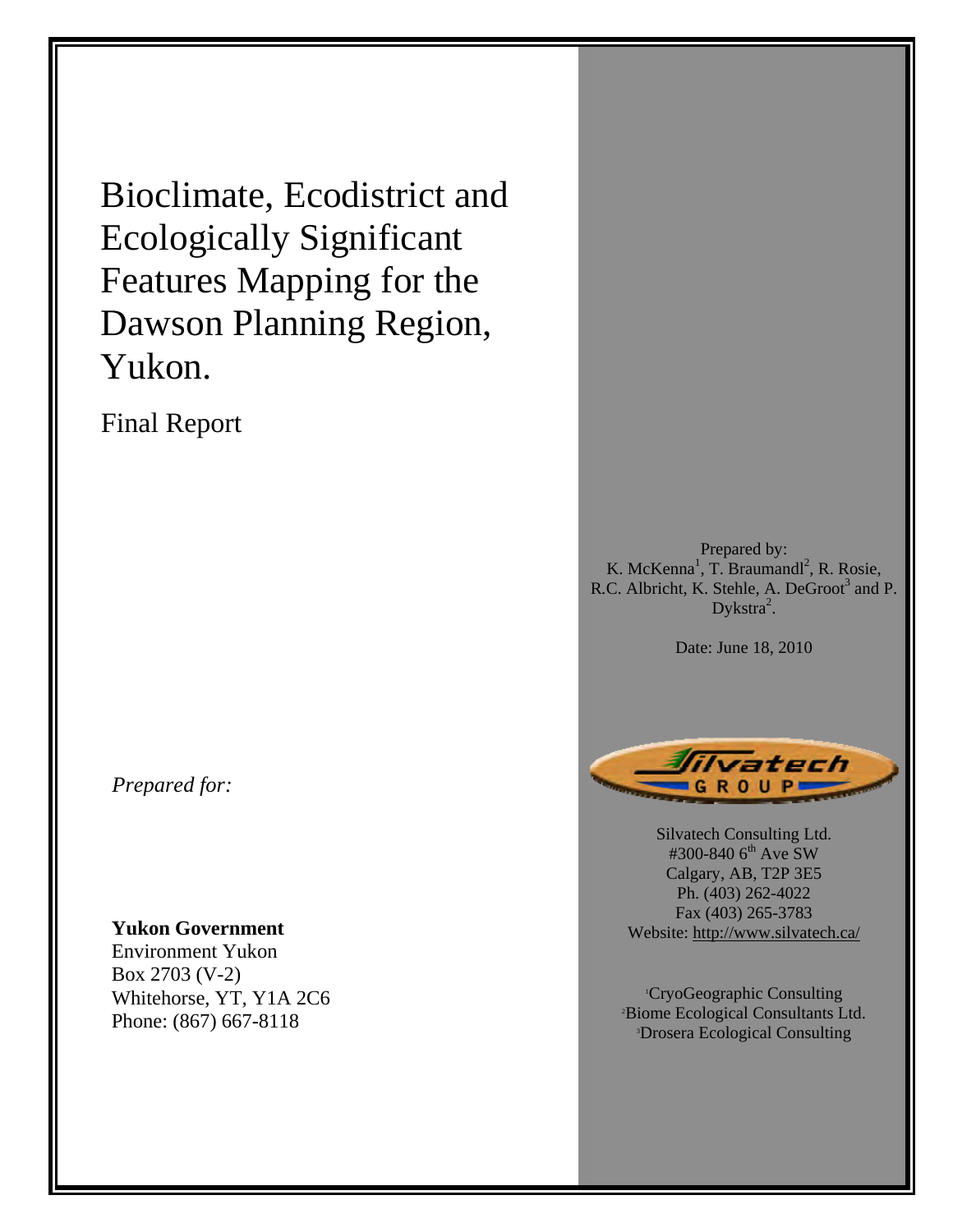Bioclimate, Ecodistrict and Ecologically Significant Features Mapping for the Dawson Planning Region, Yukon.

Final Report

*Prepared for:* 

**Yukon Government** 

Environment Yukon Box 2703 (V-2) Whitehorse, YT, Y1A 2C6 Phone: (867) 667-8118

Prepared by: K. McKenna<sup>1</sup>, T. Braumandl<sup>2</sup>, R. Rosie, R.C. Albricht, K. Stehle, A. DeGroot<sup>3</sup> and P. Dykstra<sup>2</sup>.

Date: June 18, 2010



Silvatech Consulting Ltd. #300-840 6<sup>th</sup> Ave SW Calgary, AB, T2P 3E5 Ph. (403) 262-4022 Fax (403) 265-3783 Website: http://www.silvatech.ca/

<sup>1</sup>CryoGeographic Consulting<br><sup>2</sup>Riome Ecological Consultants I Biome Ecological Consultants Ltd. 3 Drosera Ecological Consulting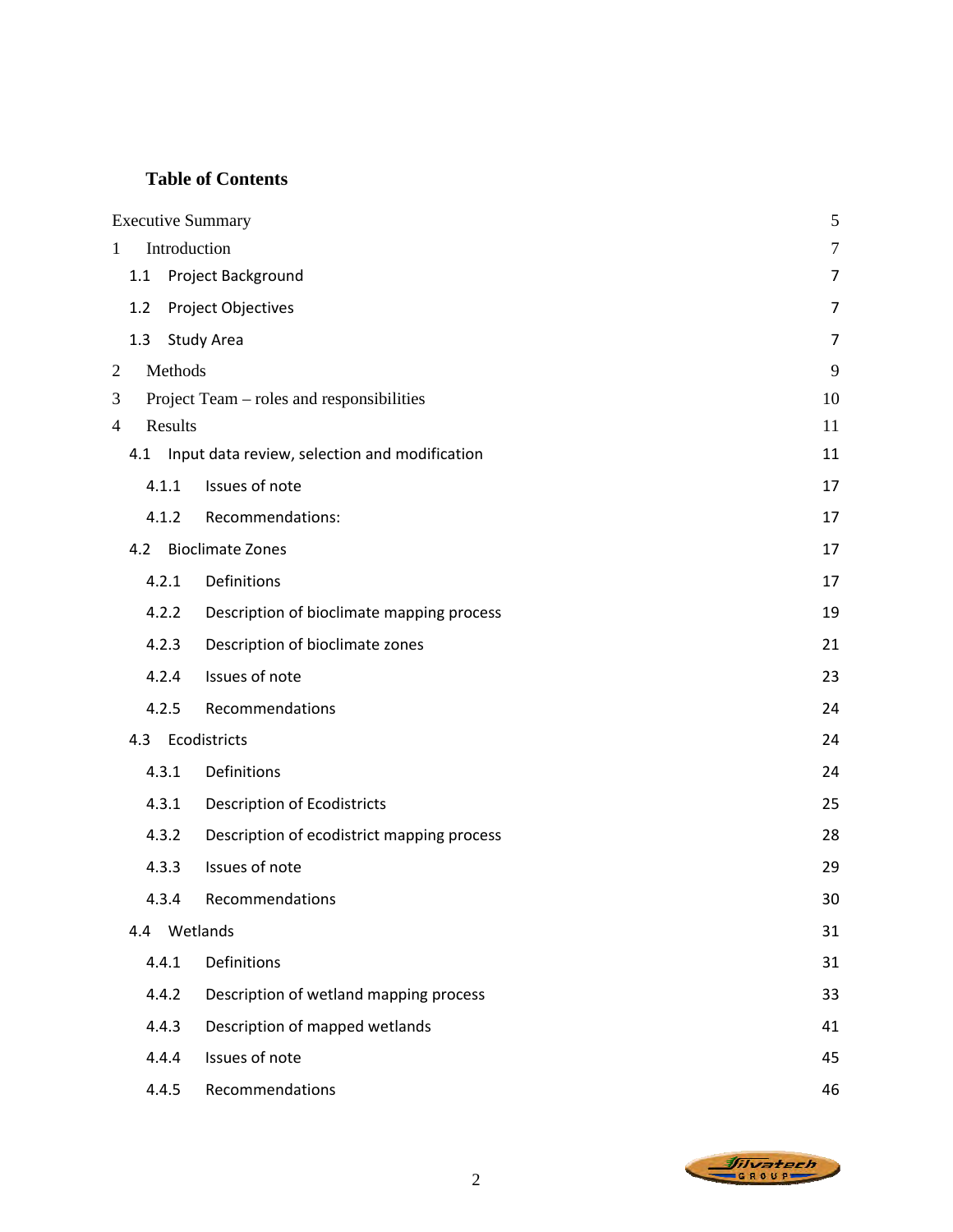# **Table of Contents**

|                |     |                    | <b>Executive Summary</b>                      | 5  |  |  |  |  |
|----------------|-----|--------------------|-----------------------------------------------|----|--|--|--|--|
| $\mathbf{1}$   |     | Introduction       |                                               |    |  |  |  |  |
|                | 1.1 | Project Background |                                               |    |  |  |  |  |
|                | 1.2 |                    | Project Objectives                            | 7  |  |  |  |  |
|                | 1.3 |                    | <b>Study Area</b>                             | 7  |  |  |  |  |
| $\overline{2}$ |     | Methods            |                                               | 9  |  |  |  |  |
| 3              |     |                    | Project Team – roles and responsibilities     | 10 |  |  |  |  |
| 4              |     | Results            |                                               | 11 |  |  |  |  |
|                | 4.1 |                    | Input data review, selection and modification | 11 |  |  |  |  |
|                |     | 4.1.1              | Issues of note                                | 17 |  |  |  |  |
|                |     | 4.1.2              | Recommendations:                              | 17 |  |  |  |  |
|                | 4.2 |                    | <b>Bioclimate Zones</b>                       | 17 |  |  |  |  |
|                |     | 4.2.1              | Definitions                                   | 17 |  |  |  |  |
|                |     | 4.2.2              | Description of bioclimate mapping process     | 19 |  |  |  |  |
|                |     | 4.2.3              | Description of bioclimate zones               | 21 |  |  |  |  |
|                |     | 4.2.4              | Issues of note                                | 23 |  |  |  |  |
|                |     | 4.2.5              | Recommendations                               | 24 |  |  |  |  |
|                | 4.3 |                    | Ecodistricts                                  | 24 |  |  |  |  |
|                |     | 4.3.1              | Definitions                                   | 24 |  |  |  |  |
|                |     | 4.3.1              | <b>Description of Ecodistricts</b>            | 25 |  |  |  |  |
|                |     | 4.3.2              | Description of ecodistrict mapping process    | 28 |  |  |  |  |
|                |     | 4.3.3              | Issues of note                                | 29 |  |  |  |  |
|                |     | 4.3.4              | Recommendations                               | 30 |  |  |  |  |
|                | 4.4 |                    | Wetlands                                      | 31 |  |  |  |  |
|                |     | 4.4.1              | Definitions                                   | 31 |  |  |  |  |
|                |     | 4.4.2              | Description of wetland mapping process        | 33 |  |  |  |  |
|                |     | 4.4.3              | Description of mapped wetlands                | 41 |  |  |  |  |
|                |     | 4.4.4              | Issues of note                                | 45 |  |  |  |  |
|                |     | 4.4.5              | Recommendations                               | 46 |  |  |  |  |

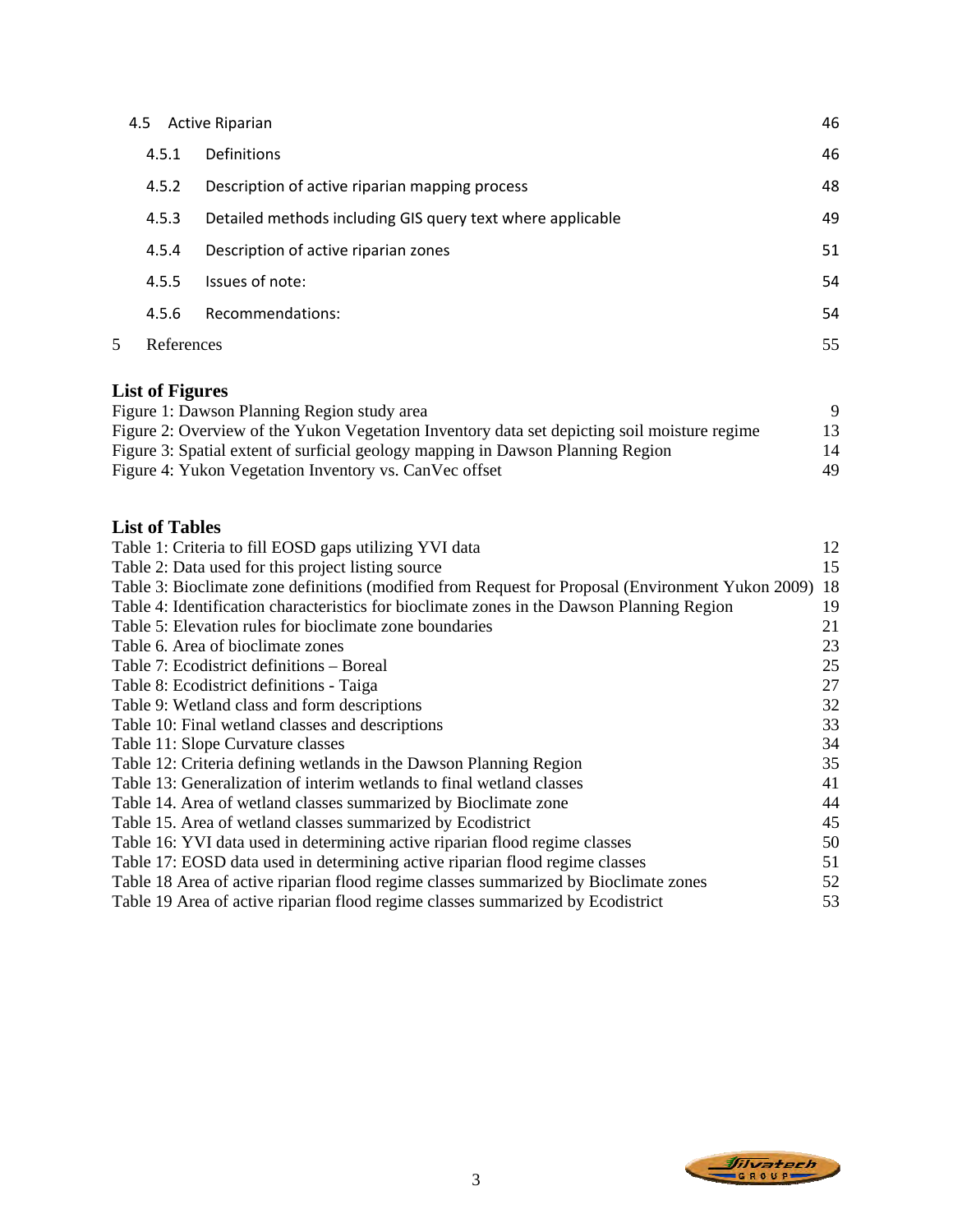|   | 4.5        | <b>Active Riparian</b>                                     | 46 |
|---|------------|------------------------------------------------------------|----|
|   | 4.5.1      | <b>Definitions</b>                                         | 46 |
|   | 4.5.2      | Description of active riparian mapping process             | 48 |
|   | 4.5.3      | Detailed methods including GIS query text where applicable | 49 |
|   | 4.5.4      | Description of active riparian zones                       | 51 |
|   | 4.5.5      | Issues of note:                                            | 54 |
|   | 4.5.6      | Recommendations:                                           | 54 |
| 5 | References |                                                            | 55 |

# **List of Figures**

| Figure 1: Dawson Planning Region study area                                                  |    |
|----------------------------------------------------------------------------------------------|----|
| Figure 2: Overview of the Yukon Vegetation Inventory data set depicting soil moisture regime | 13 |
| Figure 3: Spatial extent of surficial geology mapping in Dawson Planning Region              | 14 |
| Figure 4: Yukon Vegetation Inventory vs. Can Vec offset                                      | 49 |

# **List of Tables**

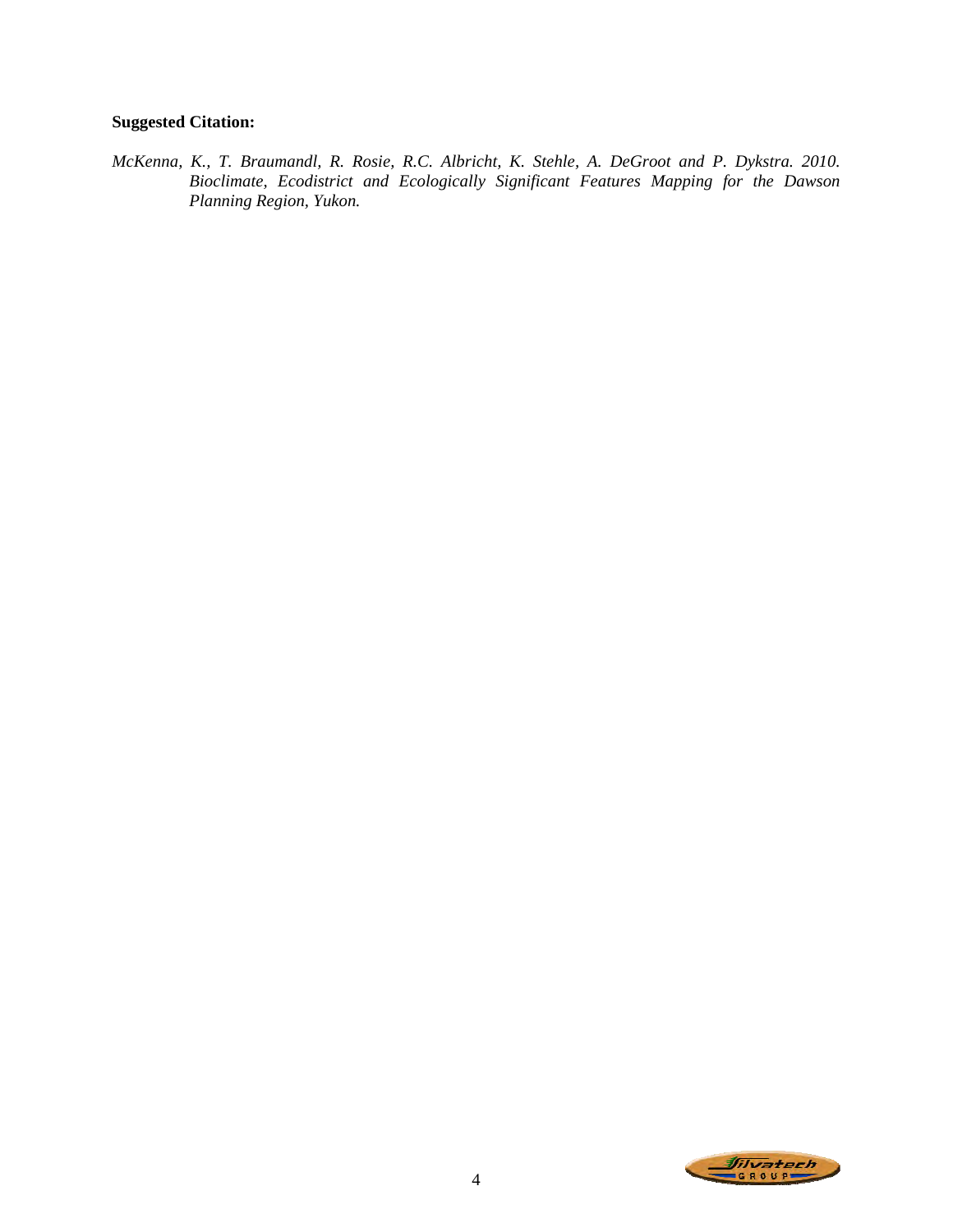# **Suggested Citation:**

*McKenna, K., T. Braumandl, R. Rosie, R.C. Albricht, K. Stehle, A. DeGroot and P. Dykstra. 2010. Bioclimate, Ecodistrict and Ecologically Significant Features Mapping for the Dawson Planning Region, Yukon.* 

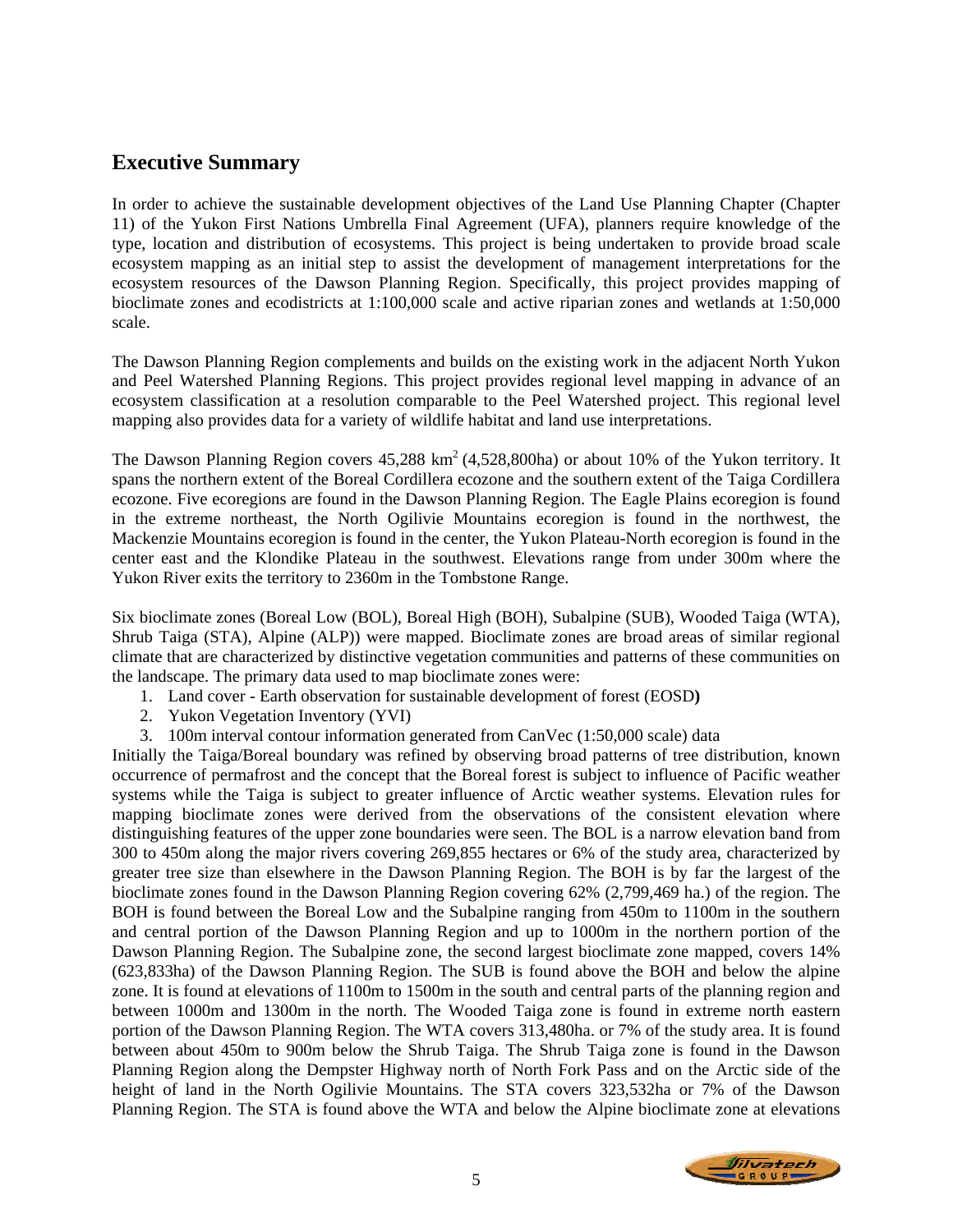# **Executive Summary**

In order to achieve the sustainable development objectives of the Land Use Planning Chapter (Chapter 11) of the Yukon First Nations Umbrella Final Agreement (UFA), planners require knowledge of the type, location and distribution of ecosystems. This project is being undertaken to provide broad scale ecosystem mapping as an initial step to assist the development of management interpretations for the ecosystem resources of the Dawson Planning Region. Specifically, this project provides mapping of bioclimate zones and ecodistricts at 1:100,000 scale and active riparian zones and wetlands at 1:50,000 scale.

The Dawson Planning Region complements and builds on the existing work in the adjacent North Yukon and Peel Watershed Planning Regions. This project provides regional level mapping in advance of an ecosystem classification at a resolution comparable to the Peel Watershed project. This regional level mapping also provides data for a variety of wildlife habitat and land use interpretations.

The Dawson Planning Region covers  $45,288 \text{ km}^2$  (4,528,800ha) or about 10% of the Yukon territory. It spans the northern extent of the Boreal Cordillera ecozone and the southern extent of the Taiga Cordillera ecozone. Five ecoregions are found in the Dawson Planning Region. The Eagle Plains ecoregion is found in the extreme northeast, the North Ogilivie Mountains ecoregion is found in the northwest, the Mackenzie Mountains ecoregion is found in the center, the Yukon Plateau-North ecoregion is found in the center east and the Klondike Plateau in the southwest. Elevations range from under 300m where the Yukon River exits the territory to 2360m in the Tombstone Range.

Six bioclimate zones (Boreal Low (BOL), Boreal High (BOH), Subalpine (SUB), Wooded Taiga (WTA), Shrub Taiga (STA), Alpine (ALP)) were mapped. Bioclimate zones are broad areas of similar regional climate that are characterized by distinctive vegetation communities and patterns of these communities on the landscape. The primary data used to map bioclimate zones were:

- 1. Land cover Earth observation for sustainable development of forest (EOSD**)**
- 2. Yukon Vegetation Inventory (YVI)
- 3. 100m interval contour information generated from CanVec (1:50,000 scale) data

Initially the Taiga/Boreal boundary was refined by observing broad patterns of tree distribution, known occurrence of permafrost and the concept that the Boreal forest is subject to influence of Pacific weather systems while the Taiga is subject to greater influence of Arctic weather systems. Elevation rules for mapping bioclimate zones were derived from the observations of the consistent elevation where distinguishing features of the upper zone boundaries were seen. The BOL is a narrow elevation band from 300 to 450m along the major rivers covering 269,855 hectares or 6% of the study area, characterized by greater tree size than elsewhere in the Dawson Planning Region. The BOH is by far the largest of the bioclimate zones found in the Dawson Planning Region covering 62% (2,799,469 ha.) of the region. The BOH is found between the Boreal Low and the Subalpine ranging from 450m to 1100m in the southern and central portion of the Dawson Planning Region and up to 1000m in the northern portion of the Dawson Planning Region. The Subalpine zone, the second largest bioclimate zone mapped, covers 14% (623,833ha) of the Dawson Planning Region. The SUB is found above the BOH and below the alpine zone. It is found at elevations of 1100m to 1500m in the south and central parts of the planning region and between 1000m and 1300m in the north. The Wooded Taiga zone is found in extreme north eastern portion of the Dawson Planning Region. The WTA covers 313,480ha. or 7% of the study area. It is found between about 450m to 900m below the Shrub Taiga. The Shrub Taiga zone is found in the Dawson Planning Region along the Dempster Highway north of North Fork Pass and on the Arctic side of the height of land in the North Ogilivie Mountains. The STA covers 323,532ha or 7% of the Dawson Planning Region. The STA is found above the WTA and below the Alpine bioclimate zone at elevations

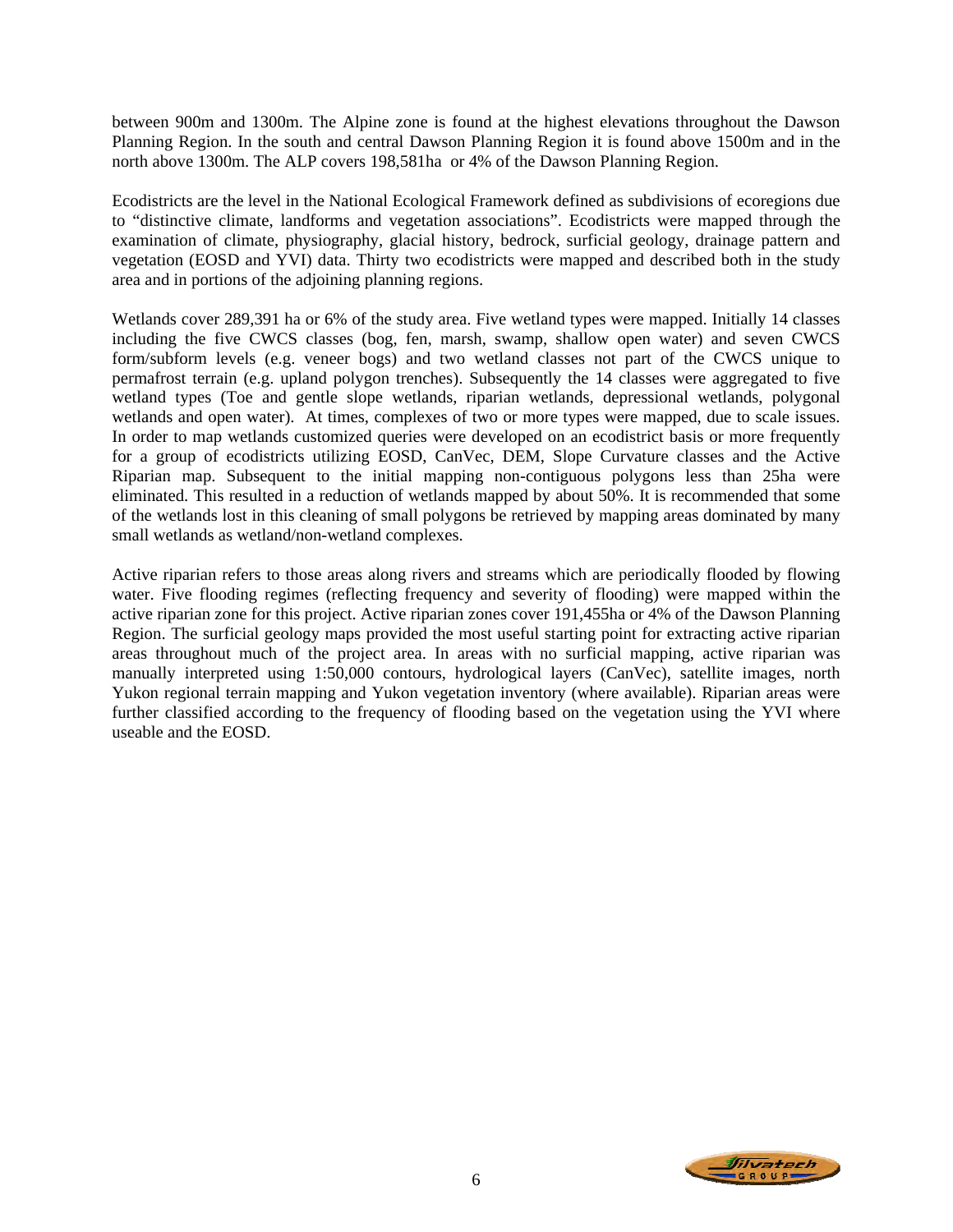between 900m and 1300m. The Alpine zone is found at the highest elevations throughout the Dawson Planning Region. In the south and central Dawson Planning Region it is found above 1500m and in the north above 1300m. The ALP covers 198,581ha or 4% of the Dawson Planning Region.

Ecodistricts are the level in the National Ecological Framework defined as subdivisions of ecoregions due to "distinctive climate, landforms and vegetation associations". Ecodistricts were mapped through the examination of climate, physiography, glacial history, bedrock, surficial geology, drainage pattern and vegetation (EOSD and YVI) data. Thirty two ecodistricts were mapped and described both in the study area and in portions of the adjoining planning regions.

Wetlands cover 289,391 ha or 6% of the study area. Five wetland types were mapped. Initially 14 classes including the five CWCS classes (bog, fen, marsh, swamp, shallow open water) and seven CWCS form/subform levels (e.g. veneer bogs) and two wetland classes not part of the CWCS unique to permafrost terrain (e.g. upland polygon trenches). Subsequently the 14 classes were aggregated to five wetland types (Toe and gentle slope wetlands, riparian wetlands, depressional wetlands, polygonal wetlands and open water). At times, complexes of two or more types were mapped, due to scale issues. In order to map wetlands customized queries were developed on an ecodistrict basis or more frequently for a group of ecodistricts utilizing EOSD, CanVec, DEM, Slope Curvature classes and the Active Riparian map. Subsequent to the initial mapping non-contiguous polygons less than 25ha were eliminated. This resulted in a reduction of wetlands mapped by about 50%. It is recommended that some of the wetlands lost in this cleaning of small polygons be retrieved by mapping areas dominated by many small wetlands as wetland/non-wetland complexes.

Active riparian refers to those areas along rivers and streams which are periodically flooded by flowing water. Five flooding regimes (reflecting frequency and severity of flooding) were mapped within the active riparian zone for this project. Active riparian zones cover 191,455ha or 4% of the Dawson Planning Region. The surficial geology maps provided the most useful starting point for extracting active riparian areas throughout much of the project area. In areas with no surficial mapping, active riparian was manually interpreted using 1:50,000 contours, hydrological layers (CanVec), satellite images, north Yukon regional terrain mapping and Yukon vegetation inventory (where available). Riparian areas were further classified according to the frequency of flooding based on the vegetation using the YVI where useable and the EOSD.

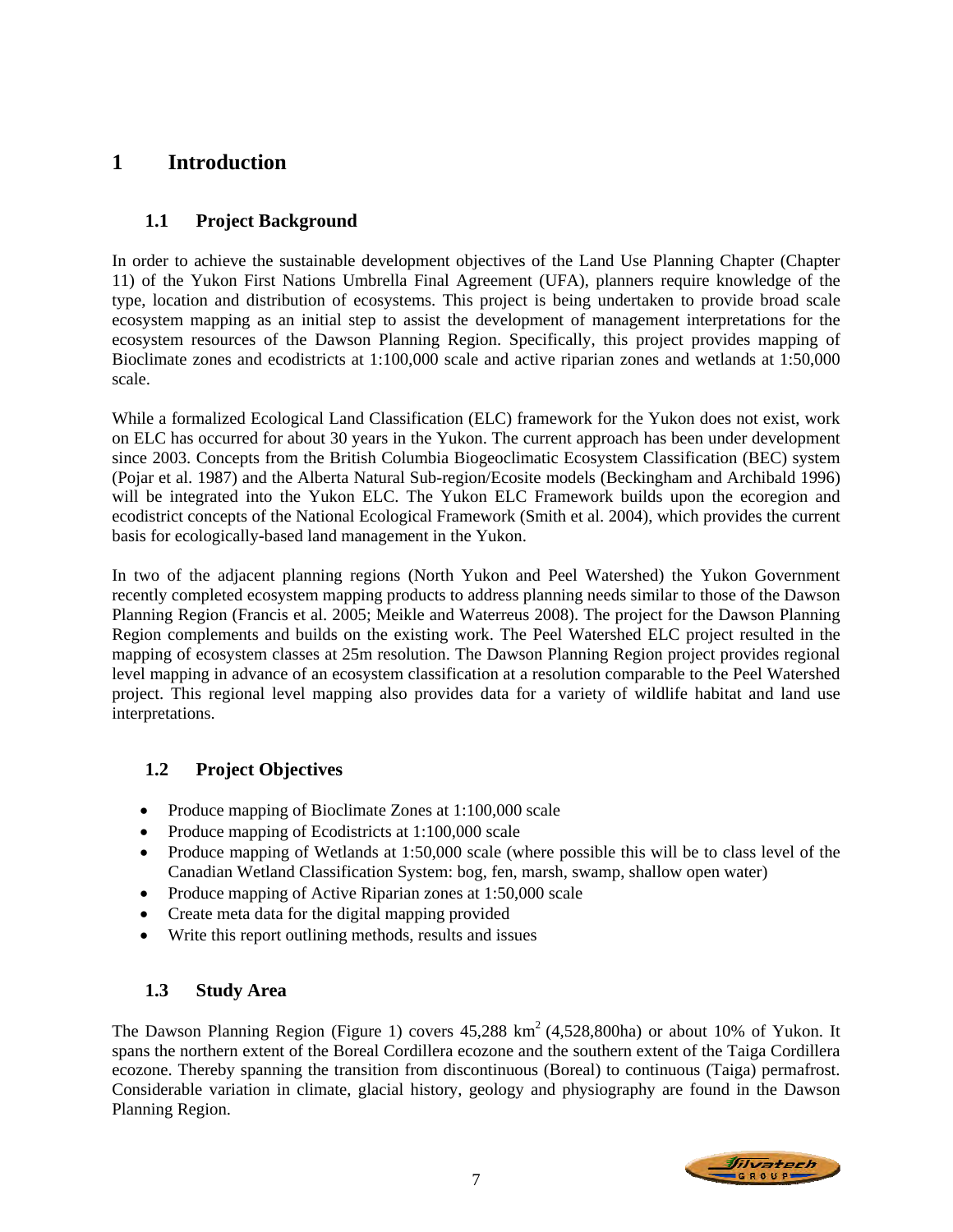# **1 Introduction**

# **1.1 Project Background**

In order to achieve the sustainable development objectives of the Land Use Planning Chapter (Chapter 11) of the Yukon First Nations Umbrella Final Agreement (UFA), planners require knowledge of the type, location and distribution of ecosystems. This project is being undertaken to provide broad scale ecosystem mapping as an initial step to assist the development of management interpretations for the ecosystem resources of the Dawson Planning Region. Specifically, this project provides mapping of Bioclimate zones and ecodistricts at 1:100,000 scale and active riparian zones and wetlands at 1:50,000 scale.

While a formalized Ecological Land Classification (ELC) framework for the Yukon does not exist, work on ELC has occurred for about 30 years in the Yukon. The current approach has been under development since 2003. Concepts from the British Columbia Biogeoclimatic Ecosystem Classification (BEC) system (Pojar et al. 1987) and the Alberta Natural Sub-region/Ecosite models (Beckingham and Archibald 1996) will be integrated into the Yukon ELC. The Yukon ELC Framework builds upon the ecoregion and ecodistrict concepts of the National Ecological Framework (Smith et al. 2004), which provides the current basis for ecologically-based land management in the Yukon.

In two of the adjacent planning regions (North Yukon and Peel Watershed) the Yukon Government recently completed ecosystem mapping products to address planning needs similar to those of the Dawson Planning Region (Francis et al. 2005; Meikle and Waterreus 2008). The project for the Dawson Planning Region complements and builds on the existing work. The Peel Watershed ELC project resulted in the mapping of ecosystem classes at 25m resolution. The Dawson Planning Region project provides regional level mapping in advance of an ecosystem classification at a resolution comparable to the Peel Watershed project. This regional level mapping also provides data for a variety of wildlife habitat and land use interpretations.

# **1.2 Project Objectives**

- Produce mapping of Bioclimate Zones at 1:100,000 scale
- Produce mapping of Ecodistricts at 1:100,000 scale
- Produce mapping of Wetlands at 1:50,000 scale (where possible this will be to class level of the Canadian Wetland Classification System: bog, fen, marsh, swamp, shallow open water)
- Produce mapping of Active Riparian zones at 1:50,000 scale
- Create meta data for the digital mapping provided
- Write this report outlining methods, results and issues

# **1.3 Study Area**

The Dawson Planning Region (Figure 1) covers 45,288 km<sup>2</sup> (4,528,800ha) or about 10% of Yukon. It spans the northern extent of the Boreal Cordillera ecozone and the southern extent of the Taiga Cordillera ecozone. Thereby spanning the transition from discontinuous (Boreal) to continuous (Taiga) permafrost. Considerable variation in climate, glacial history, geology and physiography are found in the Dawson Planning Region.

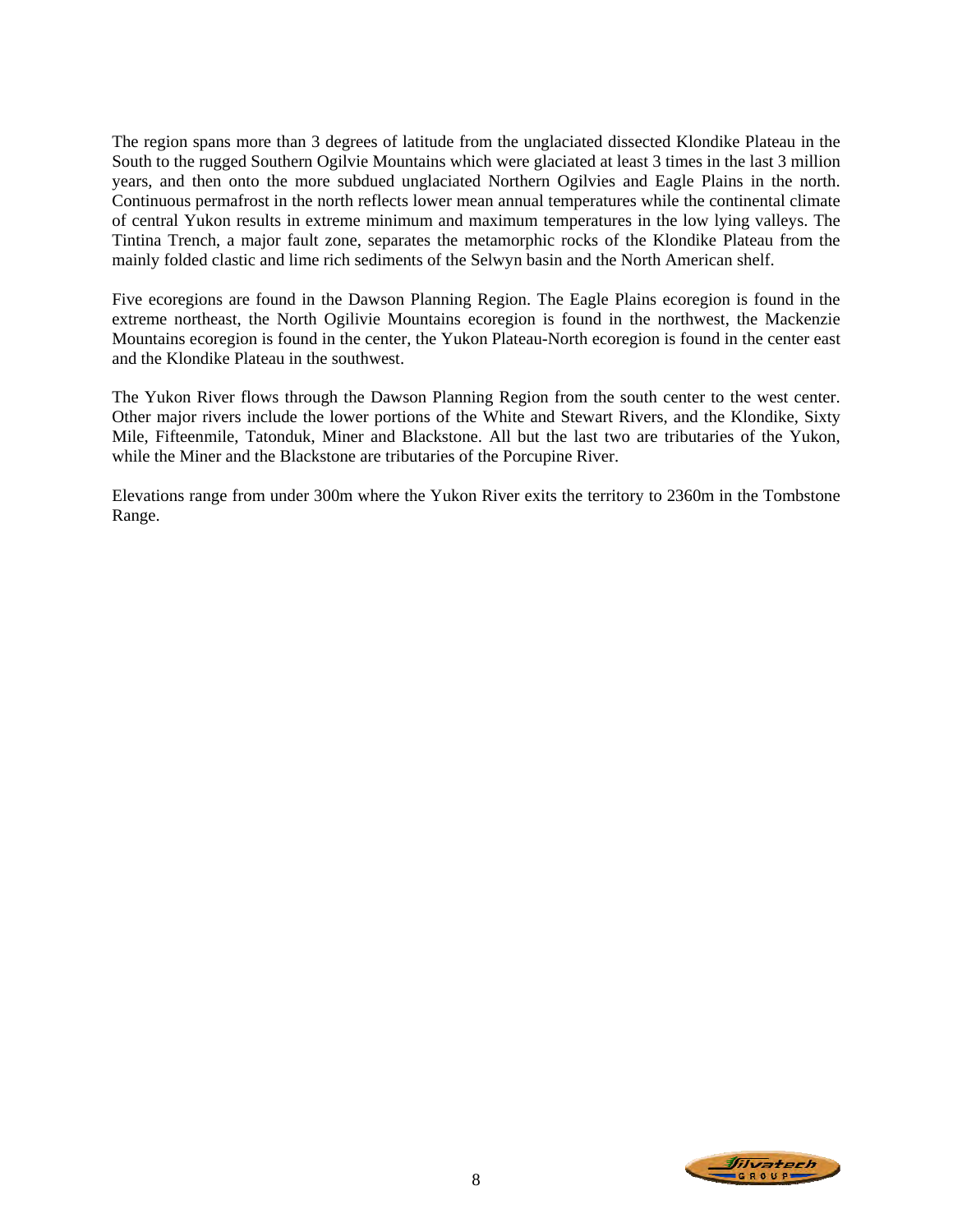The region spans more than 3 degrees of latitude from the unglaciated dissected Klondike Plateau in the South to the rugged Southern Ogilvie Mountains which were glaciated at least 3 times in the last 3 million years, and then onto the more subdued unglaciated Northern Ogilvies and Eagle Plains in the north. Continuous permafrost in the north reflects lower mean annual temperatures while the continental climate of central Yukon results in extreme minimum and maximum temperatures in the low lying valleys. The Tintina Trench, a major fault zone, separates the metamorphic rocks of the Klondike Plateau from the mainly folded clastic and lime rich sediments of the Selwyn basin and the North American shelf.

Five ecoregions are found in the Dawson Planning Region. The Eagle Plains ecoregion is found in the extreme northeast, the North Ogilivie Mountains ecoregion is found in the northwest, the Mackenzie Mountains ecoregion is found in the center, the Yukon Plateau-North ecoregion is found in the center east and the Klondike Plateau in the southwest.

The Yukon River flows through the Dawson Planning Region from the south center to the west center. Other major rivers include the lower portions of the White and Stewart Rivers, and the Klondike, Sixty Mile, Fifteenmile, Tatonduk, Miner and Blackstone. All but the last two are tributaries of the Yukon, while the Miner and the Blackstone are tributaries of the Porcupine River.

Elevations range from under 300m where the Yukon River exits the territory to 2360m in the Tombstone Range.

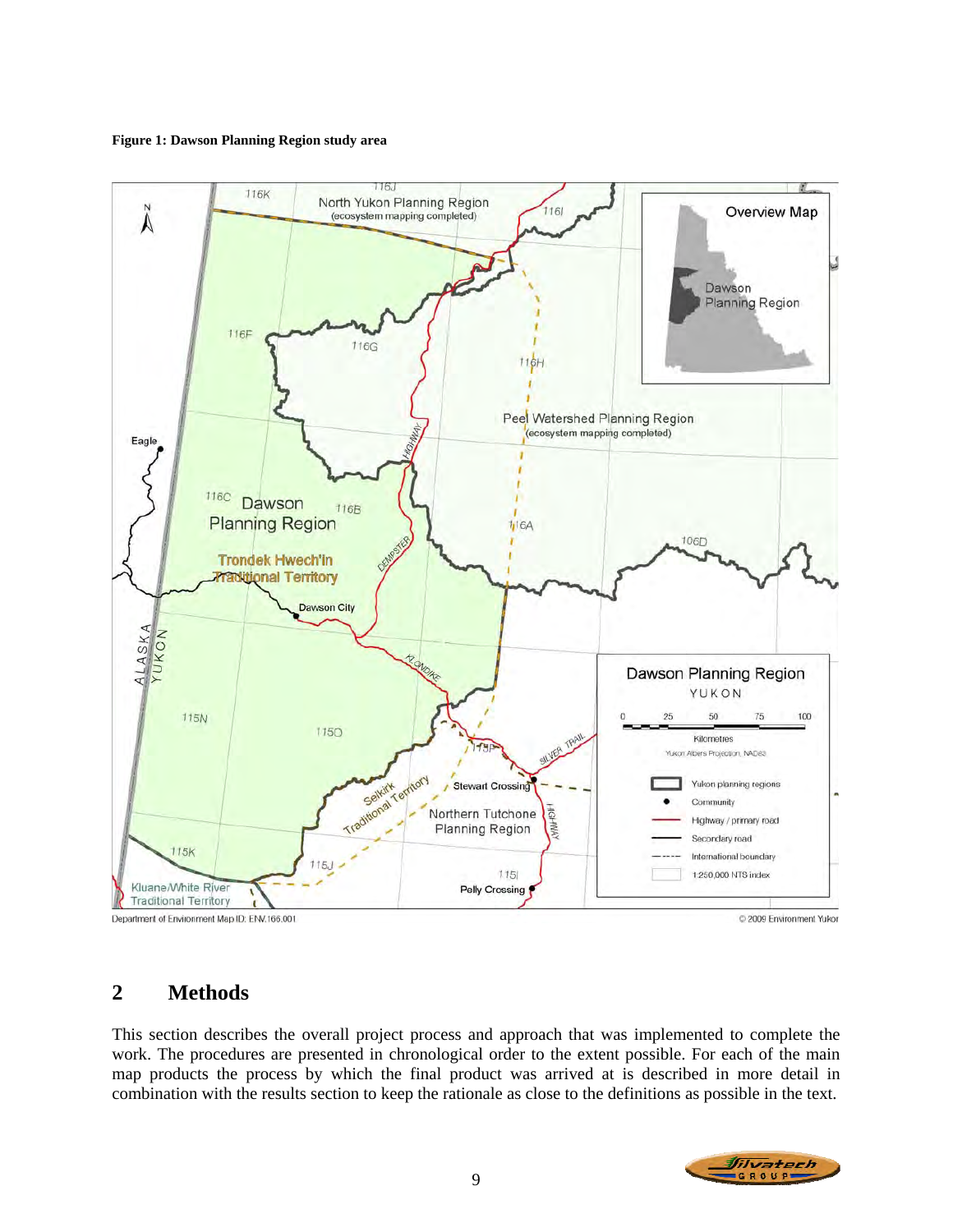#### **Figure 1: Dawson Planning Region study area**



# **2 Methods**

This section describes the overall project process and approach that was implemented to complete the work. The procedures are presented in chronological order to the extent possible. For each of the main map products the process by which the final product was arrived at is described in more detail in combination with the results section to keep the rationale as close to the definitions as possible in the text.

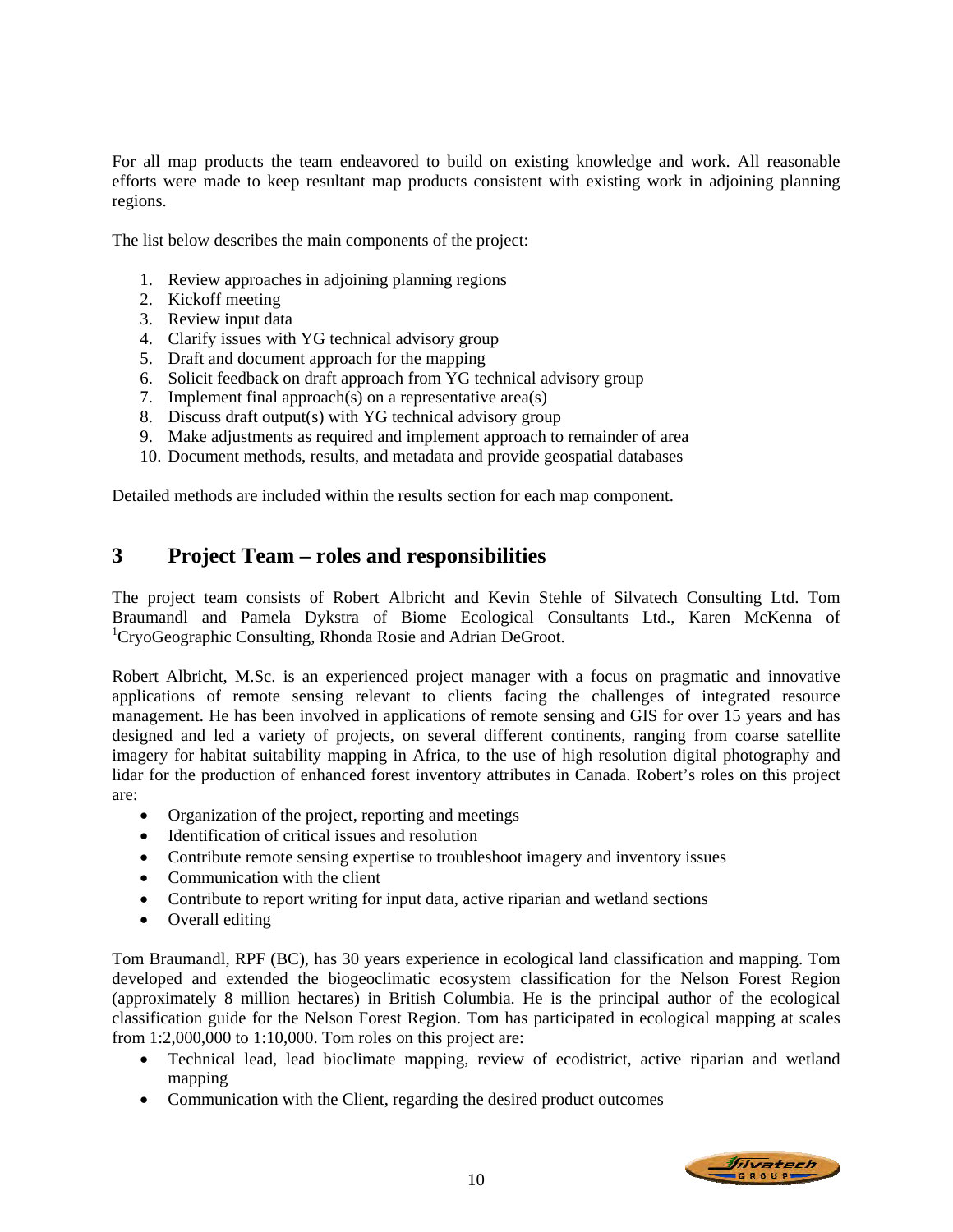For all map products the team endeavored to build on existing knowledge and work. All reasonable efforts were made to keep resultant map products consistent with existing work in adjoining planning regions.

The list below describes the main components of the project:

- 1. Review approaches in adjoining planning regions
- 2. Kickoff meeting
- 3. Review input data
- 4. Clarify issues with YG technical advisory group
- 5. Draft and document approach for the mapping
- 6. Solicit feedback on draft approach from YG technical advisory group
- 7. Implement final approach(s) on a representative area(s)
- 8. Discuss draft output(s) with YG technical advisory group
- 9. Make adjustments as required and implement approach to remainder of area
- 10. Document methods, results, and metadata and provide geospatial databases

Detailed methods are included within the results section for each map component.

# **3 Project Team – roles and responsibilities**

The project team consists of Robert Albricht and Kevin Stehle of Silvatech Consulting Ltd. Tom Braumandl and Pamela Dykstra of Biome Ecological Consultants Ltd., Karen McKenna of <sup>1</sup>CryoGeographic Consulting, Rhonda Rosie and Adrian DeGroot.

Robert Albricht, M.Sc. is an experienced project manager with a focus on pragmatic and innovative applications of remote sensing relevant to clients facing the challenges of integrated resource management. He has been involved in applications of remote sensing and GIS for over 15 years and has designed and led a variety of projects, on several different continents, ranging from coarse satellite imagery for habitat suitability mapping in Africa, to the use of high resolution digital photography and lidar for the production of enhanced forest inventory attributes in Canada. Robert's roles on this project are:

- Organization of the project, reporting and meetings
- Identification of critical issues and resolution
- Contribute remote sensing expertise to troubleshoot imagery and inventory issues
- Communication with the client
- Contribute to report writing for input data, active riparian and wetland sections
- Overall editing

Tom Braumandl, RPF (BC), has 30 years experience in ecological land classification and mapping. Tom developed and extended the biogeoclimatic ecosystem classification for the Nelson Forest Region (approximately 8 million hectares) in British Columbia. He is the principal author of the ecological classification guide for the Nelson Forest Region. Tom has participated in ecological mapping at scales from 1:2,000,000 to 1:10,000. Tom roles on this project are:

- Technical lead, lead bioclimate mapping, review of ecodistrict, active riparian and wetland mapping
- Communication with the Client, regarding the desired product outcomes

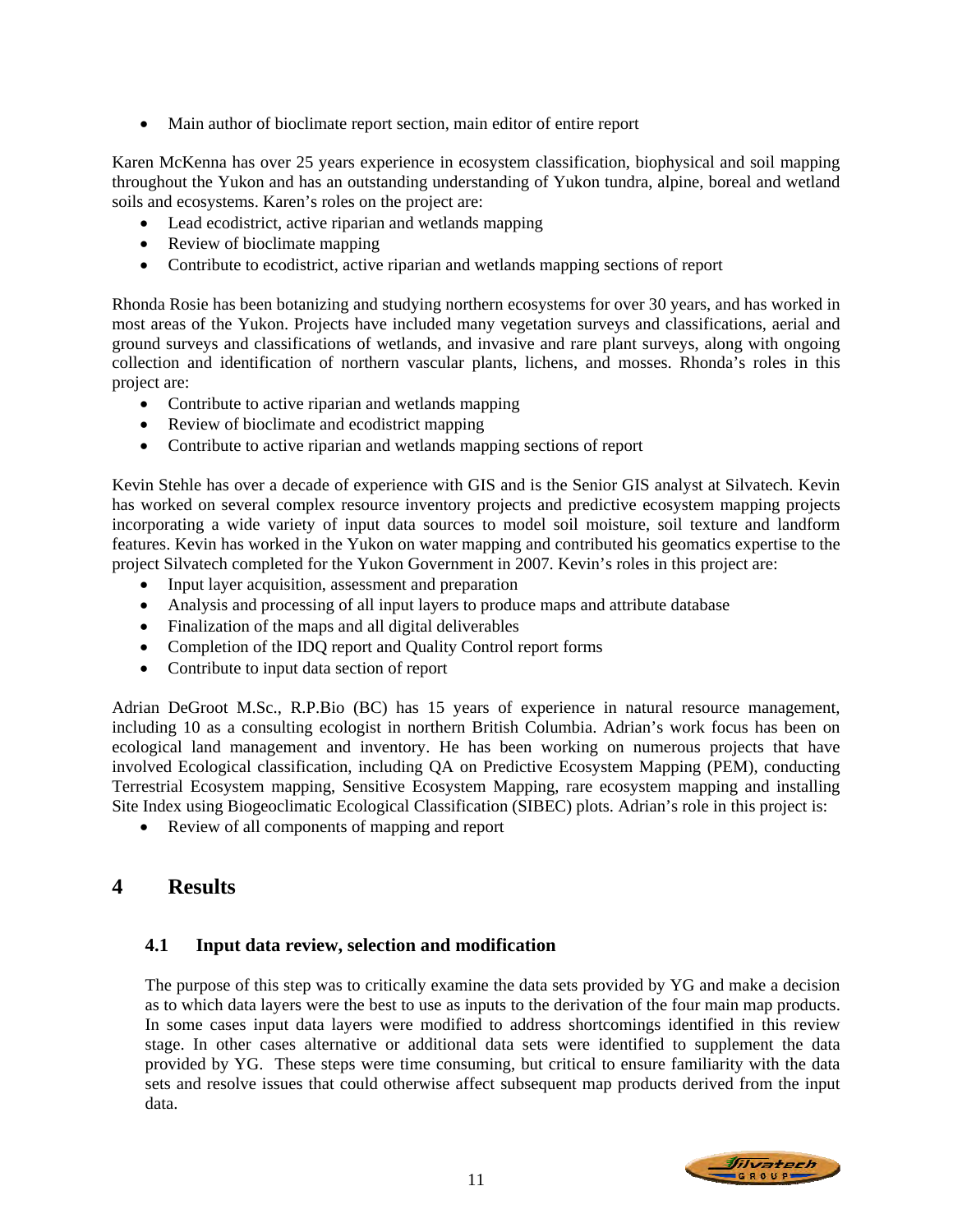• Main author of bioclimate report section, main editor of entire report

Karen McKenna has over 25 years experience in ecosystem classification, biophysical and soil mapping throughout the Yukon and has an outstanding understanding of Yukon tundra, alpine, boreal and wetland soils and ecosystems. Karen's roles on the project are:

- Lead ecodistrict, active riparian and wetlands mapping
- Review of bioclimate mapping
- Contribute to ecodistrict, active riparian and wetlands mapping sections of report

Rhonda Rosie has been botanizing and studying northern ecosystems for over 30 years, and has worked in most areas of the Yukon. Projects have included many vegetation surveys and classifications, aerial and ground surveys and classifications of wetlands, and invasive and rare plant surveys, along with ongoing collection and identification of northern vascular plants, lichens, and mosses. Rhonda's roles in this project are:

- Contribute to active riparian and wetlands mapping
- Review of bioclimate and ecodistrict mapping
- Contribute to active riparian and wetlands mapping sections of report

Kevin Stehle has over a decade of experience with GIS and is the Senior GIS analyst at Silvatech. Kevin has worked on several complex resource inventory projects and predictive ecosystem mapping projects incorporating a wide variety of input data sources to model soil moisture, soil texture and landform features. Kevin has worked in the Yukon on water mapping and contributed his geomatics expertise to the project Silvatech completed for the Yukon Government in 2007. Kevin's roles in this project are:

- Input layer acquisition, assessment and preparation
- Analysis and processing of all input layers to produce maps and attribute database
- Finalization of the maps and all digital deliverables
- Completion of the IDQ report and Quality Control report forms
- Contribute to input data section of report

Adrian DeGroot M.Sc., R.P.Bio (BC) has 15 years of experience in natural resource management, including 10 as a consulting ecologist in northern British Columbia. Adrian's work focus has been on ecological land management and inventory. He has been working on numerous projects that have involved Ecological classification, including QA on Predictive Ecosystem Mapping (PEM), conducting Terrestrial Ecosystem mapping, Sensitive Ecosystem Mapping, rare ecosystem mapping and installing Site Index using Biogeoclimatic Ecological Classification (SIBEC) plots. Adrian's role in this project is:

• Review of all components of mapping and report

# **4 Results**

# **4.1 Input data review, selection and modification**

The purpose of this step was to critically examine the data sets provided by YG and make a decision as to which data layers were the best to use as inputs to the derivation of the four main map products. In some cases input data layers were modified to address shortcomings identified in this review stage. In other cases alternative or additional data sets were identified to supplement the data provided by YG. These steps were time consuming, but critical to ensure familiarity with the data sets and resolve issues that could otherwise affect subsequent map products derived from the input data.

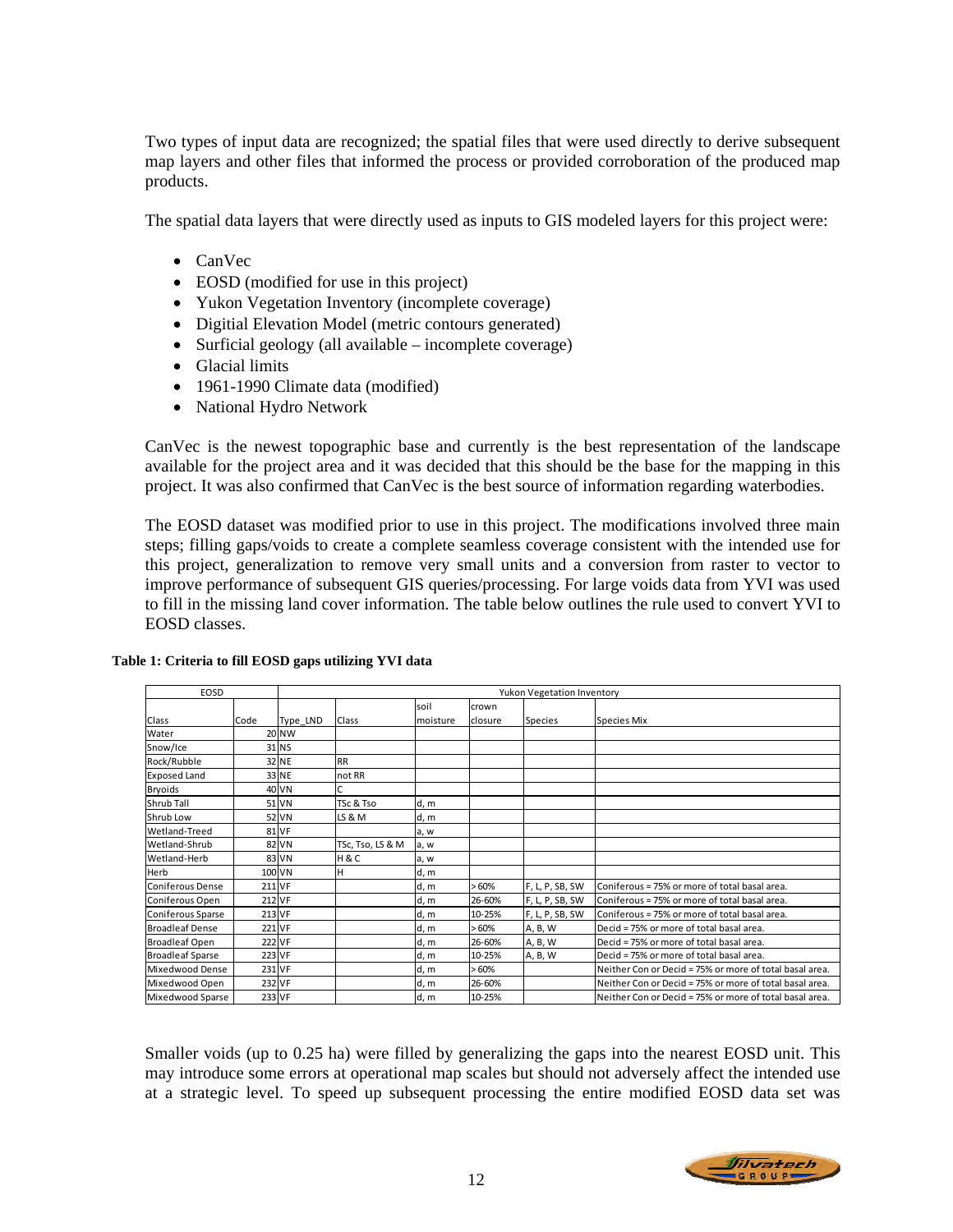Two types of input data are recognized; the spatial files that were used directly to derive subsequent map layers and other files that informed the process or provided corroboration of the produced map products.

The spatial data layers that were directly used as inputs to GIS modeled layers for this project were:

- CanVec
- EOSD (modified for use in this project)
- Yukon Vegetation Inventory (incomplete coverage)
- Digitial Elevation Model (metric contours generated)
- Surficial geology (all available incomplete coverage)
- Glacial limits
- 1961-1990 Climate data (modified)
- National Hydro Network

CanVec is the newest topographic base and currently is the best representation of the landscape available for the project area and it was decided that this should be the base for the mapping in this project. It was also confirmed that CanVec is the best source of information regarding waterbodies.

The EOSD dataset was modified prior to use in this project. The modifications involved three main steps; filling gaps/voids to create a complete seamless coverage consistent with the intended use for this project, generalization to remove very small units and a conversion from raster to vector to improve performance of subsequent GIS queries/processing. For large voids data from YVI was used to fill in the missing land cover information. The table below outlines the rule used to convert YVI to EOSD classes.

| EOSD                    |        | Yukon Vegetation Inventory |                  |          |         |                 |                                                         |
|-------------------------|--------|----------------------------|------------------|----------|---------|-----------------|---------------------------------------------------------|
|                         |        |                            |                  | soil     | crown   |                 |                                                         |
| Class                   | Code   | Type LND                   | Class            | moisture | closure | <b>Species</b>  | Species Mix                                             |
| Water                   |        | <b>20 NW</b>               |                  |          |         |                 |                                                         |
| Snow/Ice                |        | 31 NS                      |                  |          |         |                 |                                                         |
| Rock/Rubble             |        | 32 NE                      | <b>RR</b>        |          |         |                 |                                                         |
| <b>Exposed Land</b>     |        | 33 NE                      | not RR           |          |         |                 |                                                         |
| Bryoids                 |        | 40 VN                      | C                |          |         |                 |                                                         |
| Shrub Tall              |        | 51 VN                      | TSc & Tso        | d, m     |         |                 |                                                         |
| Shrub Low               |        | 52 VN                      | LS & M           | d, m     |         |                 |                                                         |
| Wetland-Treed           |        | 81 VF                      |                  | a, w     |         |                 |                                                         |
| Wetland-Shrub           |        | 82 VN                      | TSc, Tso, LS & M | a, w     |         |                 |                                                         |
| Wetland-Herb            |        | 83 VN                      | H&C              | a, w     |         |                 |                                                         |
| Herb                    |        | 100 VN                     | H                | d, m     |         |                 |                                                         |
| <b>Coniferous Dense</b> | 211 VF |                            |                  | d, m     | >60%    | F, L, P, SB, SW | Coniferous = 75% or more of total basal area.           |
| Coniferous Open         | 212 VF |                            |                  | d, m     | 26-60%  | F, L, P, SB, SW | Coniferous = 75% or more of total basal area.           |
| Coniferous Sparse       | 213 VF |                            |                  | d, m     | 10-25%  | F, L, P, SB, SW | Coniferous = 75% or more of total basal area.           |
| <b>Broadleaf Dense</b>  | 221 VF |                            |                  | d, m     | >60%    | A, B, W         | Decid = 75% or more of total basal area.                |
| <b>Broadleaf Open</b>   |        | 222 VF                     |                  | d, m     | 26-60%  | A, B, W         | Decid = 75% or more of total basal area.                |
| <b>Broadleaf Sparse</b> | 223 VF |                            |                  | d, m     | 10-25%  | A, B, W         | Decid = 75% or more of total basal area.                |
| Mixedwood Dense         | 231 VF |                            |                  | d, m     | >60%    |                 | Neither Con or Decid = 75% or more of total basal area. |
| Mixedwood Open          | 232 VF |                            |                  | d, m     | 26-60%  |                 | Neither Con or Decid = 75% or more of total basal area. |
| Mixedwood Sparse        | 233 VF |                            |                  | d, m     | 10-25%  |                 | Neither Con or Decid = 75% or more of total basal area. |

### **Table 1: Criteria to fill EOSD gaps utilizing YVI data**

Smaller voids (up to 0.25 ha) were filled by generalizing the gaps into the nearest EOSD unit. This may introduce some errors at operational map scales but should not adversely affect the intended use at a strategic level. To speed up subsequent processing the entire modified EOSD data set was

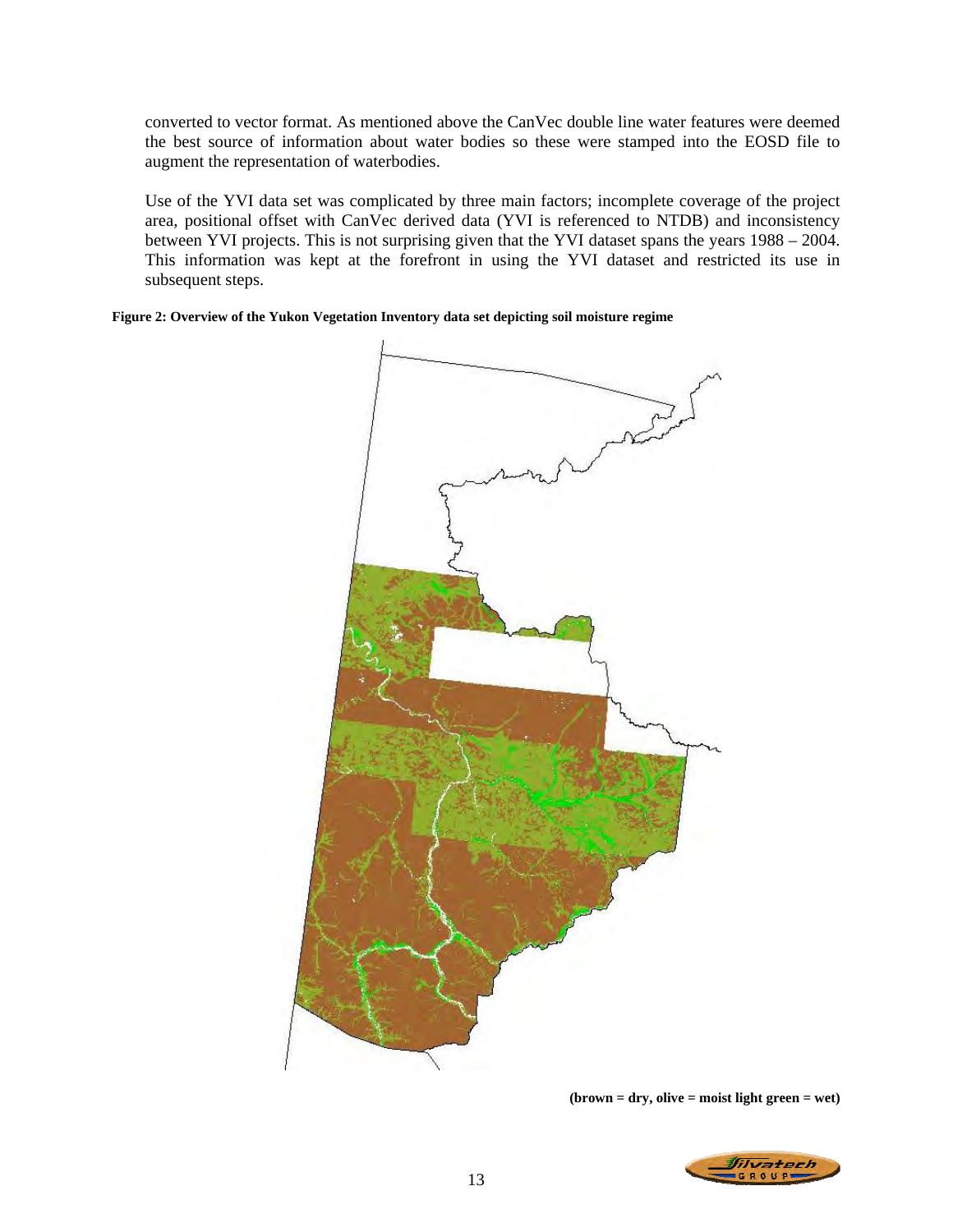converted to vector format. As mentioned above the CanVec double line water features were deemed the best source of information about water bodies so these were stamped into the EOSD file to augment the representation of waterbodies.

Use of the YVI data set was complicated by three main factors; incomplete coverage of the project area, positional offset with CanVec derived data (YVI is referenced to NTDB) and inconsistency between YVI projects. This is not surprising given that the YVI dataset spans the years 1988 – 2004. This information was kept at the forefront in using the YVI dataset and restricted its use in subsequent steps.

**Figure 2: Overview of the Yukon Vegetation Inventory data set depicting soil moisture regime** 



**(brown = dry, olive = moist light green = wet)** 

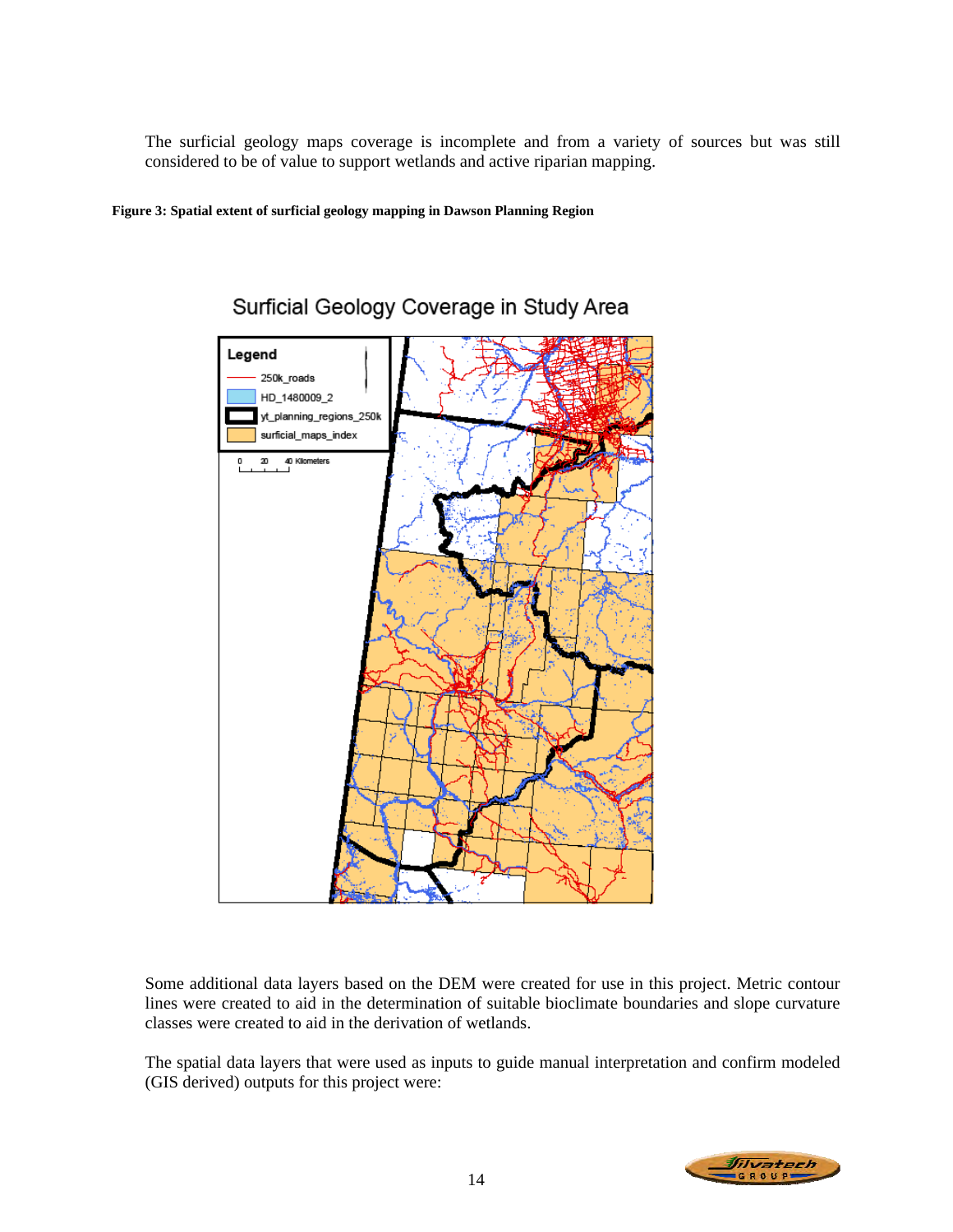The surficial geology maps coverage is incomplete and from a variety of sources but was still considered to be of value to support wetlands and active riparian mapping.

**Figure 3: Spatial extent of surficial geology mapping in Dawson Planning Region** 



# Surficial Geology Coverage in Study Area

Some additional data layers based on the DEM were created for use in this project. Metric contour lines were created to aid in the determination of suitable bioclimate boundaries and slope curvature classes were created to aid in the derivation of wetlands.

The spatial data layers that were used as inputs to guide manual interpretation and confirm modeled (GIS derived) outputs for this project were:

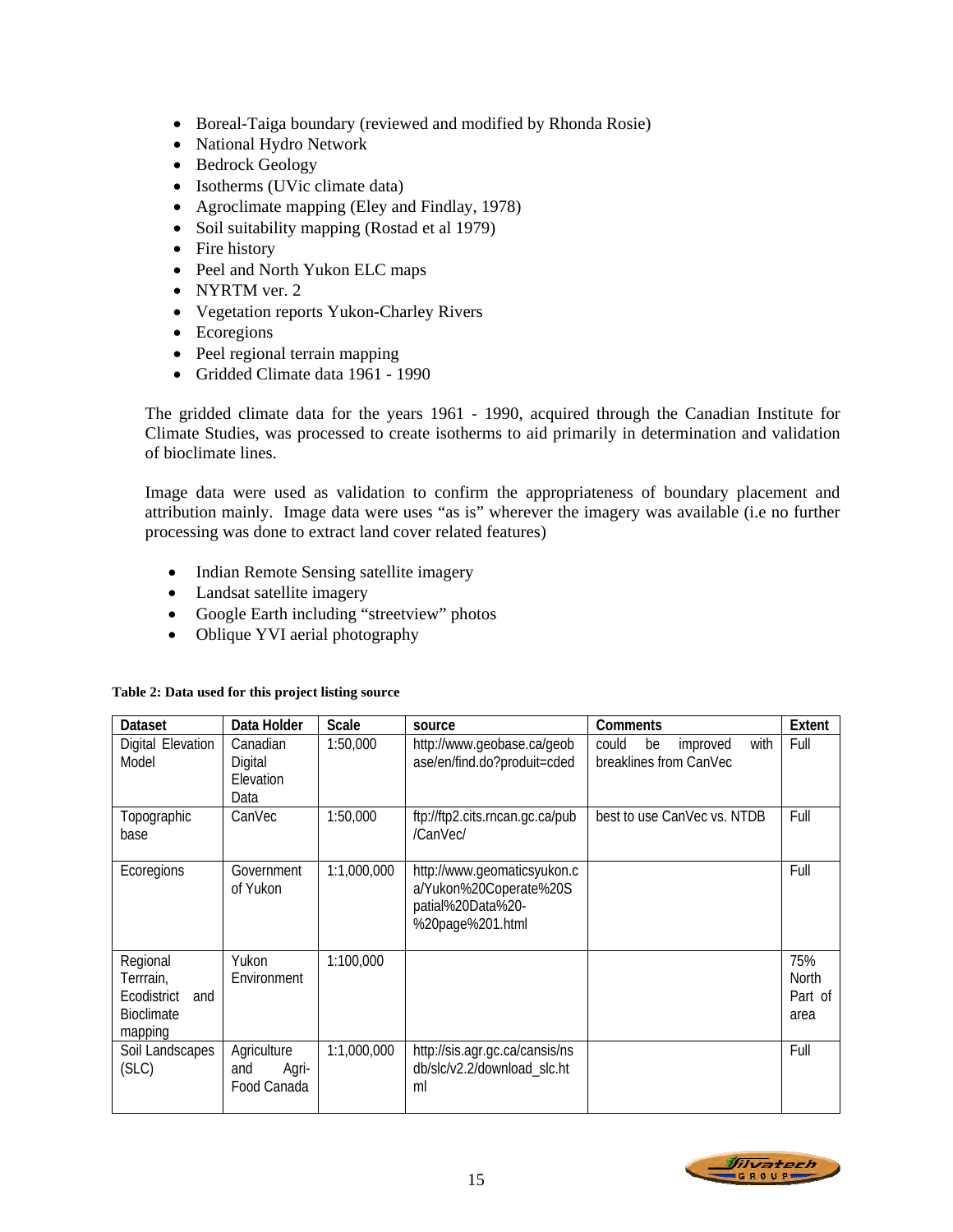- Boreal-Taiga boundary (reviewed and modified by Rhonda Rosie)
- National Hydro Network
- Bedrock Geology
- Isotherms (UVic climate data)
- Agroclimate mapping (Eley and Findlay, 1978)
- Soil suitability mapping (Rostad et al 1979)
- Fire history
- Peel and North Yukon ELC maps
- NYRTM ver. 2
- Vegetation reports Yukon-Charley Rivers
- Ecoregions
- Peel regional terrain mapping
- Gridded Climate data 1961 1990

The gridded climate data for the years 1961 - 1990, acquired through the Canadian Institute for Climate Studies, was processed to create isotherms to aid primarily in determination and validation of bioclimate lines.

Image data were used as validation to confirm the appropriateness of boundary placement and attribution mainly. Image data were uses "as is" wherever the imagery was available (i.e no further processing was done to extract land cover related features)

- Indian Remote Sensing satellite imagery
- Landsat satellite imagery
- Google Earth including "streetview" photos
- Oblique YVI aerial photography

| Dataset                                                              | Data Holder                                | <b>Scale</b> | source                                                                                         | Comments                                                  | Extent                                 |
|----------------------------------------------------------------------|--------------------------------------------|--------------|------------------------------------------------------------------------------------------------|-----------------------------------------------------------|----------------------------------------|
| Digital Elevation<br>Model                                           | Canadian<br>Digital<br>Elevation<br>Data   | 1:50,000     | http://www.geobase.ca/geob<br>ase/en/find.do?produit=cded                                      | could<br>be<br>improved<br>with<br>breaklines from CanVec | Full                                   |
| Topographic<br>base                                                  | CanVec                                     | 1:50,000     | ftp://ftp2.cits.rncan.gc.ca/pub<br>/CanVec/                                                    | best to use CanVec vs. NTDB                               | Full                                   |
| Ecoregions                                                           | Government<br>of Yukon                     | 1:1,000,000  | http://www.geomaticsyukon.c<br>a/Yukon%20Coperate%20S<br>patial%20Data%20-<br>%20page%201.html |                                                           | Full                                   |
| Regional<br>Terrrain,<br>Ecodistrict<br>and<br>Bioclimate<br>mapping | Yukon<br>Environment                       | 1:100,000    |                                                                                                |                                                           | 75%<br><b>North</b><br>Part of<br>area |
| Soil Landscapes<br>(SLC)                                             | Agriculture<br>Agri-<br>and<br>Food Canada | 1:1,000,000  | http://sis.agr.gc.ca/cansis/ns<br>db/slc/v2.2/download_slc.ht<br>ml                            |                                                           | Full                                   |

### **Table 2: Data used for this project listing source**

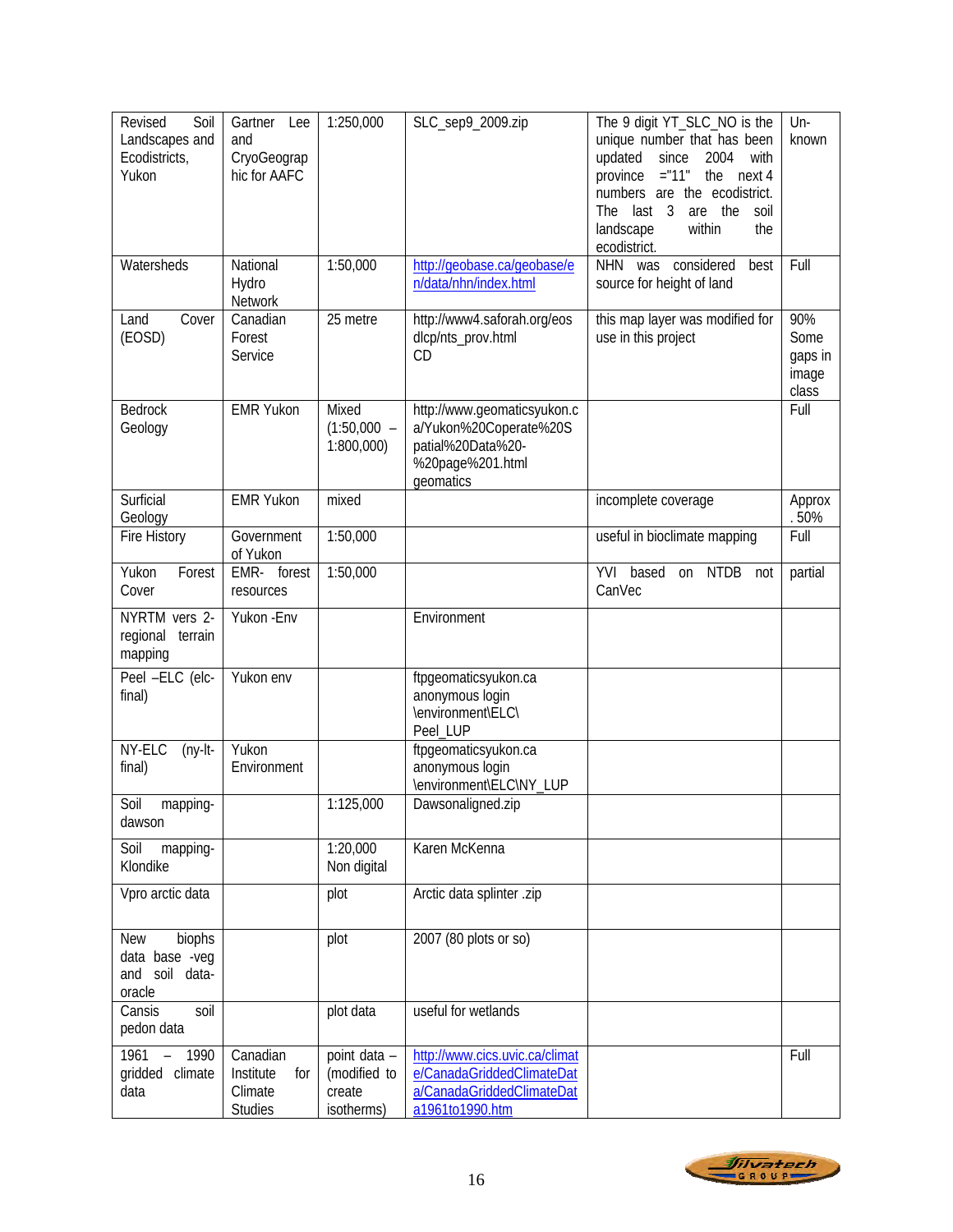| Revised<br>Soil<br>Landscapes and<br>Ecodistricts,<br>Yukon        | Gartner<br>Lee<br>and<br>CryoGeograp<br>hic for AAFC      | 1:250,000                                            | SLC_sep9_2009.zip                                                                                           | The 9 digit YT_SLC_NO is the<br>unique number that has been<br>updated<br>since<br>2004<br>with<br>$=$ "11"<br>the<br>province<br>next 4<br>numbers are the ecodistrict.<br>The last 3<br>the<br>soil<br>are<br>within<br>landscape<br>the<br>ecodistrict. | Un-<br>known                             |
|--------------------------------------------------------------------|-----------------------------------------------------------|------------------------------------------------------|-------------------------------------------------------------------------------------------------------------|------------------------------------------------------------------------------------------------------------------------------------------------------------------------------------------------------------------------------------------------------------|------------------------------------------|
| Watersheds                                                         | National<br>Hydro<br>Network                              | 1:50,000                                             | http://geobase.ca/geobase/e<br>n/data/nhn/index.html                                                        | NHN was considered<br>best<br>source for height of land                                                                                                                                                                                                    | Full                                     |
| Cover<br>Land<br>(EOSD)                                            | Canadian<br>Forest<br>Service                             | 25 metre                                             | http://www4.saforah.org/eos<br>dlcp/nts_prov.html<br>CD                                                     | this map layer was modified for<br>use in this project                                                                                                                                                                                                     | 90%<br>Some<br>gaps in<br>image<br>class |
| <b>Bedrock</b><br>Geology                                          | <b>EMR Yukon</b>                                          | Mixed<br>$(1:50,000 -$<br>1:800,000                  | http://www.geomaticsyukon.c<br>a/Yukon%20Coperate%20S<br>patial%20Data%20-<br>%20page%201.html<br>geomatics |                                                                                                                                                                                                                                                            | Full                                     |
| Surficial<br>Geology                                               | <b>EMR Yukon</b>                                          | mixed                                                |                                                                                                             | incomplete coverage                                                                                                                                                                                                                                        | Approx<br>.50%                           |
| Fire History                                                       | Government<br>of Yukon                                    | 1:50,000                                             |                                                                                                             | useful in bioclimate mapping                                                                                                                                                                                                                               | Full                                     |
| Yukon<br>Forest<br>Cover                                           | EMR- forest<br>resources                                  | 1:50,000                                             |                                                                                                             | YVI based<br>on NTDB not<br>CanVec                                                                                                                                                                                                                         | partial                                  |
| NYRTM vers 2-<br>regional<br>terrain<br>mapping                    | Yukon - Env                                               |                                                      | Environment                                                                                                 |                                                                                                                                                                                                                                                            |                                          |
| Peel -ELC (elc-<br>final)                                          | Yukon env                                                 |                                                      | ftpgeomaticsyukon.ca<br>anonymous login<br>\environment\ELC\<br>Peel_LUP                                    |                                                                                                                                                                                                                                                            |                                          |
| NY-ELC<br>$(ny-It-$<br>final)                                      | Yukon<br>Environment                                      |                                                      | ftpgeomaticsyukon.ca<br>anonymous login<br>\environment\ELC\NY_LUP                                          |                                                                                                                                                                                                                                                            |                                          |
| Soil<br>mapping-<br>dawson                                         |                                                           | 1:125,000                                            | Dawsonaligned.zip                                                                                           |                                                                                                                                                                                                                                                            |                                          |
| Soil<br>mapping-<br>Klondike                                       |                                                           | 1:20,000<br>Non digital                              | Karen McKenna                                                                                               |                                                                                                                                                                                                                                                            |                                          |
| Vpro arctic data                                                   |                                                           | plot                                                 | Arctic data splinter .zip                                                                                   |                                                                                                                                                                                                                                                            |                                          |
| <b>New</b><br>biophs<br>data base -veg<br>and soil data-<br>oracle |                                                           | plot                                                 | 2007 (80 plots or so)                                                                                       |                                                                                                                                                                                                                                                            |                                          |
| Cansis<br>soil<br>pedon data                                       |                                                           | plot data                                            | useful for wetlands                                                                                         |                                                                                                                                                                                                                                                            |                                          |
| 1961 - 1990<br>gridded climate<br>data                             | Canadian<br>Institute<br>for<br>Climate<br><b>Studies</b> | point data -<br>(modified to<br>create<br>isotherms) | http://www.cics.uvic.ca/climat<br>e/CanadaGriddedClimateDat<br>a/CanadaGriddedClimateDat<br>a1961to1990.htm |                                                                                                                                                                                                                                                            | Full                                     |

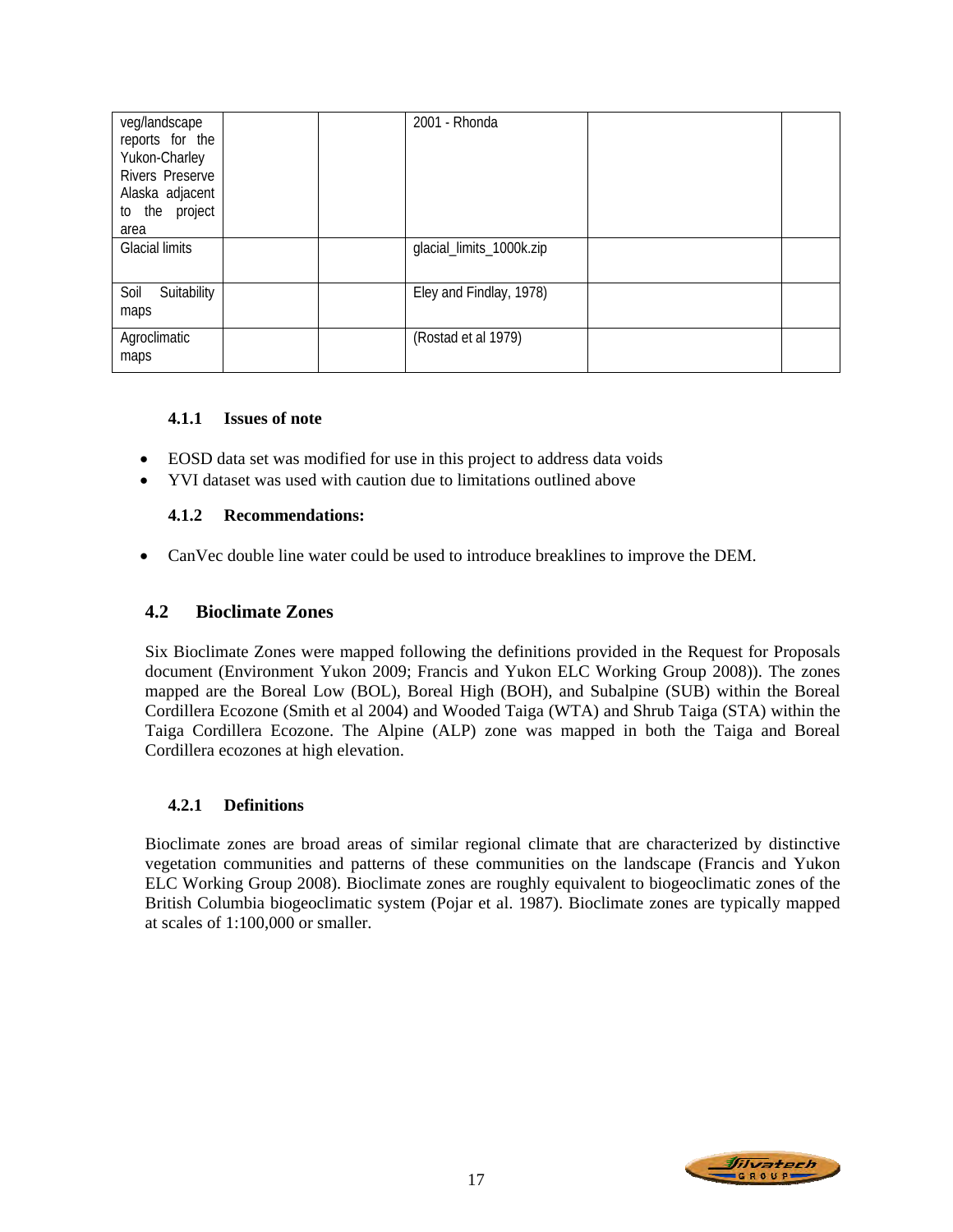| veg/landscape<br>reports for the<br>Yukon-Charley<br><b>Rivers Preserve</b><br>Alaska adjacent<br>to the project<br>area |  | 2001 - Rhonda            |  |
|--------------------------------------------------------------------------------------------------------------------------|--|--------------------------|--|
| <b>Glacial limits</b>                                                                                                    |  | glacial_limits_1000k.zip |  |
| Soil<br>Suitability<br>maps                                                                                              |  | Eley and Findlay, 1978)  |  |
| Agroclimatic<br>maps                                                                                                     |  | (Rostad et al 1979)      |  |

# **4.1.1 Issues of note**

- EOSD data set was modified for use in this project to address data voids
- YVI dataset was used with caution due to limitations outlined above

# **4.1.2 Recommendations:**

• CanVec double line water could be used to introduce breaklines to improve the DEM.

# **4.2 Bioclimate Zones**

Six Bioclimate Zones were mapped following the definitions provided in the Request for Proposals document (Environment Yukon 2009; Francis and Yukon ELC Working Group 2008)). The zones mapped are the Boreal Low (BOL), Boreal High (BOH), and Subalpine (SUB) within the Boreal Cordillera Ecozone (Smith et al 2004) and Wooded Taiga (WTA) and Shrub Taiga (STA) within the Taiga Cordillera Ecozone. The Alpine (ALP) zone was mapped in both the Taiga and Boreal Cordillera ecozones at high elevation.

# **4.2.1 Definitions**

Bioclimate zones are broad areas of similar regional climate that are characterized by distinctive vegetation communities and patterns of these communities on the landscape (Francis and Yukon ELC Working Group 2008). Bioclimate zones are roughly equivalent to biogeoclimatic zones of the British Columbia biogeoclimatic system (Pojar et al. 1987). Bioclimate zones are typically mapped at scales of 1:100,000 or smaller.

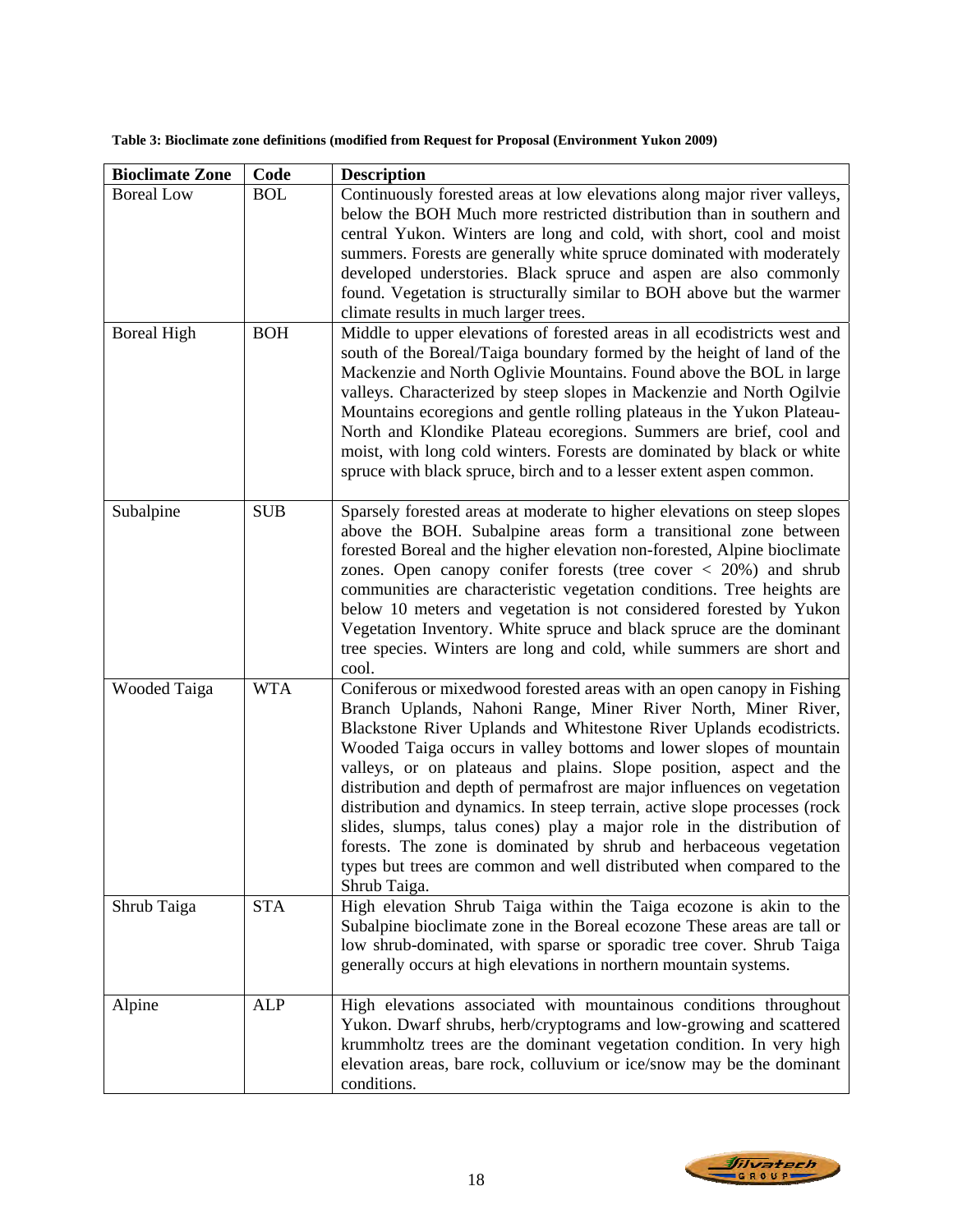**Table 3: Bioclimate zone definitions (modified from Request for Proposal (Environment Yukon 2009)** 

| <b>Bioclimate Zone</b>                  | Code                     | <b>Description</b>                                                                                                                                                                                                                                                                                                                                                                                                                                                                                                                                                                                                                                                                                                                                      |
|-----------------------------------------|--------------------------|---------------------------------------------------------------------------------------------------------------------------------------------------------------------------------------------------------------------------------------------------------------------------------------------------------------------------------------------------------------------------------------------------------------------------------------------------------------------------------------------------------------------------------------------------------------------------------------------------------------------------------------------------------------------------------------------------------------------------------------------------------|
| <b>Boreal Low</b><br><b>Boreal High</b> | <b>BOL</b><br><b>BOH</b> | Continuously forested areas at low elevations along major river valleys,<br>below the BOH Much more restricted distribution than in southern and<br>central Yukon. Winters are long and cold, with short, cool and moist<br>summers. Forests are generally white spruce dominated with moderately<br>developed understories. Black spruce and aspen are also commonly<br>found. Vegetation is structurally similar to BOH above but the warmer<br>climate results in much larger trees.<br>Middle to upper elevations of forested areas in all ecodistricts west and<br>south of the Boreal/Taiga boundary formed by the height of land of the                                                                                                          |
|                                         |                          | Mackenzie and North Oglivie Mountains. Found above the BOL in large<br>valleys. Characterized by steep slopes in Mackenzie and North Ogilvie<br>Mountains ecoregions and gentle rolling plateaus in the Yukon Plateau-<br>North and Klondike Plateau ecoregions. Summers are brief, cool and<br>moist, with long cold winters. Forests are dominated by black or white<br>spruce with black spruce, birch and to a lesser extent aspen common.                                                                                                                                                                                                                                                                                                          |
| Subalpine                               | <b>SUB</b>               | Sparsely forested areas at moderate to higher elevations on steep slopes<br>above the BOH. Subalpine areas form a transitional zone between<br>forested Boreal and the higher elevation non-forested, Alpine bioclimate<br>zones. Open can opy conifer forests (tree cover $\langle 20\% \rangle$ and shrub<br>communities are characteristic vegetation conditions. Tree heights are<br>below 10 meters and vegetation is not considered forested by Yukon<br>Vegetation Inventory. White spruce and black spruce are the dominant<br>tree species. Winters are long and cold, while summers are short and<br>cool.                                                                                                                                    |
| <b>Wooded Taiga</b>                     | <b>WTA</b>               | Coniferous or mixedwood forested areas with an open canopy in Fishing<br>Branch Uplands, Nahoni Range, Miner River North, Miner River,<br>Blackstone River Uplands and Whitestone River Uplands ecodistricts.<br>Wooded Taiga occurs in valley bottoms and lower slopes of mountain<br>valleys, or on plateaus and plains. Slope position, aspect and the<br>distribution and depth of permafrost are major influences on vegetation<br>distribution and dynamics. In steep terrain, active slope processes (rock<br>slides, slumps, talus cones) play a major role in the distribution of<br>forests. The zone is dominated by shrub and herbaceous vegetation<br>types but trees are common and well distributed when compared to the<br>Shrub Taiga. |
| Shrub Taiga                             | <b>STA</b>               | High elevation Shrub Taiga within the Taiga ecozone is akin to the<br>Subalpine bioclimate zone in the Boreal ecozone These areas are tall or<br>low shrub-dominated, with sparse or sporadic tree cover. Shrub Taiga<br>generally occurs at high elevations in northern mountain systems.                                                                                                                                                                                                                                                                                                                                                                                                                                                              |
| Alpine                                  | ALP                      | High elevations associated with mountainous conditions throughout<br>Yukon. Dwarf shrubs, herb/cryptograms and low-growing and scattered<br>krummholtz trees are the dominant vegetation condition. In very high<br>elevation areas, bare rock, colluvium or ice/snow may be the dominant<br>conditions.                                                                                                                                                                                                                                                                                                                                                                                                                                                |

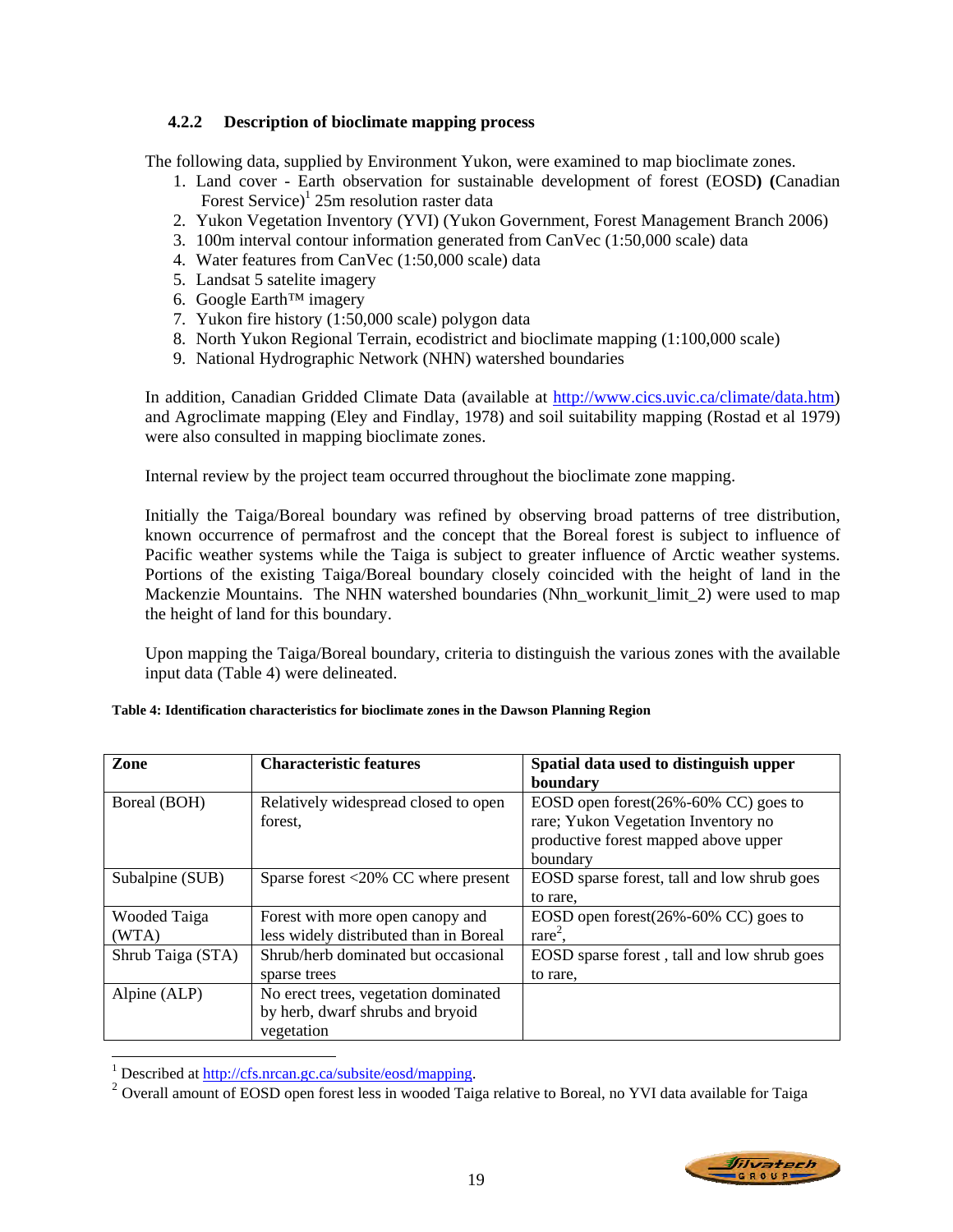# **4.2.2 Description of bioclimate mapping process**

The following data, supplied by Environment Yukon, were examined to map bioclimate zones.

- 1. Land cover Earth observation for sustainable development of forest (EOSD**) (**Canadian Forest Service)<sup>1</sup> 25m resolution raster data
- 2. Yukon Vegetation Inventory (YVI) (Yukon Government, Forest Management Branch 2006)
- 3. 100m interval contour information generated from CanVec (1:50,000 scale) data
- 4. Water features from CanVec (1:50,000 scale) data
- 5. Landsat 5 satelite imagery
- 6. Google Earth™ imagery
- 7. Yukon fire history (1:50,000 scale) polygon data
- 8. North Yukon Regional Terrain, ecodistrict and bioclimate mapping (1:100,000 scale)
- 9. National Hydrographic Network (NHN) watershed boundaries

In addition, Canadian Gridded Climate Data (available at http://www.cics.uvic.ca/climate/data.htm) and Agroclimate mapping (Eley and Findlay, 1978) and soil suitability mapping (Rostad et al 1979) were also consulted in mapping bioclimate zones.

Internal review by the project team occurred throughout the bioclimate zone mapping.

Initially the Taiga/Boreal boundary was refined by observing broad patterns of tree distribution, known occurrence of permafrost and the concept that the Boreal forest is subject to influence of Pacific weather systems while the Taiga is subject to greater influence of Arctic weather systems. Portions of the existing Taiga/Boreal boundary closely coincided with the height of land in the Mackenzie Mountains. The NHN watershed boundaries (Nhn\_workunit\_limit\_2) were used to map the height of land for this boundary.

Upon mapping the Taiga/Boreal boundary, criteria to distinguish the various zones with the available input data (Table 4) were delineated.

| Zone              | <b>Characteristic features</b>                        | Spatial data used to distinguish upper      |
|-------------------|-------------------------------------------------------|---------------------------------------------|
|                   |                                                       | boundary                                    |
| Boreal (BOH)      | Relatively widespread closed to open                  | EOSD open forest $(26\% - 60\%$ CC) goes to |
|                   | forest.                                               | rare; Yukon Vegetation Inventory no         |
|                   |                                                       | productive forest mapped above upper        |
|                   |                                                       | boundary                                    |
| Subalpine (SUB)   | Sparse forest $\langle 20\% \rangle$ CC where present | EOSD sparse forest, tall and low shrub goes |
|                   |                                                       | to rare.                                    |
| Wooded Taiga      | Forest with more open canopy and                      | EOSD open forest $(26\% - 60\%$ CC) goes to |
| (WTA)             | less widely distributed than in Boreal                | $rare2$ .                                   |
| Shrub Taiga (STA) | Shrub/herb dominated but occasional                   | EOSD sparse forest, tall and low shrub goes |
|                   | sparse trees                                          | to rare.                                    |
| Alpine (ALP)      | No erect trees, vegetation dominated                  |                                             |
|                   | by herb, dwarf shrubs and bryoid                      |                                             |
|                   | vegetation                                            |                                             |

# **Table 4: Identification characteristics for bioclimate zones in the Dawson Planning Region**

<sup>&</sup>lt;sup>2</sup> Overall amount of EOSD open forest less in wooded Taiga relative to Boreal, no YVI data available for Taiga



 $\frac{1}{1}$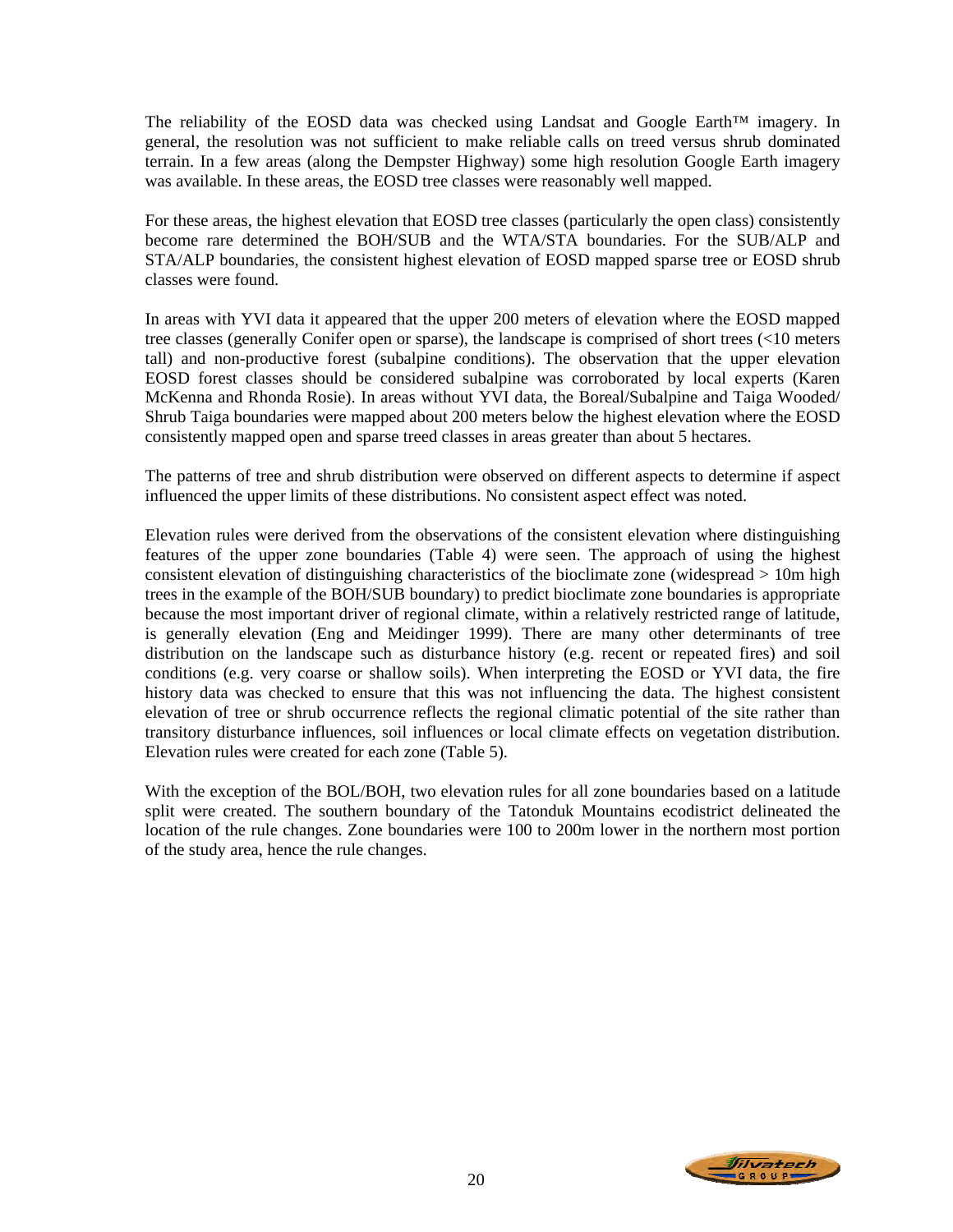The reliability of the EOSD data was checked using Landsat and Google Earth<sup>™</sup> imagery. In general, the resolution was not sufficient to make reliable calls on treed versus shrub dominated terrain. In a few areas (along the Dempster Highway) some high resolution Google Earth imagery was available. In these areas, the EOSD tree classes were reasonably well mapped.

For these areas, the highest elevation that EOSD tree classes (particularly the open class) consistently become rare determined the BOH/SUB and the WTA/STA boundaries. For the SUB/ALP and STA/ALP boundaries, the consistent highest elevation of EOSD mapped sparse tree or EOSD shrub classes were found.

In areas with YVI data it appeared that the upper 200 meters of elevation where the EOSD mapped tree classes (generally Conifer open or sparse), the landscape is comprised of short trees (<10 meters tall) and non-productive forest (subalpine conditions). The observation that the upper elevation EOSD forest classes should be considered subalpine was corroborated by local experts (Karen McKenna and Rhonda Rosie). In areas without YVI data, the Boreal/Subalpine and Taiga Wooded/ Shrub Taiga boundaries were mapped about 200 meters below the highest elevation where the EOSD consistently mapped open and sparse treed classes in areas greater than about 5 hectares.

The patterns of tree and shrub distribution were observed on different aspects to determine if aspect influenced the upper limits of these distributions. No consistent aspect effect was noted.

Elevation rules were derived from the observations of the consistent elevation where distinguishing features of the upper zone boundaries (Table 4) were seen. The approach of using the highest consistent elevation of distinguishing characteristics of the bioclimate zone (widespread > 10m high trees in the example of the BOH/SUB boundary) to predict bioclimate zone boundaries is appropriate because the most important driver of regional climate, within a relatively restricted range of latitude, is generally elevation (Eng and Meidinger 1999). There are many other determinants of tree distribution on the landscape such as disturbance history (e.g. recent or repeated fires) and soil conditions (e.g. very coarse or shallow soils). When interpreting the EOSD or YVI data, the fire history data was checked to ensure that this was not influencing the data. The highest consistent elevation of tree or shrub occurrence reflects the regional climatic potential of the site rather than transitory disturbance influences, soil influences or local climate effects on vegetation distribution. Elevation rules were created for each zone (Table 5).

With the exception of the BOL/BOH, two elevation rules for all zone boundaries based on a latitude split were created. The southern boundary of the Tatonduk Mountains ecodistrict delineated the location of the rule changes. Zone boundaries were 100 to 200m lower in the northern most portion of the study area, hence the rule changes.

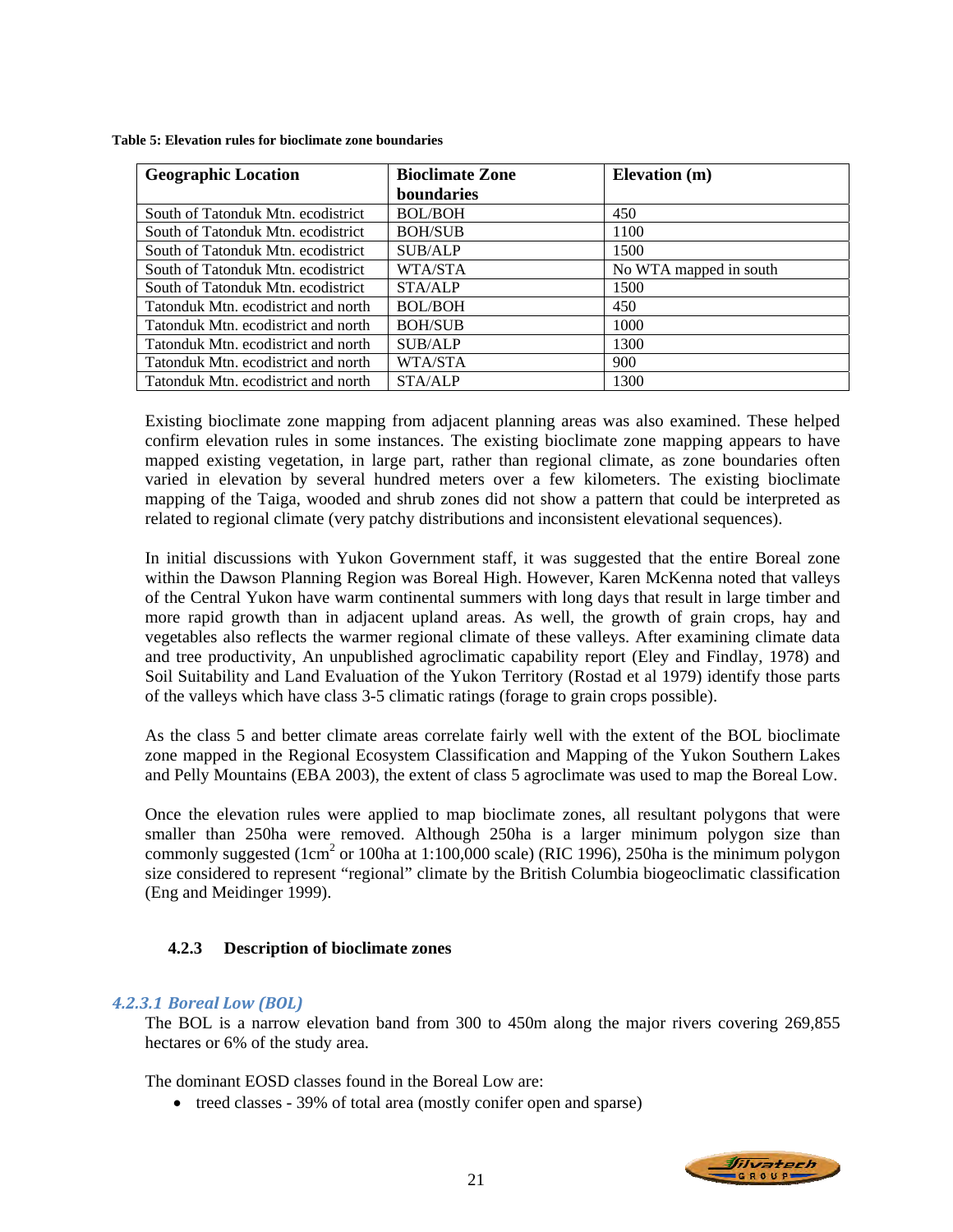| <b>Geographic Location</b>          | <b>Bioclimate Zone</b> | <b>Elevation</b> (m)   |
|-------------------------------------|------------------------|------------------------|
|                                     | <b>boundaries</b>      |                        |
| South of Tatonduk Mtn. ecodistrict  | <b>BOL/BOH</b>         | 450                    |
| South of Tatonduk Mtn. ecodistrict  | <b>BOH/SUB</b>         | 1100                   |
| South of Tatonduk Mtn. ecodistrict  | <b>SUB/ALP</b>         | 1500                   |
| South of Tatonduk Mtn. ecodistrict  | WTA/STA                | No WTA mapped in south |
| South of Tatonduk Mtn. ecodistrict  | STA/ALP                | 1500                   |
| Tatonduk Mtn. ecodistrict and north | <b>BOL/BOH</b>         | 450                    |
| Tatonduk Mtn. ecodistrict and north | <b>BOH/SUB</b>         | 1000                   |
| Tatonduk Mtn. ecodistrict and north | <b>SUB/ALP</b>         | 1300                   |
| Tatonduk Mtn. ecodistrict and north | WTA/STA                | 900                    |
| Tatonduk Mtn. ecodistrict and north | <b>STA/ALP</b>         | 1300                   |

**Table 5: Elevation rules for bioclimate zone boundaries** 

Existing bioclimate zone mapping from adjacent planning areas was also examined. These helped confirm elevation rules in some instances. The existing bioclimate zone mapping appears to have mapped existing vegetation, in large part, rather than regional climate, as zone boundaries often varied in elevation by several hundred meters over a few kilometers. The existing bioclimate mapping of the Taiga, wooded and shrub zones did not show a pattern that could be interpreted as related to regional climate (very patchy distributions and inconsistent elevational sequences).

In initial discussions with Yukon Government staff, it was suggested that the entire Boreal zone within the Dawson Planning Region was Boreal High. However, Karen McKenna noted that valleys of the Central Yukon have warm continental summers with long days that result in large timber and more rapid growth than in adjacent upland areas. As well, the growth of grain crops, hay and vegetables also reflects the warmer regional climate of these valleys. After examining climate data and tree productivity, An unpublished agroclimatic capability report (Eley and Findlay, 1978) and Soil Suitability and Land Evaluation of the Yukon Territory (Rostad et al 1979) identify those parts of the valleys which have class 3-5 climatic ratings (forage to grain crops possible).

As the class 5 and better climate areas correlate fairly well with the extent of the BOL bioclimate zone mapped in the Regional Ecosystem Classification and Mapping of the Yukon Southern Lakes and Pelly Mountains (EBA 2003), the extent of class 5 agroclimate was used to map the Boreal Low.

Once the elevation rules were applied to map bioclimate zones, all resultant polygons that were smaller than 250ha were removed. Although 250ha is a larger minimum polygon size than commonly suggested ( $1 \text{cm}^2$  or 100ha at 1:100,000 scale) (RIC 1996), 250ha is the minimum polygon size considered to represent "regional" climate by the British Columbia biogeoclimatic classification (Eng and Meidinger 1999).

# **4.2.3 Description of bioclimate zones**

# *4.2.3.1 Boreal Low (BOL)*

The BOL is a narrow elevation band from 300 to 450m along the major rivers covering 269,855 hectares or 6% of the study area.

The dominant EOSD classes found in the Boreal Low are:

• treed classes - 39% of total area (mostly conifer open and sparse)

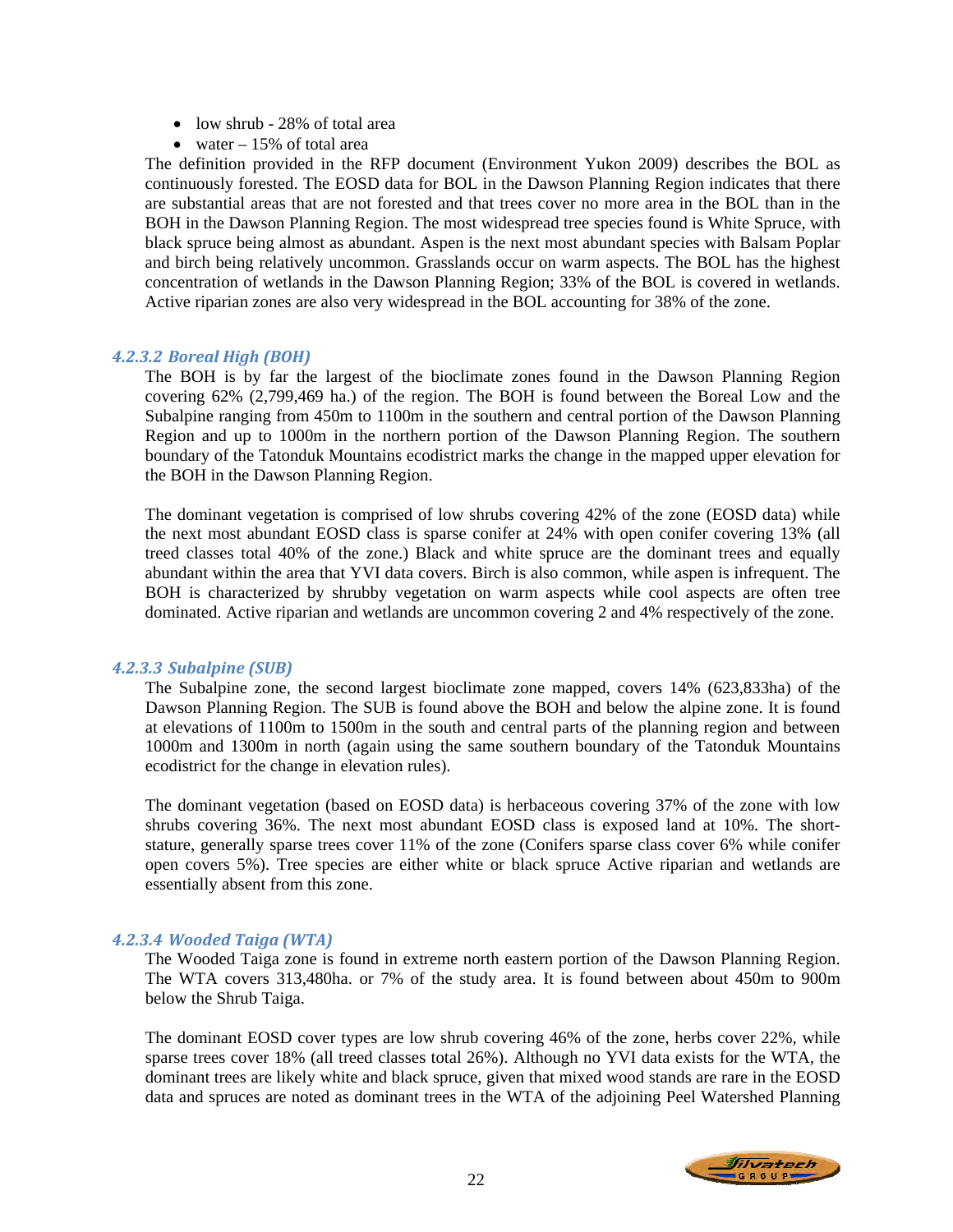- low shrub 28% of total area
- water  $-15%$  of total area

The definition provided in the RFP document (Environment Yukon 2009) describes the BOL as continuously forested. The EOSD data for BOL in the Dawson Planning Region indicates that there are substantial areas that are not forested and that trees cover no more area in the BOL than in the BOH in the Dawson Planning Region. The most widespread tree species found is White Spruce, with black spruce being almost as abundant. Aspen is the next most abundant species with Balsam Poplar and birch being relatively uncommon. Grasslands occur on warm aspects. The BOL has the highest concentration of wetlands in the Dawson Planning Region; 33% of the BOL is covered in wetlands. Active riparian zones are also very widespread in the BOL accounting for 38% of the zone.

### *4.2.3.2 Boreal High (BOH)*

The BOH is by far the largest of the bioclimate zones found in the Dawson Planning Region covering 62% (2,799,469 ha.) of the region. The BOH is found between the Boreal Low and the Subalpine ranging from 450m to 1100m in the southern and central portion of the Dawson Planning Region and up to 1000m in the northern portion of the Dawson Planning Region. The southern boundary of the Tatonduk Mountains ecodistrict marks the change in the mapped upper elevation for the BOH in the Dawson Planning Region.

The dominant vegetation is comprised of low shrubs covering 42% of the zone (EOSD data) while the next most abundant EOSD class is sparse conifer at 24% with open conifer covering 13% (all treed classes total 40% of the zone.) Black and white spruce are the dominant trees and equally abundant within the area that YVI data covers. Birch is also common, while aspen is infrequent. The BOH is characterized by shrubby vegetation on warm aspects while cool aspects are often tree dominated. Active riparian and wetlands are uncommon covering 2 and 4% respectively of the zone.

### *4.2.3.3 Subalpine (SUB)*

The Subalpine zone, the second largest bioclimate zone mapped, covers 14% (623,833ha) of the Dawson Planning Region. The SUB is found above the BOH and below the alpine zone. It is found at elevations of 1100m to 1500m in the south and central parts of the planning region and between 1000m and 1300m in north (again using the same southern boundary of the Tatonduk Mountains ecodistrict for the change in elevation rules).

The dominant vegetation (based on EOSD data) is herbaceous covering 37% of the zone with low shrubs covering 36%. The next most abundant EOSD class is exposed land at 10%. The shortstature, generally sparse trees cover 11% of the zone (Conifers sparse class cover 6% while conifer open covers 5%). Tree species are either white or black spruce Active riparian and wetlands are essentially absent from this zone.

### *4.2.3.4 Wooded Taiga (WTA)*

The Wooded Taiga zone is found in extreme north eastern portion of the Dawson Planning Region. The WTA covers 313,480ha. or 7% of the study area. It is found between about 450m to 900m below the Shrub Taiga.

The dominant EOSD cover types are low shrub covering 46% of the zone, herbs cover 22%, while sparse trees cover 18% (all treed classes total 26%). Although no YVI data exists for the WTA, the dominant trees are likely white and black spruce, given that mixed wood stands are rare in the EOSD data and spruces are noted as dominant trees in the WTA of the adjoining Peel Watershed Planning

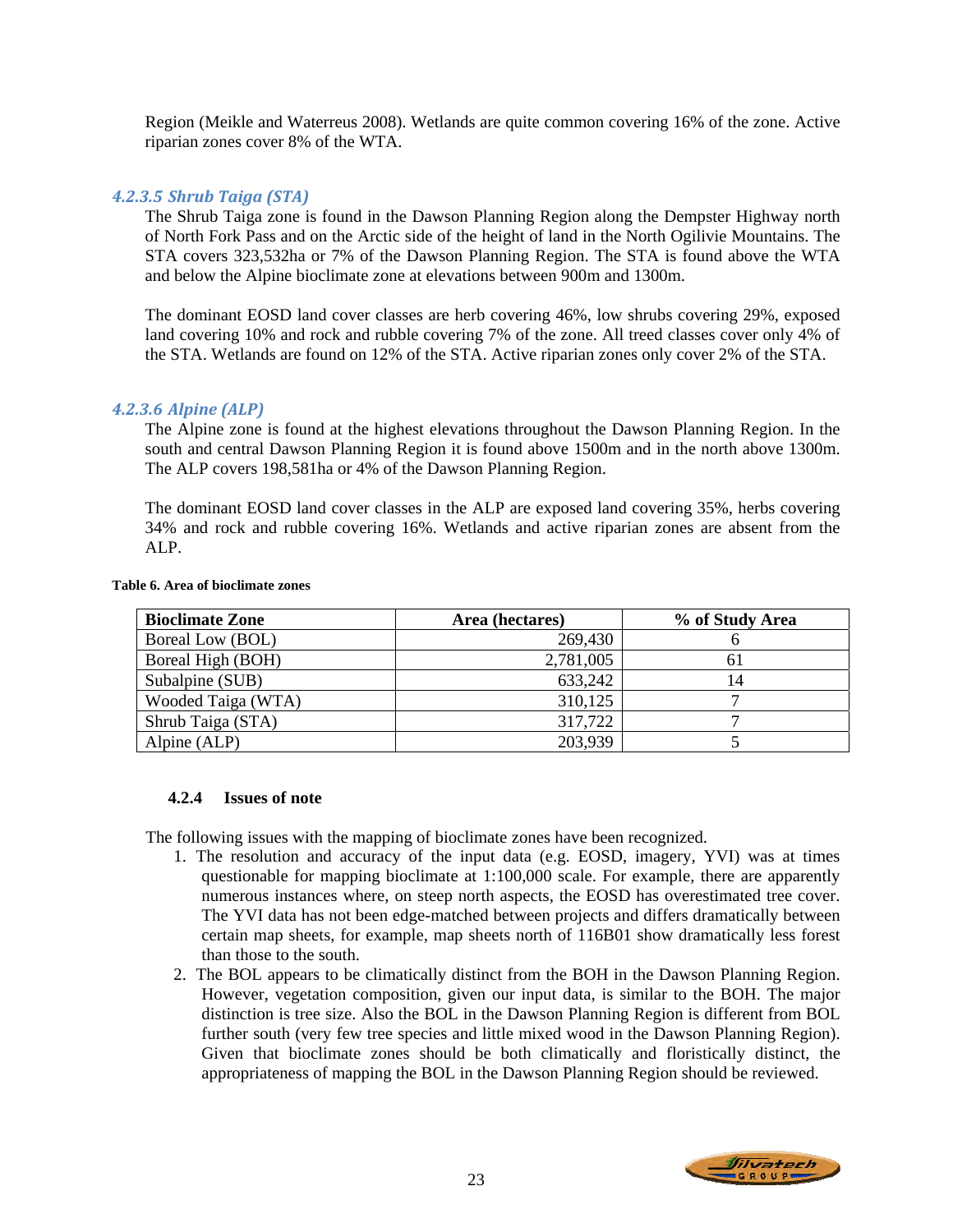Region (Meikle and Waterreus 2008). Wetlands are quite common covering 16% of the zone. Active riparian zones cover 8% of the WTA.

### *4.2.3.5 Shrub Taiga (STA)*

The Shrub Taiga zone is found in the Dawson Planning Region along the Dempster Highway north of North Fork Pass and on the Arctic side of the height of land in the North Ogilivie Mountains. The STA covers 323,532ha or 7% of the Dawson Planning Region. The STA is found above the WTA and below the Alpine bioclimate zone at elevations between 900m and 1300m.

The dominant EOSD land cover classes are herb covering 46%, low shrubs covering 29%, exposed land covering 10% and rock and rubble covering 7% of the zone. All treed classes cover only 4% of the STA. Wetlands are found on 12% of the STA. Active riparian zones only cover 2% of the STA.

#### *4.2.3.6 Alpine (ALP)*

The Alpine zone is found at the highest elevations throughout the Dawson Planning Region. In the south and central Dawson Planning Region it is found above 1500m and in the north above 1300m. The ALP covers 198,581ha or 4% of the Dawson Planning Region.

The dominant EOSD land cover classes in the ALP are exposed land covering 35%, herbs covering 34% and rock and rubble covering 16%. Wetlands and active riparian zones are absent from the ALP.

| <b>Bioclimate Zone</b> | Area (hectares) | % of Study Area |
|------------------------|-----------------|-----------------|
| Boreal Low (BOL)       | 269,430         |                 |
| Boreal High (BOH)      | 2,781,005       |                 |
| Subalpine (SUB)        | 633,242         |                 |
| Wooded Taiga (WTA)     | 310,125         |                 |
| Shrub Taiga (STA)      | 317,722         |                 |
| Alpine (ALP)           | 203,939         |                 |

#### **Table 6. Area of bioclimate zones**

#### **4.2.4 Issues of note**

The following issues with the mapping of bioclimate zones have been recognized.

- 1. The resolution and accuracy of the input data (e.g. EOSD, imagery, YVI) was at times questionable for mapping bioclimate at 1:100,000 scale. For example, there are apparently numerous instances where, on steep north aspects, the EOSD has overestimated tree cover. The YVI data has not been edge-matched between projects and differs dramatically between certain map sheets, for example, map sheets north of 116B01 show dramatically less forest than those to the south.
- 2. The BOL appears to be climatically distinct from the BOH in the Dawson Planning Region. However, vegetation composition, given our input data, is similar to the BOH. The major distinction is tree size. Also the BOL in the Dawson Planning Region is different from BOL further south (very few tree species and little mixed wood in the Dawson Planning Region). Given that bioclimate zones should be both climatically and floristically distinct, the appropriateness of mapping the BOL in the Dawson Planning Region should be reviewed.

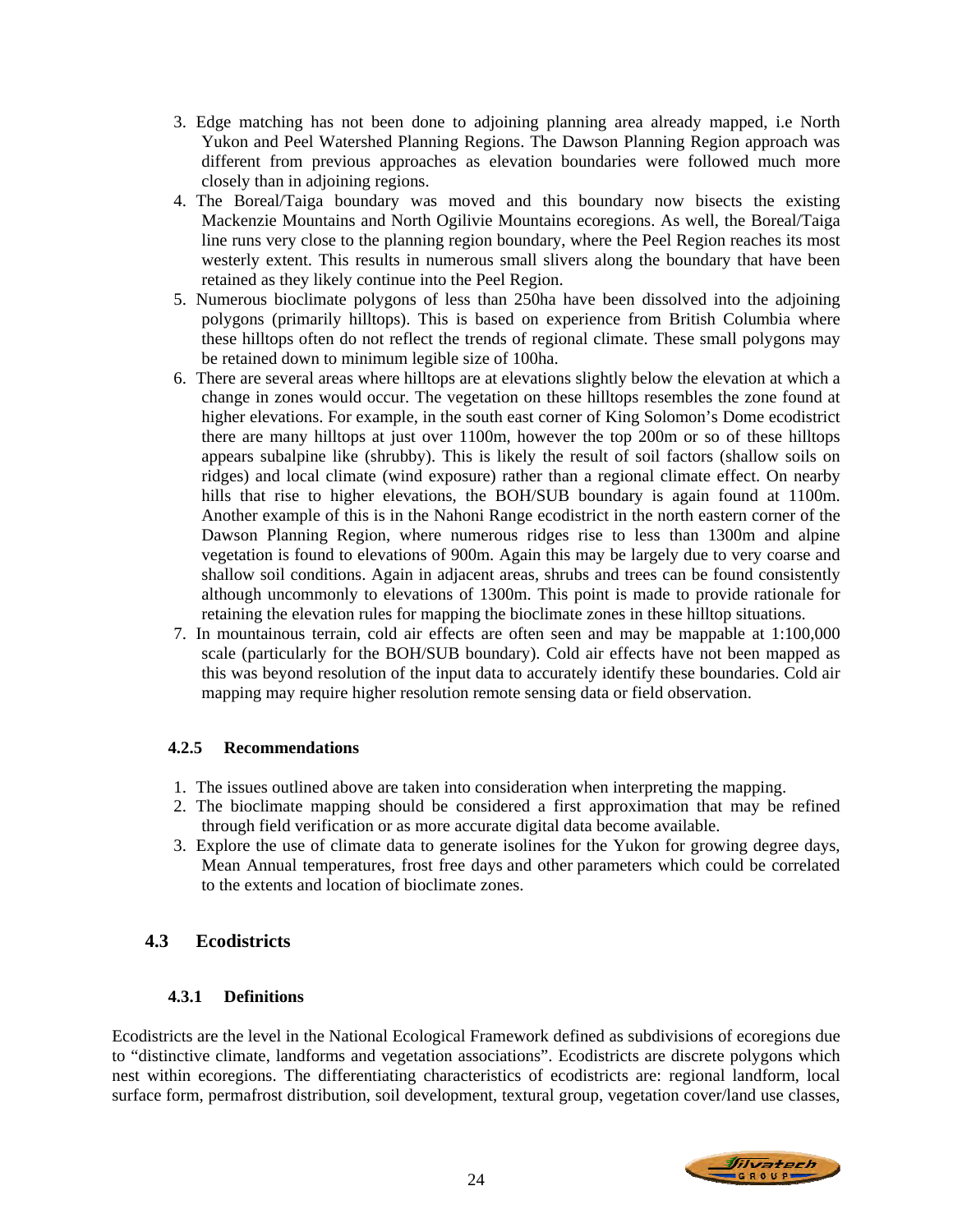- 3. Edge matching has not been done to adjoining planning area already mapped, i.e North Yukon and Peel Watershed Planning Regions. The Dawson Planning Region approach was different from previous approaches as elevation boundaries were followed much more closely than in adjoining regions.
- 4. The Boreal/Taiga boundary was moved and this boundary now bisects the existing Mackenzie Mountains and North Ogilivie Mountains ecoregions. As well, the Boreal/Taiga line runs very close to the planning region boundary, where the Peel Region reaches its most westerly extent. This results in numerous small slivers along the boundary that have been retained as they likely continue into the Peel Region.
- 5. Numerous bioclimate polygons of less than 250ha have been dissolved into the adjoining polygons (primarily hilltops). This is based on experience from British Columbia where these hilltops often do not reflect the trends of regional climate. These small polygons may be retained down to minimum legible size of 100ha.
- 6. There are several areas where hilltops are at elevations slightly below the elevation at which a change in zones would occur. The vegetation on these hilltops resembles the zone found at higher elevations. For example, in the south east corner of King Solomon's Dome ecodistrict there are many hilltops at just over 1100m, however the top 200m or so of these hilltops appears subalpine like (shrubby). This is likely the result of soil factors (shallow soils on ridges) and local climate (wind exposure) rather than a regional climate effect. On nearby hills that rise to higher elevations, the BOH/SUB boundary is again found at 1100m. Another example of this is in the Nahoni Range ecodistrict in the north eastern corner of the Dawson Planning Region, where numerous ridges rise to less than 1300m and alpine vegetation is found to elevations of 900m. Again this may be largely due to very coarse and shallow soil conditions. Again in adjacent areas, shrubs and trees can be found consistently although uncommonly to elevations of 1300m. This point is made to provide rationale for retaining the elevation rules for mapping the bioclimate zones in these hilltop situations.
- 7. In mountainous terrain, cold air effects are often seen and may be mappable at 1:100,000 scale (particularly for the BOH/SUB boundary). Cold air effects have not been mapped as this was beyond resolution of the input data to accurately identify these boundaries. Cold air mapping may require higher resolution remote sensing data or field observation.

# **4.2.5 Recommendations**

- 1. The issues outlined above are taken into consideration when interpreting the mapping.
- 2. The bioclimate mapping should be considered a first approximation that may be refined through field verification or as more accurate digital data become available.
- 3. Explore the use of climate data to generate isolines for the Yukon for growing degree days, Mean Annual temperatures, frost free days and other parameters which could be correlated to the extents and location of bioclimate zones.

# **4.3 Ecodistricts**

# **4.3.1 Definitions**

Ecodistricts are the level in the National Ecological Framework defined as subdivisions of ecoregions due to "distinctive climate, landforms and vegetation associations". Ecodistricts are discrete polygons which nest within ecoregions. The differentiating characteristics of ecodistricts are: regional landform, local surface form, permafrost distribution, soil development, textural group, vegetation cover/land use classes,

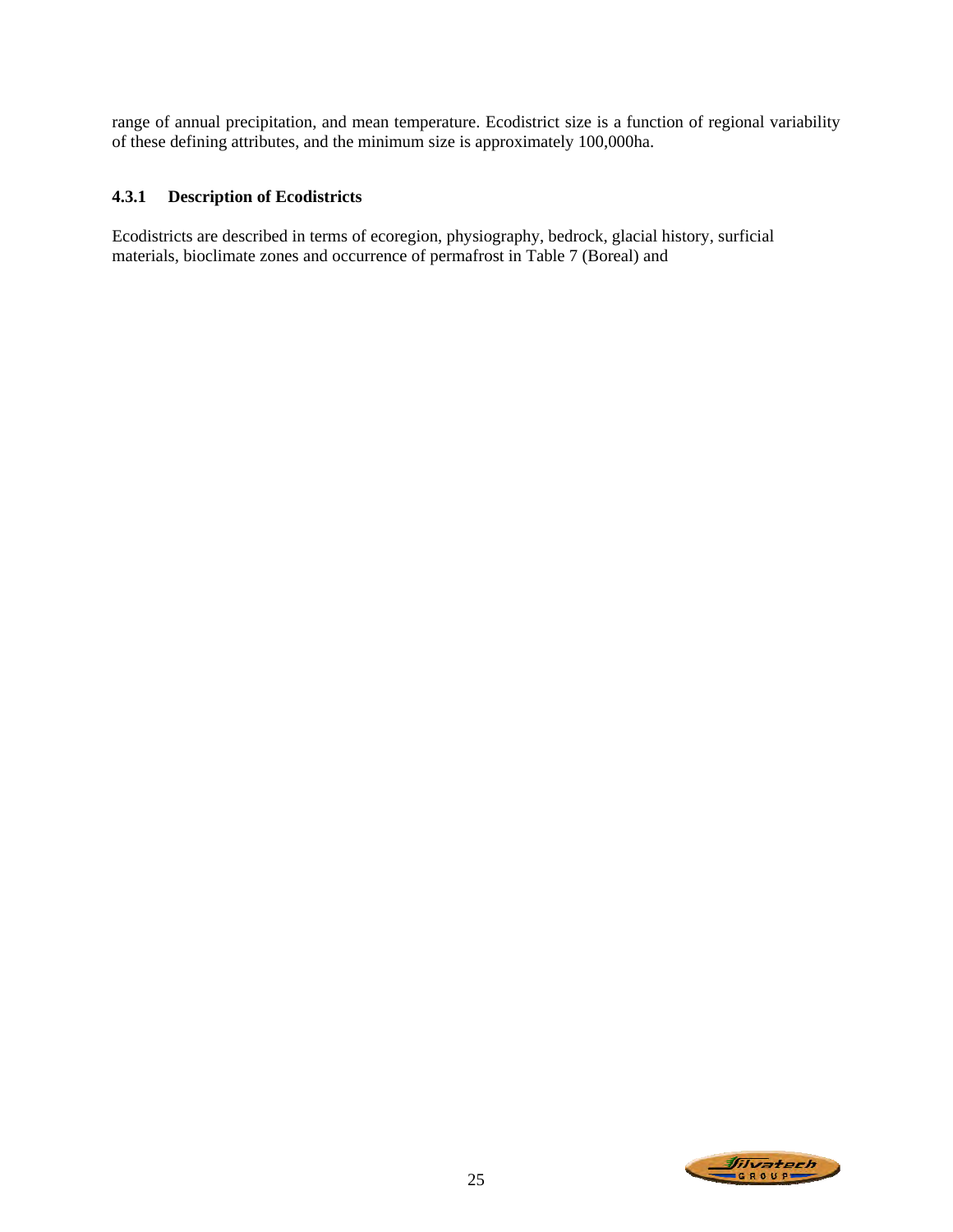range of annual precipitation, and mean temperature. Ecodistrict size is a function of regional variability of these defining attributes, and the minimum size is approximately 100,000ha.

# **4.3.1 Description of Ecodistricts**

Ecodistricts are described in terms of ecoregion, physiography, bedrock, glacial history, surficial materials, bioclimate zones and occurrence of permafrost in Table 7 (Boreal) and

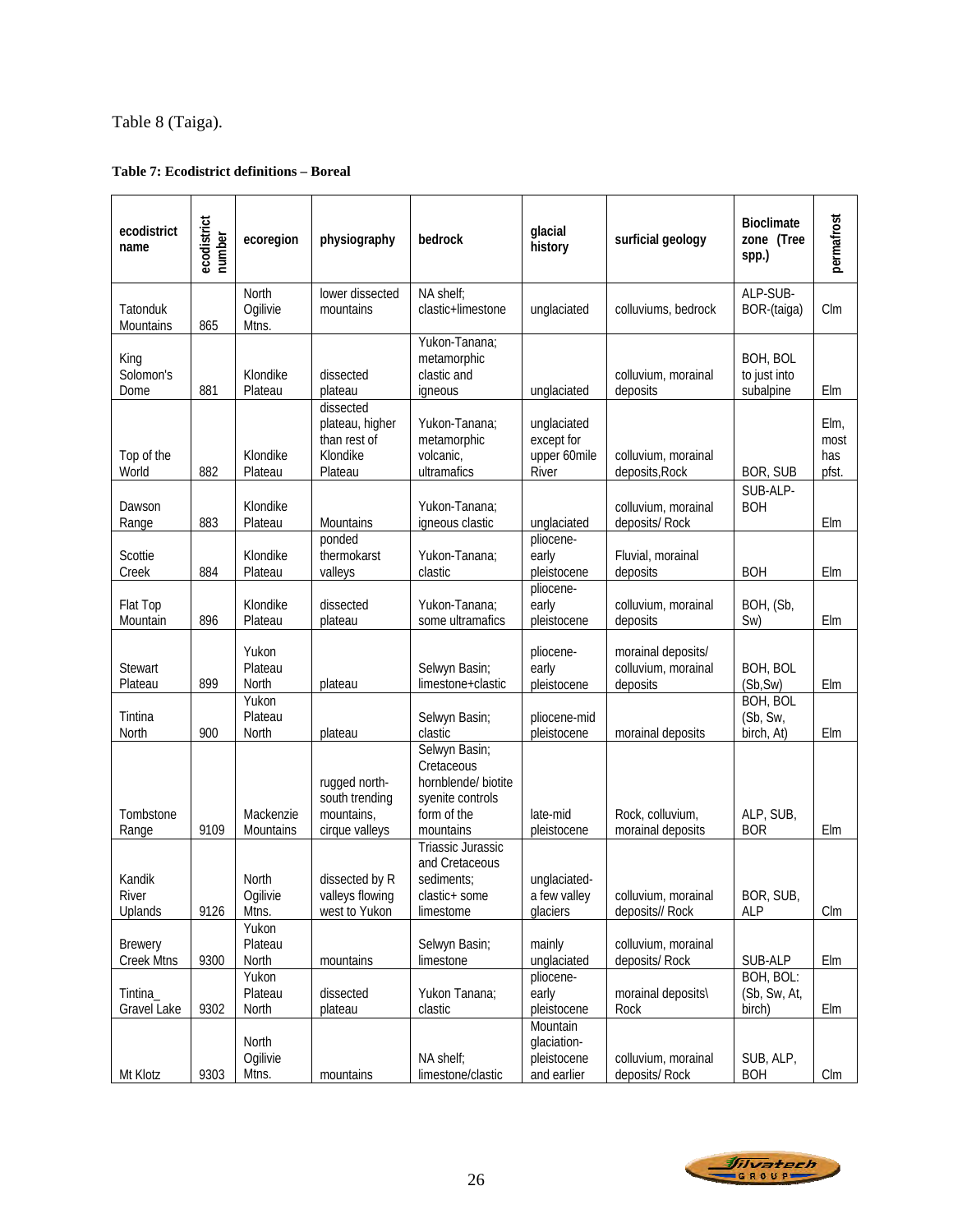# Table 8 (Taiga).

### **Table 7: Ecodistrict definitions – Boreal**

| ecodistrict<br>name                 | ecodistrict<br>number | ecoregion                  | physiography                                                        | bedrock                                                                                            | glacial<br>history                                    | surficial geology                                     | <b>Bioclimate</b><br>zone (Tree<br>spp.)  | permafrost                   |
|-------------------------------------|-----------------------|----------------------------|---------------------------------------------------------------------|----------------------------------------------------------------------------------------------------|-------------------------------------------------------|-------------------------------------------------------|-------------------------------------------|------------------------------|
| Tatonduk<br>Mountains               | 865                   | North<br>Ogilivie<br>Mtns. | lower dissected<br>mountains                                        | NA shelf;<br>clastic+limestone                                                                     | unglaciated                                           | colluviums, bedrock                                   | ALP-SUB-<br>BOR-(taiga)                   | CIm                          |
| King<br>Solomon's<br>Dome           | 881                   | Klondike<br>Plateau        | dissected<br>plateau                                                | Yukon-Tanana;<br>metamorphic<br>clastic and<br>igneous                                             | unglaciated                                           | colluvium, morainal<br>deposits                       | BOH, BOL<br>to just into<br>subalpine     | Elm                          |
| Top of the<br>World                 | 882                   | Klondike<br>Plateau        | dissected<br>plateau, higher<br>than rest of<br>Klondike<br>Plateau | Yukon-Tanana;<br>metamorphic<br>volcanic,<br>ultramafics                                           | unglaciated<br>except for<br>upper 60mile<br>River    | colluvium, morainal<br>deposits, Rock                 | BOR, SUB                                  | Elm,<br>most<br>has<br>pfst. |
| Dawson<br>Range                     | 883                   | Klondike<br>Plateau        | Mountains                                                           | Yukon-Tanana;<br>igneous clastic                                                                   | unglaciated                                           | colluvium, morainal<br>deposits/ Rock                 | SUB-ALP-<br><b>BOH</b>                    | Elm                          |
| Scottie<br>Creek                    | 884                   | Klondike<br>Plateau        | ponded<br>thermokarst<br>valleys                                    | Yukon-Tanana;<br>clastic                                                                           | pliocene-<br>early<br>pleistocene                     | Fluvial, morainal<br>deposits                         | <b>BOH</b>                                | Elm                          |
| Flat Top<br>Mountain                | 896                   | Klondike<br>Plateau        | dissected<br>plateau                                                | Yukon-Tanana;<br>some ultramafics                                                                  | pliocene-<br>early<br>pleistocene                     | colluvium, morainal<br>deposits                       | BOH, (Sb,<br>Sw)                          | Elm                          |
| Stewart<br>Plateau                  | 899                   | Yukon<br>Plateau<br>North  | plateau                                                             | Selwyn Basin;<br>limestone+clastic                                                                 | pliocene-<br>early<br>pleistocene                     | morainal deposits/<br>colluvium, morainal<br>deposits | BOH, BOL<br>(Sb, Sw)                      | Elm                          |
| Tintina<br>North                    | 900                   | Yukon<br>Plateau<br>North  | plateau                                                             | Selwyn Basin;<br>clastic                                                                           | pliocene-mid<br>pleistocene                           | morainal deposits                                     | <b>BOH, BOL</b><br>(Sb, Sw,<br>birch, At) | Elm                          |
| Tombstone<br>Range                  | 9109                  | Mackenzie<br>Mountains     | rugged north-<br>south trending<br>mountains,<br>cirque valleys     | Selwyn Basin;<br>Cretaceous<br>hornblende/ biotite<br>syenite controls<br>form of the<br>mountains | late-mid<br>pleistocene                               | Rock, colluvium,<br>morainal deposits                 | ALP, SUB,<br><b>BOR</b>                   | Elm                          |
| Kandik<br>River<br>Uplands          | 9126                  | North<br>Ogilivie<br>Mtns. | dissected by R<br>valleys flowing<br>west to Yukon                  | Triassic Jurassic<br>and Cretaceous<br>sediments;<br>clastic+ some<br>limestome                    | unglaciated-<br>a few valley<br>glaciers              | colluvium, morainal<br>deposits// Rock                | BOR, SUB,<br><b>ALP</b>                   | $C \mathsf{Im}$              |
| <b>Brewery</b><br><b>Creek Mtns</b> | 9300                  | Yukon<br>Plateau<br>North  | mountains                                                           | Selwyn Basin;<br>limestone                                                                         | mainly<br>unglaciated                                 | colluvium, morainal<br>deposits/ Rock                 | SUB-ALP                                   | Elm                          |
| Tintina_<br>Gravel Lake             | 9302                  | Yukon<br>Plateau<br>North  | dissected<br>plateau                                                | Yukon Tanana;<br>clastic                                                                           | pliocene-<br>early<br>pleistocene                     | morainal deposits\<br>Rock                            | BOH, BOL:<br>(Sb, Sw, At,<br>birch)       | Elm                          |
| Mt Klotz                            | 9303                  | North<br>Ogilivie<br>Mtns. | mountains                                                           | NA shelf;<br>limestone/clastic                                                                     | Mountain<br>glaciation-<br>pleistocene<br>and earlier | colluvium, morainal<br>deposits/ Rock                 | SUB, ALP,<br><b>BOH</b>                   | Clm                          |

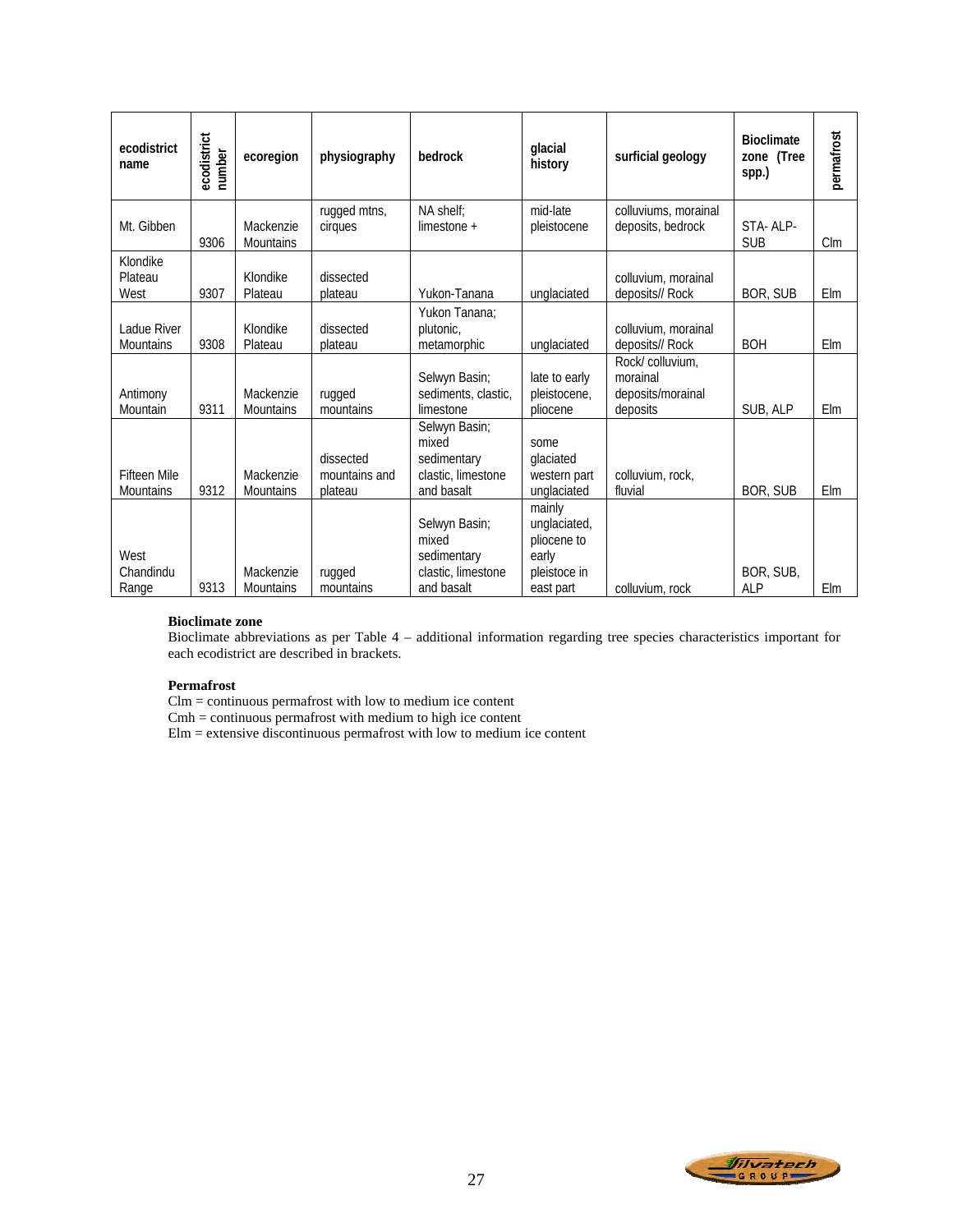| ecodistrict<br>name                     | ecodistrict<br>number | ecoregion                     | physiography                          | bedrock                                                                   | glacial<br>history                                                          | surficial geology                                            | <b>Bioclimate</b><br>zone (Tree<br>spp.) | permafrost |
|-----------------------------------------|-----------------------|-------------------------------|---------------------------------------|---------------------------------------------------------------------------|-----------------------------------------------------------------------------|--------------------------------------------------------------|------------------------------------------|------------|
| Mt. Gibben                              | 9306                  | Mackenzie<br><b>Mountains</b> | rugged mtns,<br>cirques               | NA shelf:<br>$l$ imestone +                                               | mid-late<br>pleistocene                                                     | colluviums, morainal<br>deposits, bedrock                    | STA-ALP-<br><b>SUB</b>                   | $C \,$ Im  |
| Klondike<br>Plateau<br>West             | 9307                  | Klondike<br>Plateau           | dissected<br>plateau                  | Yukon-Tanana                                                              | unglaciated                                                                 | colluvium, morainal<br>deposits// Rock                       | BOR, SUB                                 | Elm        |
| Ladue River<br><b>Mountains</b>         | 9308                  | Klondike<br>Plateau           | dissected<br>plateau                  | Yukon Tanana:<br>plutonic,<br>metamorphic                                 | unglaciated                                                                 | colluvium, morainal<br>deposits// Rock                       | <b>BOH</b>                               | Elm        |
| Antimony<br>Mountain                    | 9311                  | Mackenzie<br><b>Mountains</b> | rugged<br>mountains                   | Selwyn Basin;<br>sediments, clastic,<br>limestone                         | late to early<br>pleistocene,<br>pliocene                                   | Rock/colluvium.<br>morainal<br>deposits/morainal<br>deposits | SUB, ALP                                 | Elm        |
| <b>Fifteen Mile</b><br><b>Mountains</b> | 9312                  | Mackenzie<br><b>Mountains</b> | dissected<br>mountains and<br>plateau | Selwyn Basin;<br>mixed<br>sedimentary<br>clastic, limestone<br>and basalt | some<br>glaciated<br>western part<br>unglaciated                            | colluvium, rock,<br>fluvial                                  | BOR, SUB                                 | Elm        |
| West<br>Chandindu<br>Range              | 9313                  | Mackenzie<br><b>Mountains</b> | rugged<br>mountains                   | Selwyn Basin;<br>mixed<br>sedimentary<br>clastic, limestone<br>and basalt | mainly<br>unglaciated,<br>pliocene to<br>early<br>pleistoce in<br>east part | colluvium, rock                                              | BOR, SUB,<br><b>ALP</b>                  | Elm        |

#### **Bioclimate zone**

Bioclimate abbreviations as per Table 4 – additional information regarding tree species characteristics important for each ecodistrict are described in brackets.

#### **Permafrost**

Clm = continuous permafrost with low to medium ice content

 $Cmh =$  continuous permafrost with medium to high ice content

Elm = extensive discontinuous permafrost with low to medium ice content

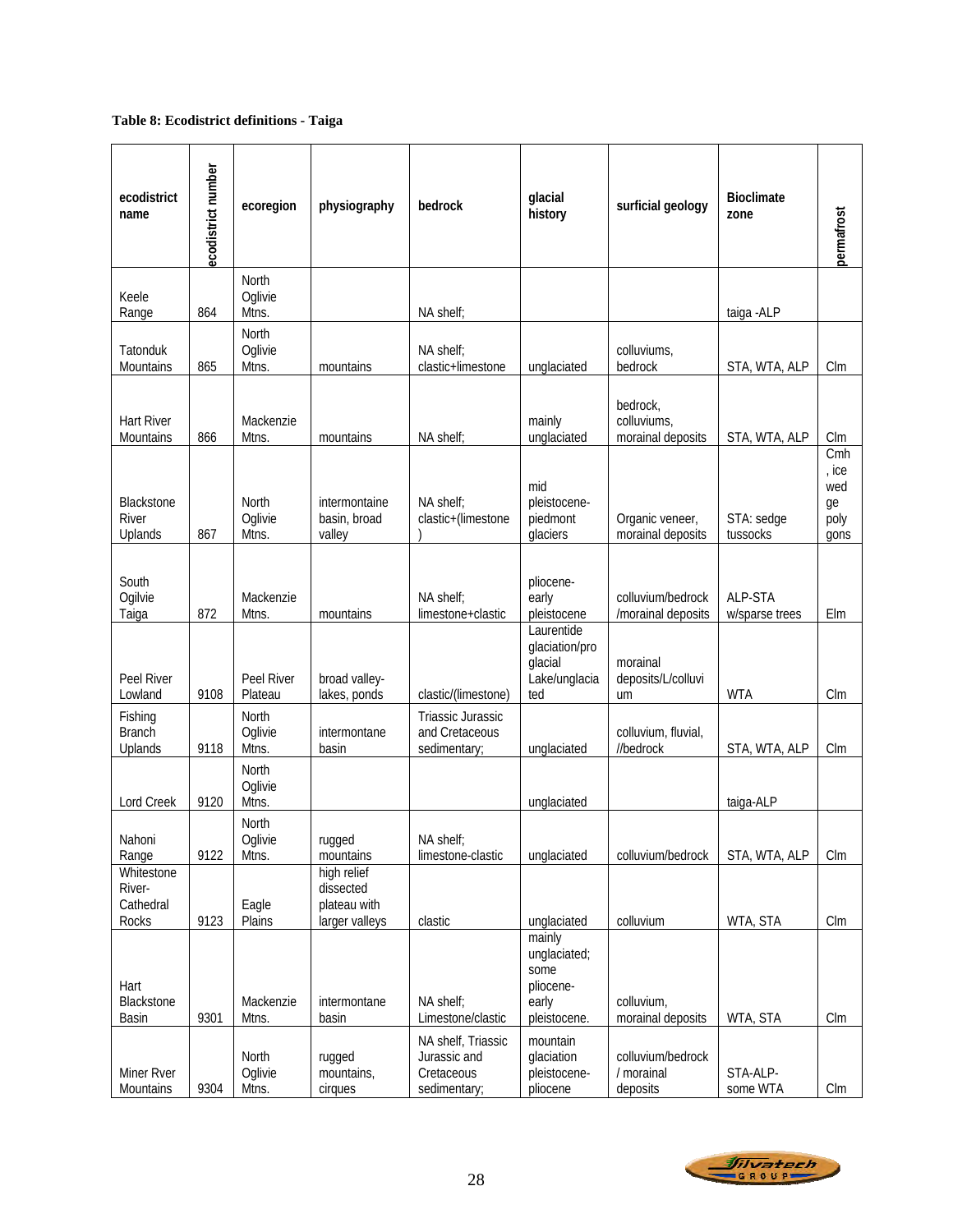### **Table 8: Ecodistrict definitions - Taiga**

| ecodistrict<br>name                        | ecodistrict number | ecoregion                        | physiography                                               | bedrock                                                          | glacial<br>history                                                   | surficial geology                            | <b>Bioclimate</b><br>zone | permafrost                                |
|--------------------------------------------|--------------------|----------------------------------|------------------------------------------------------------|------------------------------------------------------------------|----------------------------------------------------------------------|----------------------------------------------|---------------------------|-------------------------------------------|
| Keele<br>Range                             | 864                | North<br>Oglivie<br>Mtns.        |                                                            | NA shelf;                                                        |                                                                      |                                              | taiga - ALP               |                                           |
| Tatonduk<br>Mountains                      | 865                | North<br>Oglivie<br>Mtns.        | mountains                                                  | NA shelf;<br>clastic+limestone                                   | unglaciated                                                          | colluviums,<br>bedrock                       | STA, WTA, ALP             | Clm                                       |
| <b>Hart River</b><br>Mountains             | 866                | Mackenzie<br>Mtns.               | mountains                                                  | NA shelf:                                                        | mainly<br>unglaciated                                                | bedrock,<br>colluviums,<br>morainal deposits | STA, WTA, ALP             | CIm                                       |
| <b>Blackstone</b><br>River<br>Uplands      | 867                | North<br>Oglivie<br>Mtns.        | intermontaine<br>basin, broad<br>valley                    | NA shelf:<br>clastic+(limestone                                  | mid<br>pleistocene-<br>piedmont<br>glaciers                          | Organic veneer,<br>morainal deposits         | STA: sedge<br>tussocks    | Cmh<br>, ice<br>wed<br>ge<br>poly<br>gons |
| South<br>Ogilvie<br>Taiga                  | 872                | Mackenzie<br>Mtns.               | mountains                                                  | NA shelf:<br>limestone+clastic                                   | pliocene-<br>early<br>pleistocene                                    | colluvium/bedrock<br>/morainal deposits      | ALP-STA<br>w/sparse trees | Elm                                       |
| Peel River<br>Lowland                      | 9108               | Peel River<br>Plateau            | broad valley-<br>lakes, ponds                              | clastic/(limestone)                                              | Laurentide<br>glaciation/pro<br>glacial<br>Lake/unglacia<br>ted      | morainal<br>deposits/L/colluvi<br>um         | <b>WTA</b>                | Clm                                       |
| Fishing<br><b>Branch</b><br>Uplands        | 9118               | North<br>Oglivie<br>Mtns.        | intermontane<br>basin                                      | Triassic Jurassic<br>and Cretaceous<br>sedimentary;              | unglaciated                                                          | colluvium, fluvial,<br>//bedrock             | STA, WTA, ALP             | Clm                                       |
| Lord Creek                                 | 9120               | North<br>Oglivie<br>Mtns.        |                                                            |                                                                  | unglaciated                                                          |                                              | taiga-ALP                 |                                           |
| Nahoni<br>Range                            | 9122               | <b>North</b><br>Oglivie<br>Mtns. | rugged<br>mountains                                        | NA shelf:<br>limestone-clastic                                   | unglaciated                                                          | colluvium/bedrock                            | STA, WTA, ALP             | $C \,$ lm                                 |
| Whitestone<br>River-<br>Cathedral<br>Rocks | 9123               | Eagle<br>Plains                  | high relief<br>dissected<br>plateau with<br>larger valleys | clastic                                                          | unglaciated                                                          | colluvium                                    | WTA, STA                  | $C \,$ lm                                 |
| Hart<br>Blackstone<br>Basin                | 9301               | Mackenzie<br>Mtns.               | intermontane<br>basin                                      | NA shelf:<br>Limestone/clastic                                   | mainly<br>unglaciated;<br>some<br>pliocene-<br>early<br>pleistocene. | colluvium,<br>morainal deposits              | WTA, STA                  | CIm                                       |
| Miner Rver<br>Mountains                    | 9304               | North<br>Oglivie<br>Mtns.        | rugged<br>mountains,<br>cirques                            | NA shelf, Triassic<br>Jurassic and<br>Cretaceous<br>sedimentary; | mountain<br>glaciation<br>pleistocene-<br>pliocene                   | colluvium/bedrock<br>/ morainal<br>deposits  | STA-ALP-<br>some WTA      | $C$ Im                                    |

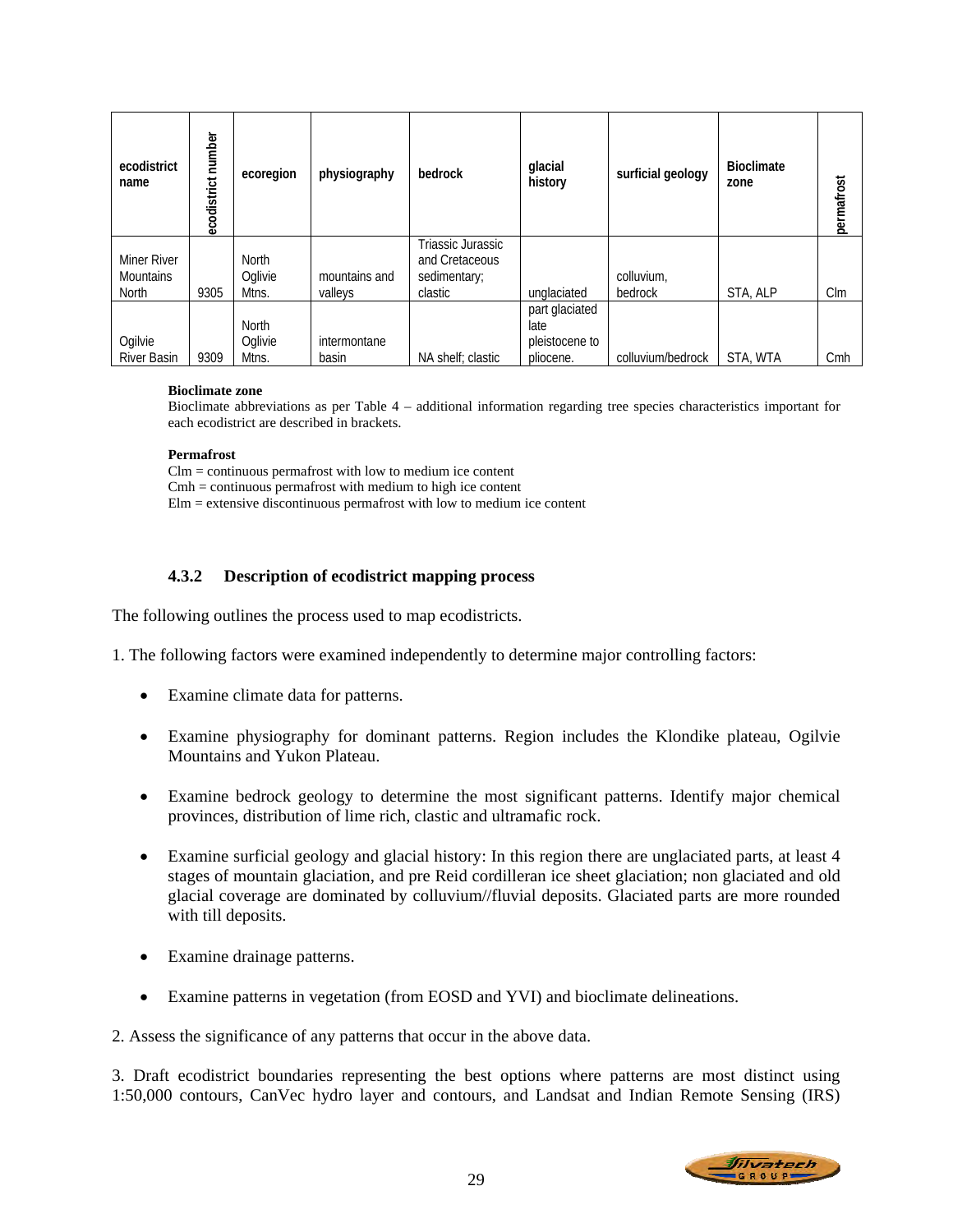| ecodistrict<br>name                      | ecodistrict number | ecoregion                 | physiography             | bedrock                                                        | glacial<br>history                                    | surficial geology     | <b>Bioclimate</b><br>zone | permafrost |
|------------------------------------------|--------------------|---------------------------|--------------------------|----------------------------------------------------------------|-------------------------------------------------------|-----------------------|---------------------------|------------|
| Miner River<br><b>Mountains</b><br>North | 9305               | North<br>Oglivie<br>Mtns. | mountains and<br>valleys | Triassic Jurassic<br>and Cretaceous<br>sedimentary;<br>clastic | unglaciated                                           | colluvium.<br>bedrock | STA, ALP                  | $C \,$ lm  |
| Ogilvie<br><b>River Basin</b>            | 9309               | North<br>Oglivie<br>Mtns. | intermontane<br>basin    | NA shelf; clastic                                              | part glaciated<br>late<br>pleistocene to<br>pliocene. | colluvium/bedrock     | STA, WTA                  | Cmh        |

#### **Bioclimate zone**

Bioclimate abbreviations as per Table 4 – additional information regarding tree species characteristics important for each ecodistrict are described in brackets.

#### **Permafrost**

Clm = continuous permafrost with low to medium ice content Cmh = continuous permafrost with medium to high ice content

 $E$ lm = extensive discontinuous permafrost with low to medium ice content

### **4.3.2 Description of ecodistrict mapping process**

The following outlines the process used to map ecodistricts.

1. The following factors were examined independently to determine major controlling factors:

- Examine climate data for patterns.
- Examine physiography for dominant patterns. Region includes the Klondike plateau, Ogilvie Mountains and Yukon Plateau.
- Examine bedrock geology to determine the most significant patterns. Identify major chemical provinces, distribution of lime rich, clastic and ultramafic rock.
- Examine surficial geology and glacial history: In this region there are unglaciated parts, at least 4 stages of mountain glaciation, and pre Reid cordilleran ice sheet glaciation; non glaciated and old glacial coverage are dominated by colluvium//fluvial deposits. Glaciated parts are more rounded with till deposits.
- Examine drainage patterns.
- Examine patterns in vegetation (from EOSD and YVI) and bioclimate delineations.

2. Assess the significance of any patterns that occur in the above data.

3. Draft ecodistrict boundaries representing the best options where patterns are most distinct using 1:50,000 contours, CanVec hydro layer and contours, and Landsat and Indian Remote Sensing (IRS)

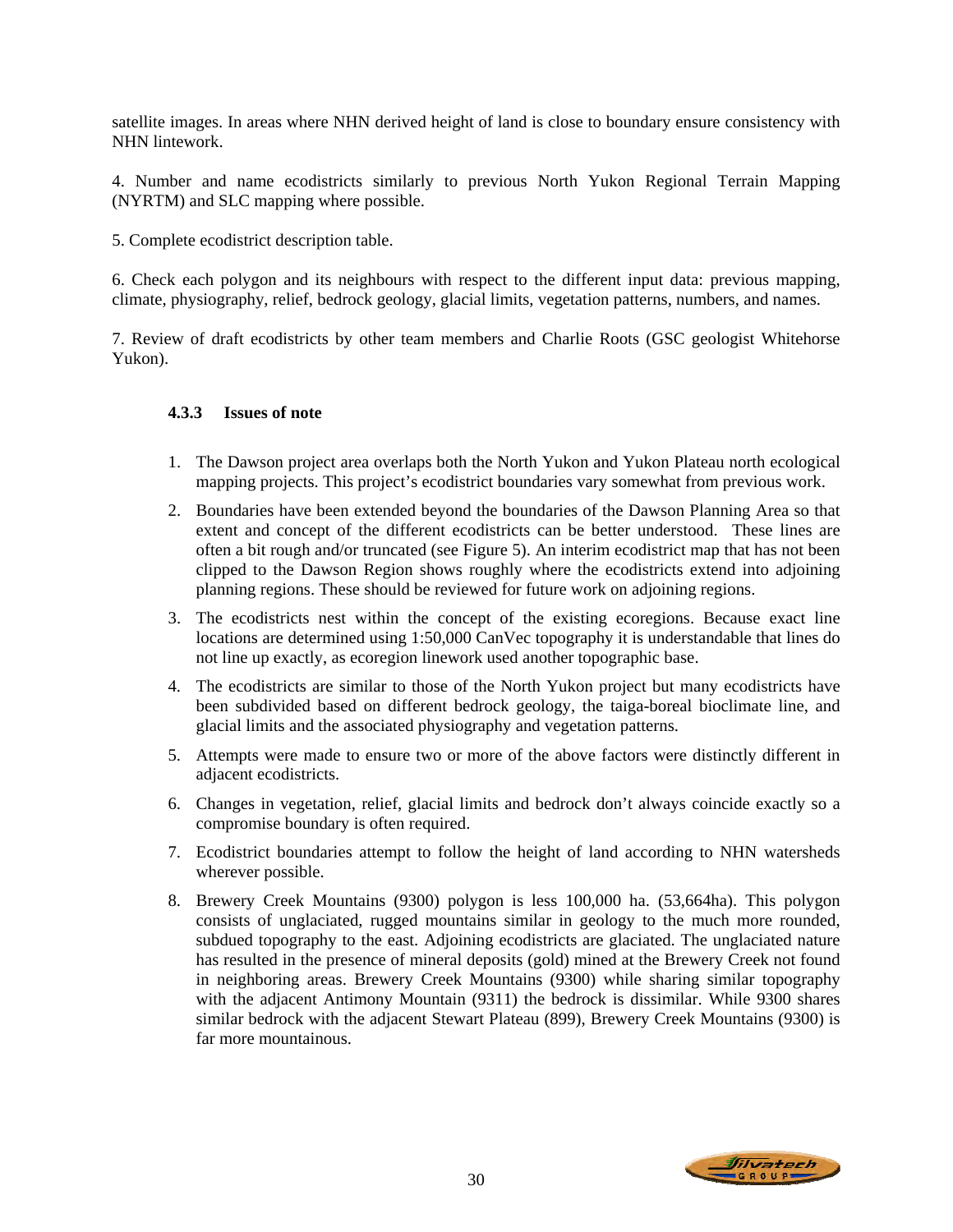satellite images. In areas where NHN derived height of land is close to boundary ensure consistency with NHN lintework.

4. Number and name ecodistricts similarly to previous North Yukon Regional Terrain Mapping (NYRTM) and SLC mapping where possible.

5. Complete ecodistrict description table.

6. Check each polygon and its neighbours with respect to the different input data: previous mapping, climate, physiography, relief, bedrock geology, glacial limits, vegetation patterns, numbers, and names.

7. Review of draft ecodistricts by other team members and Charlie Roots (GSC geologist Whitehorse Yukon).

# **4.3.3 Issues of note**

- 1. The Dawson project area overlaps both the North Yukon and Yukon Plateau north ecological mapping projects. This project's ecodistrict boundaries vary somewhat from previous work.
- 2. Boundaries have been extended beyond the boundaries of the Dawson Planning Area so that extent and concept of the different ecodistricts can be better understood. These lines are often a bit rough and/or truncated (see Figure 5). An interim ecodistrict map that has not been clipped to the Dawson Region shows roughly where the ecodistricts extend into adjoining planning regions. These should be reviewed for future work on adjoining regions.
- 3. The ecodistricts nest within the concept of the existing ecoregions. Because exact line locations are determined using 1:50,000 CanVec topography it is understandable that lines do not line up exactly, as ecoregion linework used another topographic base.
- 4. The ecodistricts are similar to those of the North Yukon project but many ecodistricts have been subdivided based on different bedrock geology, the taiga-boreal bioclimate line, and glacial limits and the associated physiography and vegetation patterns.
- 5. Attempts were made to ensure two or more of the above factors were distinctly different in adjacent ecodistricts.
- 6. Changes in vegetation, relief, glacial limits and bedrock don't always coincide exactly so a compromise boundary is often required.
- 7. Ecodistrict boundaries attempt to follow the height of land according to NHN watersheds wherever possible.
- 8. Brewery Creek Mountains (9300) polygon is less 100,000 ha. (53,664ha). This polygon consists of unglaciated, rugged mountains similar in geology to the much more rounded, subdued topography to the east. Adjoining ecodistricts are glaciated. The unglaciated nature has resulted in the presence of mineral deposits (gold) mined at the Brewery Creek not found in neighboring areas. Brewery Creek Mountains (9300) while sharing similar topography with the adjacent Antimony Mountain (9311) the bedrock is dissimilar. While 9300 shares similar bedrock with the adjacent Stewart Plateau (899), Brewery Creek Mountains (9300) is far more mountainous.

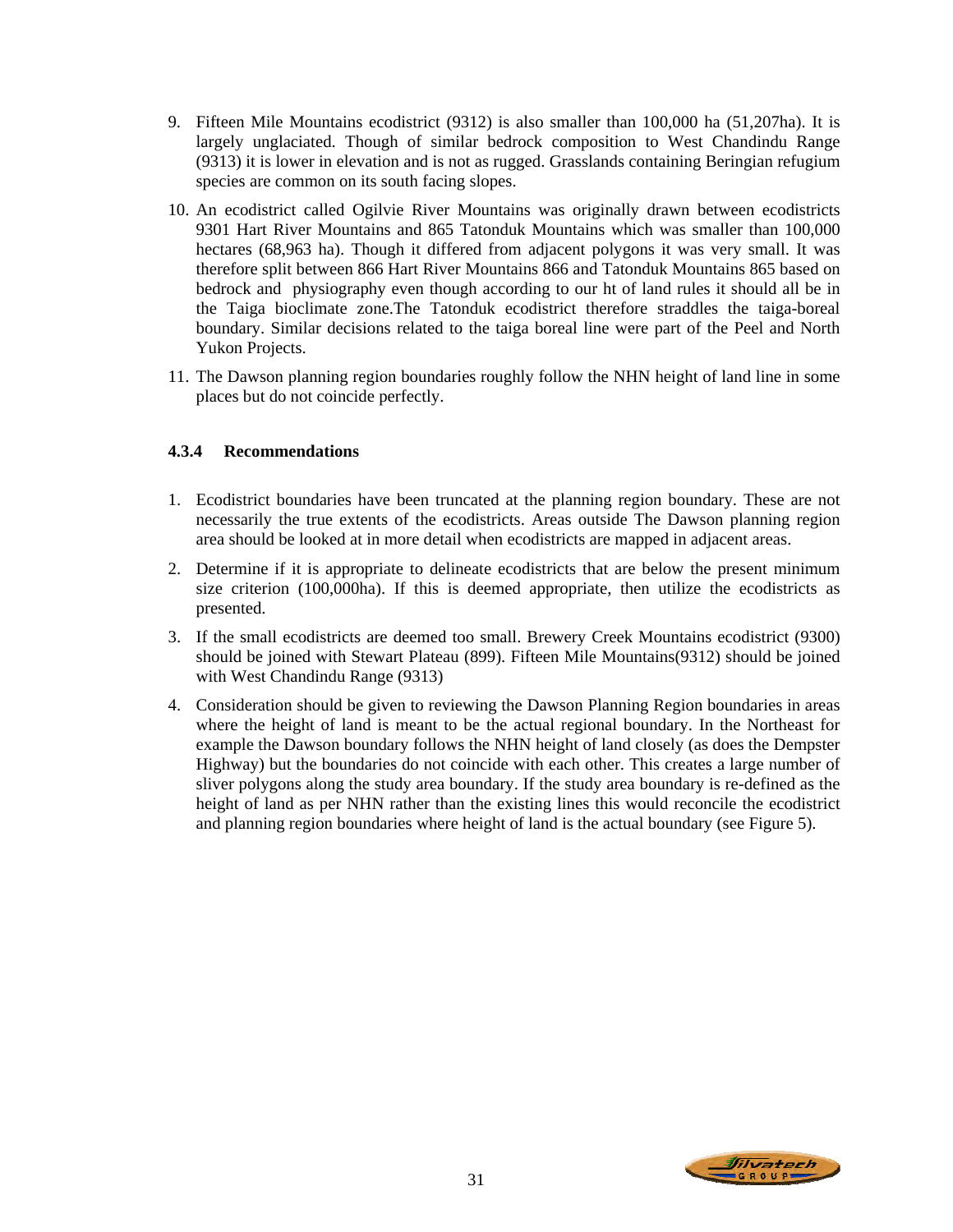- 9. Fifteen Mile Mountains ecodistrict (9312) is also smaller than 100,000 ha (51,207ha). It is largely unglaciated. Though of similar bedrock composition to West Chandindu Range (9313) it is lower in elevation and is not as rugged. Grasslands containing Beringian refugium species are common on its south facing slopes.
- 10. An ecodistrict called Ogilvie River Mountains was originally drawn between ecodistricts 9301 Hart River Mountains and 865 Tatonduk Mountains which was smaller than 100,000 hectares (68,963 ha). Though it differed from adjacent polygons it was very small. It was therefore split between 866 Hart River Mountains 866 and Tatonduk Mountains 865 based on bedrock and physiography even though according to our ht of land rules it should all be in the Taiga bioclimate zone.The Tatonduk ecodistrict therefore straddles the taiga-boreal boundary. Similar decisions related to the taiga boreal line were part of the Peel and North Yukon Projects.
- 11. The Dawson planning region boundaries roughly follow the NHN height of land line in some places but do not coincide perfectly.

# **4.3.4 Recommendations**

- 1. Ecodistrict boundaries have been truncated at the planning region boundary. These are not necessarily the true extents of the ecodistricts. Areas outside The Dawson planning region area should be looked at in more detail when ecodistricts are mapped in adjacent areas.
- 2. Determine if it is appropriate to delineate ecodistricts that are below the present minimum size criterion (100,000ha). If this is deemed appropriate, then utilize the ecodistricts as presented.
- 3. If the small ecodistricts are deemed too small. Brewery Creek Mountains ecodistrict (9300) should be joined with Stewart Plateau (899). Fifteen Mile Mountains(9312) should be joined with West Chandindu Range (9313)
- 4. Consideration should be given to reviewing the Dawson Planning Region boundaries in areas where the height of land is meant to be the actual regional boundary. In the Northeast for example the Dawson boundary follows the NHN height of land closely (as does the Dempster Highway) but the boundaries do not coincide with each other. This creates a large number of sliver polygons along the study area boundary. If the study area boundary is re-defined as the height of land as per NHN rather than the existing lines this would reconcile the ecodistrict and planning region boundaries where height of land is the actual boundary (see Figure 5).

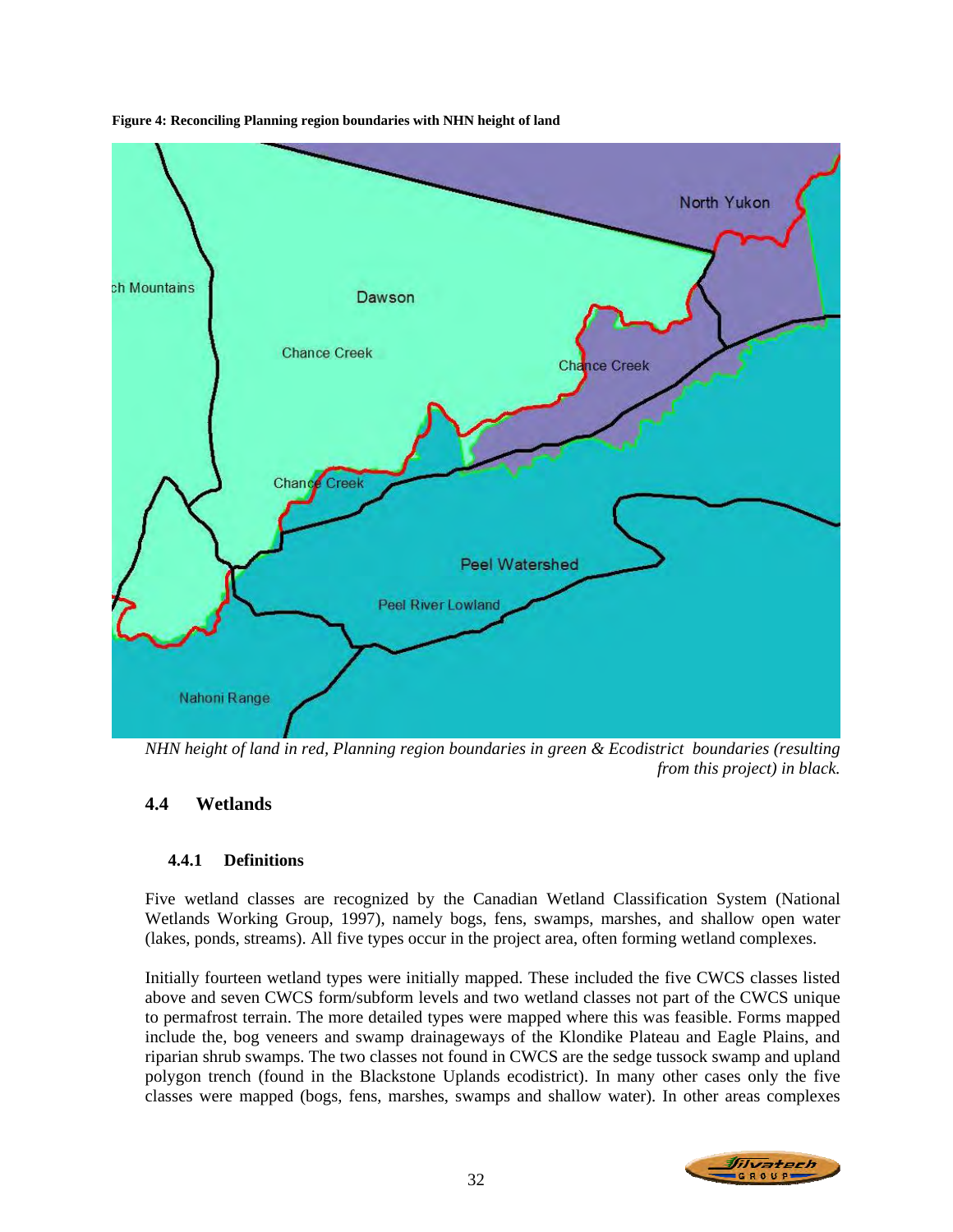

**Figure 4: Reconciling Planning region boundaries with NHN height of land** 

*NHN height of land in red, Planning region boundaries in green & Ecodistrict boundaries (resulting from this project) in black.* 

# **4.4 Wetlands**

# **4.4.1 Definitions**

Five wetland classes are recognized by the Canadian Wetland Classification System (National Wetlands Working Group, 1997), namely bogs, fens, swamps, marshes, and shallow open water (lakes, ponds, streams). All five types occur in the project area, often forming wetland complexes.

Initially fourteen wetland types were initially mapped. These included the five CWCS classes listed above and seven CWCS form/subform levels and two wetland classes not part of the CWCS unique to permafrost terrain. The more detailed types were mapped where this was feasible. Forms mapped include the, bog veneers and swamp drainageways of the Klondike Plateau and Eagle Plains, and riparian shrub swamps. The two classes not found in CWCS are the sedge tussock swamp and upland polygon trench (found in the Blackstone Uplands ecodistrict). In many other cases only the five classes were mapped (bogs, fens, marshes, swamps and shallow water). In other areas complexes

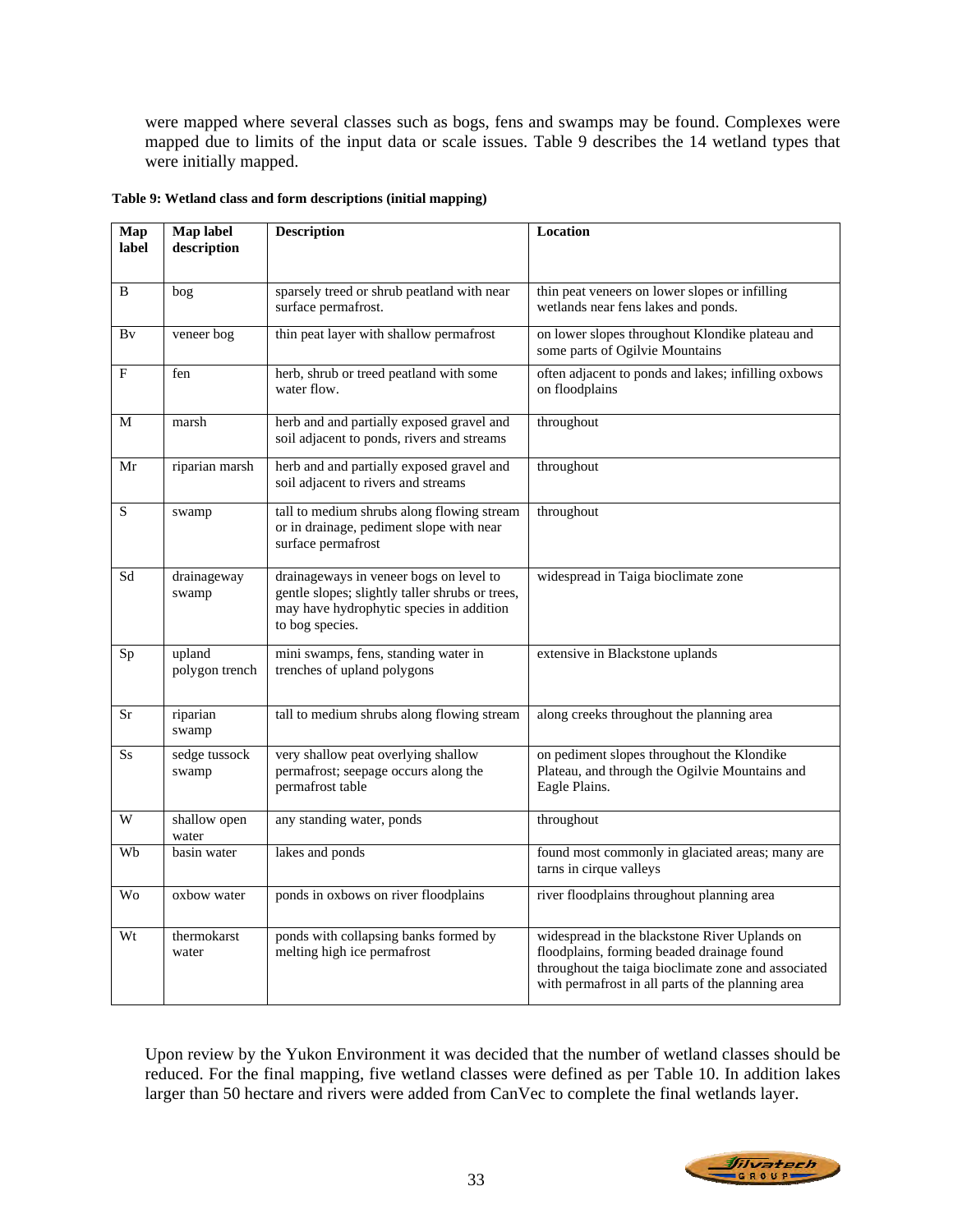were mapped where several classes such as bogs, fens and swamps may be found. Complexes were mapped due to limits of the input data or scale issues. Table 9 describes the 14 wetland types that were initially mapped.

| Map<br>label | Map label<br>description | <b>Description</b>                                                                                                                                        | Location                                                                                                                                                                                                |
|--------------|--------------------------|-----------------------------------------------------------------------------------------------------------------------------------------------------------|---------------------------------------------------------------------------------------------------------------------------------------------------------------------------------------------------------|
| B            | bog                      | sparsely treed or shrub peatland with near<br>surface permafrost.                                                                                         | thin peat veneers on lower slopes or infilling<br>wetlands near fens lakes and ponds.                                                                                                                   |
| Bv           | veneer bog               | thin peat layer with shallow permafrost                                                                                                                   | on lower slopes throughout Klondike plateau and<br>some parts of Ogilvie Mountains                                                                                                                      |
| F            | fen                      | herb, shrub or treed peatland with some<br>water flow.                                                                                                    | often adjacent to ponds and lakes; infilling oxbows<br>on floodplains                                                                                                                                   |
| M            | marsh                    | herb and and partially exposed gravel and<br>soil adjacent to ponds, rivers and streams                                                                   | throughout                                                                                                                                                                                              |
| Mr           | riparian marsh           | herb and and partially exposed gravel and<br>soil adjacent to rivers and streams                                                                          | throughout                                                                                                                                                                                              |
| S            | swamp                    | tall to medium shrubs along flowing stream<br>or in drainage, pediment slope with near<br>surface permafrost                                              | throughout                                                                                                                                                                                              |
| Sd           | drainageway<br>swamp     | drainageways in veneer bogs on level to<br>gentle slopes; slightly taller shrubs or trees,<br>may have hydrophytic species in addition<br>to bog species. | widespread in Taiga bioclimate zone                                                                                                                                                                     |
| Sp           | upland<br>polygon trench | mini swamps, fens, standing water in<br>trenches of upland polygons                                                                                       | extensive in Blackstone uplands                                                                                                                                                                         |
| Sr           | riparian<br>swamp        | tall to medium shrubs along flowing stream                                                                                                                | along creeks throughout the planning area                                                                                                                                                               |
| <b>Ss</b>    | sedge tussock<br>swamp   | very shallow peat overlying shallow<br>permafrost; seepage occurs along the<br>permafrost table                                                           | on pediment slopes throughout the Klondike<br>Plateau, and through the Ogilvie Mountains and<br>Eagle Plains.                                                                                           |
| W            | shallow open<br>water    | any standing water, ponds                                                                                                                                 | throughout                                                                                                                                                                                              |
| Wb           | basin water              | lakes and ponds                                                                                                                                           | found most commonly in glaciated areas; many are<br>tarns in cirque valleys                                                                                                                             |
| <b>Wo</b>    | oxbow water              | ponds in oxbows on river floodplains                                                                                                                      | river floodplains throughout planning area                                                                                                                                                              |
| Wt           | thermokarst<br>water     | ponds with collapsing banks formed by<br>melting high ice permafrost                                                                                      | widespread in the blackstone River Uplands on<br>floodplains, forming beaded drainage found<br>throughout the taiga bioclimate zone and associated<br>with permafrost in all parts of the planning area |

**Table 9: Wetland class and form descriptions (initial mapping)** 

Upon review by the Yukon Environment it was decided that the number of wetland classes should be reduced. For the final mapping, five wetland classes were defined as per Table 10. In addition lakes larger than 50 hectare and rivers were added from CanVec to complete the final wetlands layer.

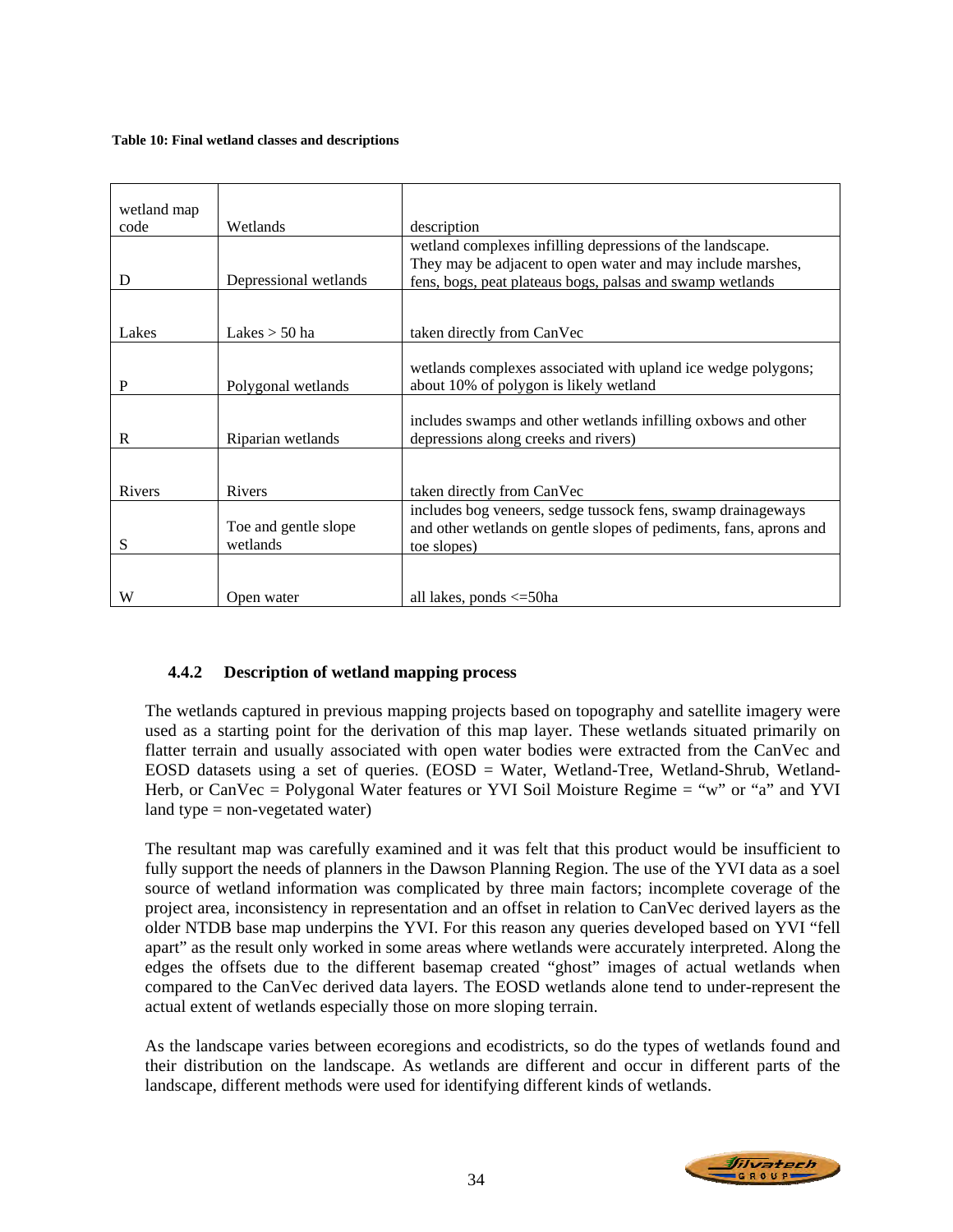#### **Table 10: Final wetland classes and descriptions**

| wetland map<br>code | Wetlands                         | description                                                                                                                                                                           |
|---------------------|----------------------------------|---------------------------------------------------------------------------------------------------------------------------------------------------------------------------------------|
| D                   | Depressional wetlands            | wetland complexes infilling depressions of the landscape.<br>They may be adjacent to open water and may include marshes,<br>fens, bogs, peat plateaus bogs, palsas and swamp wetlands |
| Lakes               | Lakes $>$ 50 ha                  | taken directly from CanVec                                                                                                                                                            |
| P                   | Polygonal wetlands               | wetlands complexes associated with upland ice wedge polygons;<br>about 10% of polygon is likely wetland                                                                               |
| R                   | Riparian wetlands                | includes swamps and other wetlands infilling oxbows and other<br>depressions along creeks and rivers)                                                                                 |
| Rivers              | Rivers                           | taken directly from CanVec                                                                                                                                                            |
| S                   | Toe and gentle slope<br>wetlands | includes bog veneers, sedge tussock fens, swamp drainageways<br>and other wetlands on gentle slopes of pediments, fans, aprons and<br>toe slopes)                                     |
| W                   | Open water                       | all lakes, ponds $\leq$ =50ha                                                                                                                                                         |

# **4.4.2 Description of wetland mapping process**

The wetlands captured in previous mapping projects based on topography and satellite imagery were used as a starting point for the derivation of this map layer. These wetlands situated primarily on flatter terrain and usually associated with open water bodies were extracted from the CanVec and EOSD datasets using a set of queries. (EOSD = Water, Wetland-Tree, Wetland-Shrub, Wetland-Herb, or CanVec = Polygonal Water features or YVI Soil Moisture Regime = "w" or "a" and YVI land type  $=$  non-vegetated water)

The resultant map was carefully examined and it was felt that this product would be insufficient to fully support the needs of planners in the Dawson Planning Region. The use of the YVI data as a soel source of wetland information was complicated by three main factors; incomplete coverage of the project area, inconsistency in representation and an offset in relation to CanVec derived layers as the older NTDB base map underpins the YVI. For this reason any queries developed based on YVI "fell apart" as the result only worked in some areas where wetlands were accurately interpreted. Along the edges the offsets due to the different basemap created "ghost" images of actual wetlands when compared to the CanVec derived data layers. The EOSD wetlands alone tend to under-represent the actual extent of wetlands especially those on more sloping terrain.

As the landscape varies between ecoregions and ecodistricts, so do the types of wetlands found and their distribution on the landscape. As wetlands are different and occur in different parts of the landscape, different methods were used for identifying different kinds of wetlands.

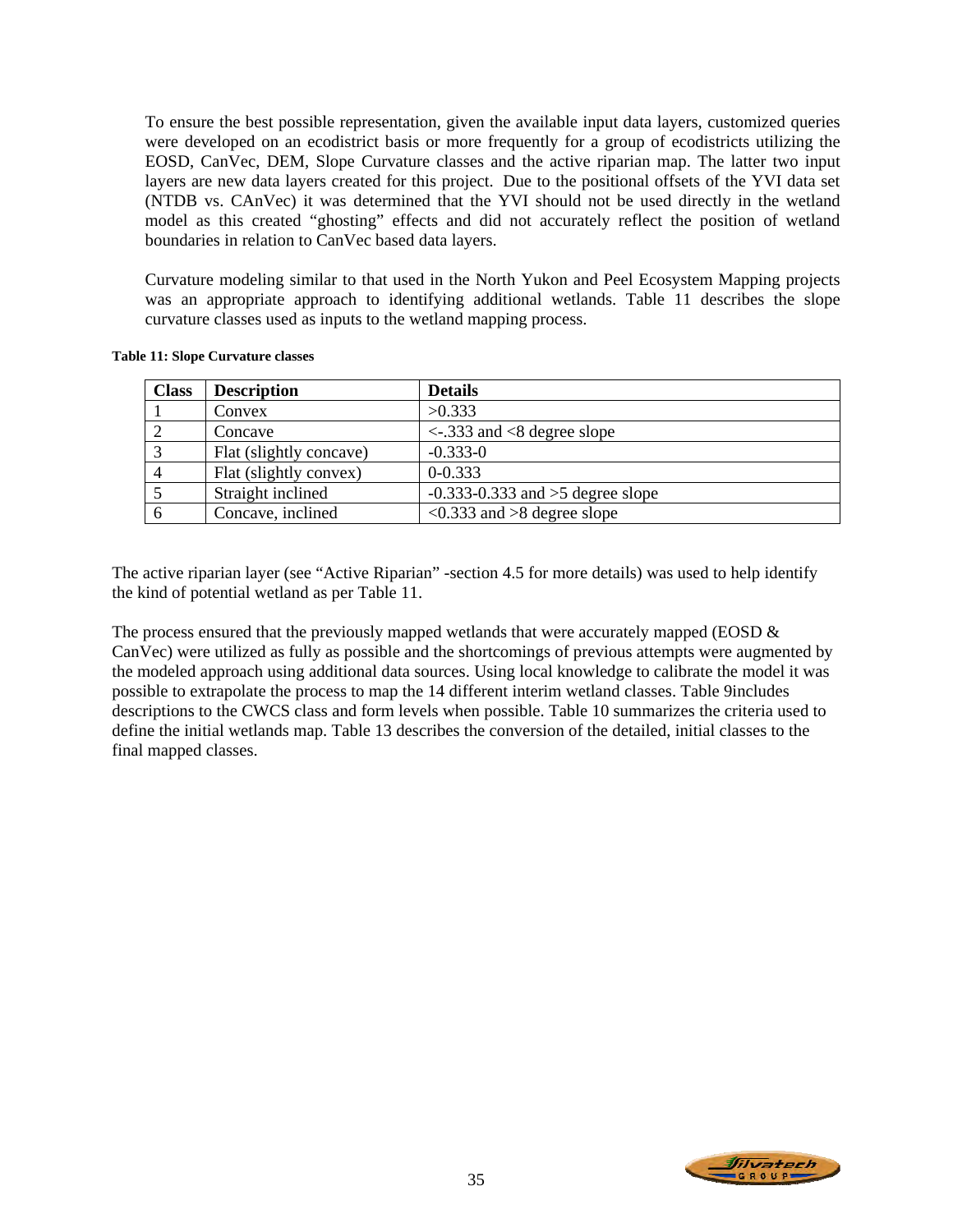To ensure the best possible representation, given the available input data layers, customized queries were developed on an ecodistrict basis or more frequently for a group of ecodistricts utilizing the EOSD, CanVec, DEM, Slope Curvature classes and the active riparian map. The latter two input layers are new data layers created for this project. Due to the positional offsets of the YVI data set (NTDB vs. CAnVec) it was determined that the YVI should not be used directly in the wetland model as this created "ghosting" effects and did not accurately reflect the position of wetland boundaries in relation to CanVec based data layers.

Curvature modeling similar to that used in the North Yukon and Peel Ecosystem Mapping projects was an appropriate approach to identifying additional wetlands. Table 11 describes the slope curvature classes used as inputs to the wetland mapping process.

| <b>Class</b> | <b>Description</b>      | <b>Details</b>                                              |
|--------------|-------------------------|-------------------------------------------------------------|
|              | Convex                  | >0.333                                                      |
|              | Concave                 | $\langle -333 \rangle$ and $\langle 8 \rangle$ degree slope |
| $\mathbf 3$  | Flat (slightly concave) | $-0.333 - 0$                                                |
|              | Flat (slightly convex)  | $0 - 0.333$                                                 |
|              | Straight inclined       | $-0.333 - 0.333$ and $>5$ degree slope                      |
|              | Concave, inclined       | $\langle 0.333 \rangle$ and $>8$ degree slope               |

**Table 11: Slope Curvature classes** 

The active riparian layer (see "Active Riparian" -section 4.5 for more details) was used to help identify the kind of potential wetland as per Table 11.

The process ensured that the previously mapped wetlands that were accurately mapped (EOSD & CanVec) were utilized as fully as possible and the shortcomings of previous attempts were augmented by the modeled approach using additional data sources. Using local knowledge to calibrate the model it was possible to extrapolate the process to map the 14 different interim wetland classes. Table 9includes descriptions to the CWCS class and form levels when possible. Table 10 summarizes the criteria used to define the initial wetlands map. Table 13 describes the conversion of the detailed, initial classes to the final mapped classes.

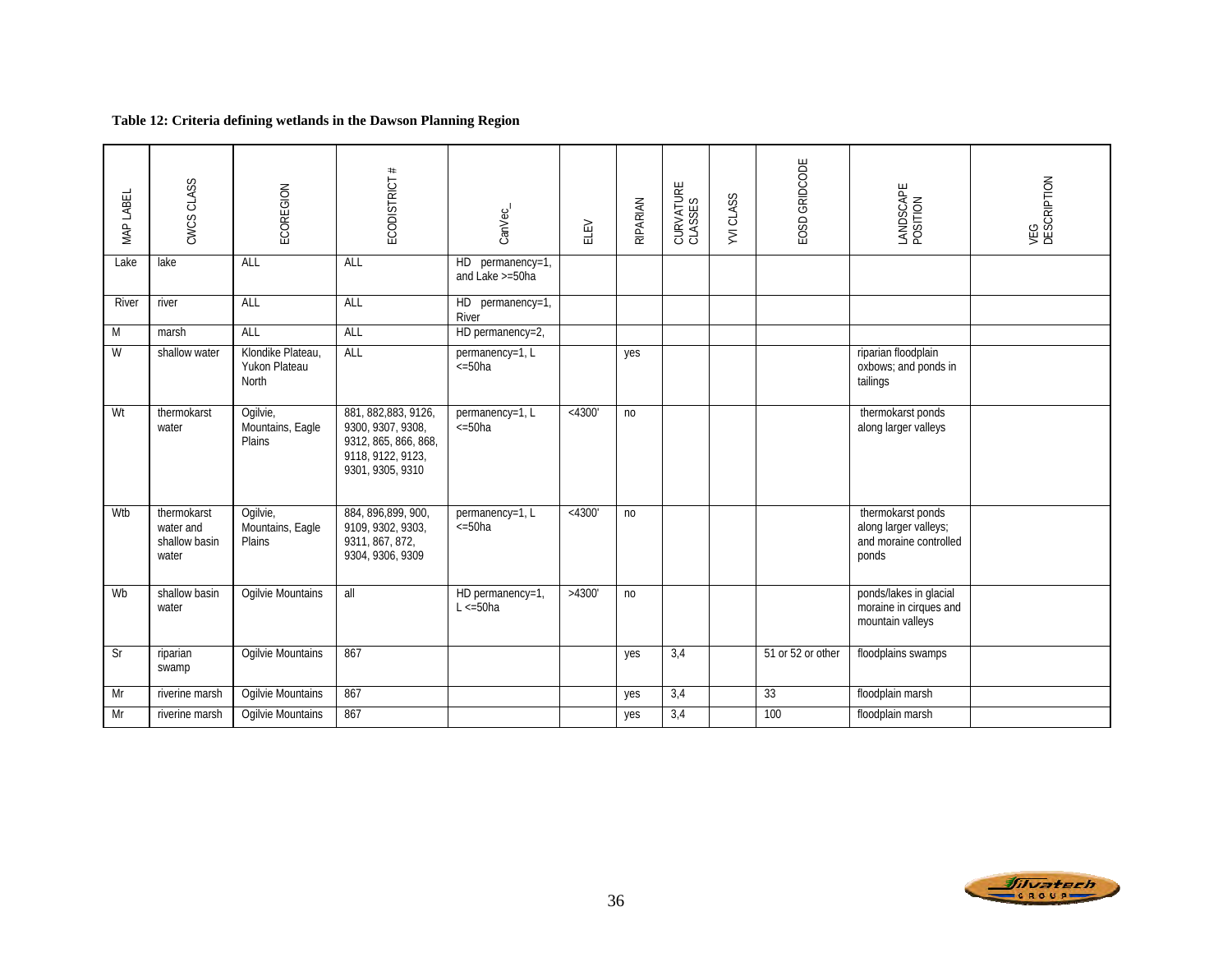### **Table 12: Criteria defining wetlands in the Dawson Planning Region**

| MAP LABEL                 | CWCS CLASS                                         | ECOREGION                                   | ECODISTRICT#                                                                                               | CanVec_                               | ELEV      | RIPARIAN       | CURVATURE<br>CLASSES | YVI CLASS | EOSD GRIDCODE     | LANDSCAPE<br>POSITION                                                         | VEG<br>DESCRIPTION |
|---------------------------|----------------------------------------------------|---------------------------------------------|------------------------------------------------------------------------------------------------------------|---------------------------------------|-----------|----------------|----------------------|-----------|-------------------|-------------------------------------------------------------------------------|--------------------|
| Lake                      | lake                                               | ALL                                         | ALL                                                                                                        | HD permanency=1,<br>and Lake >=50ha   |           |                |                      |           |                   |                                                                               |                    |
| River                     | river                                              | ALL                                         | ALL                                                                                                        | HD permanency=1,<br>River             |           |                |                      |           |                   |                                                                               |                    |
| $\overline{M}$            | marsh                                              | ALL                                         | ALL                                                                                                        | HD permanency=2,                      |           |                |                      |           |                   |                                                                               |                    |
| W                         | shallow water                                      | Klondike Plateau,<br>Yukon Plateau<br>North | ALL                                                                                                        | permanency=1, L<br>$\epsilon = 50$ ha |           | yes            |                      |           |                   | riparian floodplain<br>oxbows; and ponds in<br>tailings                       |                    |
| Wt                        | thermokarst<br>water                               | Ogilvie,<br>Mountains, Eagle<br>Plains      | 881, 882, 883, 9126,<br>9300, 9307, 9308,<br>9312, 865, 866, 868,<br>9118, 9122, 9123,<br>9301, 9305, 9310 | permanency=1, L<br>$\epsilon = 50$ ha | $<$ 4300' | n <sub>0</sub> |                      |           |                   | thermokarst ponds<br>along larger valleys                                     |                    |
| Wtb                       | thermokarst<br>water and<br>shallow basin<br>water | Ogilvie,<br>Mountains, Eagle<br>Plains      | 884, 896, 899, 900,<br>9109, 9302, 9303,<br>9311, 867, 872,<br>9304, 9306, 9309                            | permanency=1, L<br>$\epsilon = 50$ ha | < 4300'   | no             |                      |           |                   | thermokarst ponds<br>along larger valleys;<br>and moraine controlled<br>ponds |                    |
| Wb                        | shallow basin<br>water                             | <b>Ogilvie Mountains</b>                    | all                                                                                                        | HD permanency=1,<br>$L \le 50$ ha     | >4300'    | no             |                      |           |                   | ponds/lakes in glacial<br>moraine in cirques and<br>mountain valleys          |                    |
| $\overline{\mathsf{S}}$ r | riparian<br>swamp                                  | Ogilvie Mountains                           | 867                                                                                                        |                                       |           | yes            | 3,4                  |           | 51 or 52 or other | floodplains swamps                                                            |                    |
| Mr                        | riverine marsh                                     | Ogilvie Mountains                           | 867                                                                                                        |                                       |           | yes            | 3,4                  |           | 33                | floodplain marsh                                                              |                    |
| Mr                        | riverine marsh                                     | Ogilvie Mountains                           | 867                                                                                                        |                                       |           | yes            | 3,4                  |           | 100               | floodplain marsh                                                              |                    |

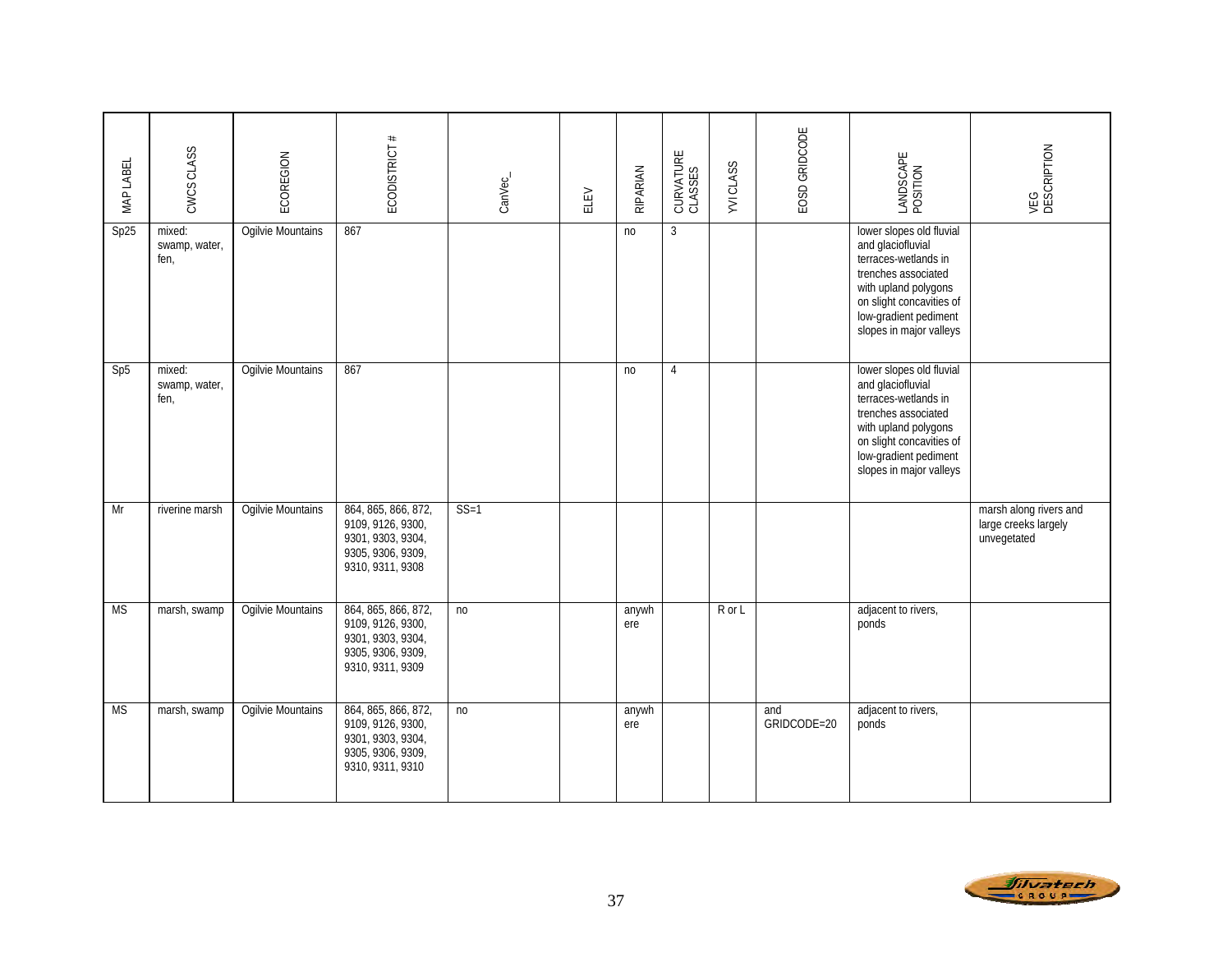| MAP LABEL | CWCS CLASS                      | ECOREGION                | ECODISTRICT #                                                                                          | CanVec_        | ELEV | RIPARIAN       | CURVATURE<br>CLASSES | <b>YVICLASS</b> | EOSD GRIDCODE      | LANDSCAPE<br>POSITION                                                                                                                                                                                | VEG<br>DESCRIPTION                                            |
|-----------|---------------------------------|--------------------------|--------------------------------------------------------------------------------------------------------|----------------|------|----------------|----------------------|-----------------|--------------------|------------------------------------------------------------------------------------------------------------------------------------------------------------------------------------------------------|---------------------------------------------------------------|
| Sp25      | mixed:<br>swamp, water,<br>fen, | Ogilvie Mountains        | 867                                                                                                    |                |      | n <sub>o</sub> | $\mathbf{3}$         |                 |                    | lower slopes old fluvial<br>and glaciofluvial<br>terraces-wetlands in<br>trenches associated<br>with upland polygons<br>on slight concavities of<br>low-gradient pediment<br>slopes in major valleys |                                                               |
| Sp5       | mixed:<br>swamp, water,<br>fen, | <b>Ogilvie Mountains</b> | 867                                                                                                    |                |      | no             | $\overline{4}$       |                 |                    | lower slopes old fluvial<br>and glaciofluvial<br>terraces-wetlands in<br>trenches associated<br>with upland polygons<br>on slight concavities of<br>low-gradient pediment<br>slopes in major valleys |                                                               |
| Mr        | riverine marsh                  | <b>Ogilvie Mountains</b> | 864, 865, 866, 872,<br>9109, 9126, 9300,<br>9301, 9303, 9304,<br>9305, 9306, 9309,<br>9310, 9311, 9308 | $SS=1$         |      |                |                      |                 |                    |                                                                                                                                                                                                      | marsh along rivers and<br>large creeks largely<br>unvegetated |
| <b>MS</b> | marsh, swamp                    | Ogilvie Mountains        | 864, 865, 866, 872,<br>9109, 9126, 9300,<br>9301, 9303, 9304,<br>9305, 9306, 9309,<br>9310, 9311, 9309 | n <sub>0</sub> |      | anywh<br>ere   |                      | R or L          |                    | adjacent to rivers,<br>ponds                                                                                                                                                                         |                                                               |
| <b>MS</b> | marsh, swamp                    | Ogilvie Mountains        | 864, 865, 866, 872,<br>9109, 9126, 9300,<br>9301, 9303, 9304,<br>9305, 9306, 9309,<br>9310, 9311, 9310 | n <sub>0</sub> |      | anywh<br>ere   |                      |                 | and<br>GRIDCODE=20 | adjacent to rivers,<br>ponds                                                                                                                                                                         |                                                               |

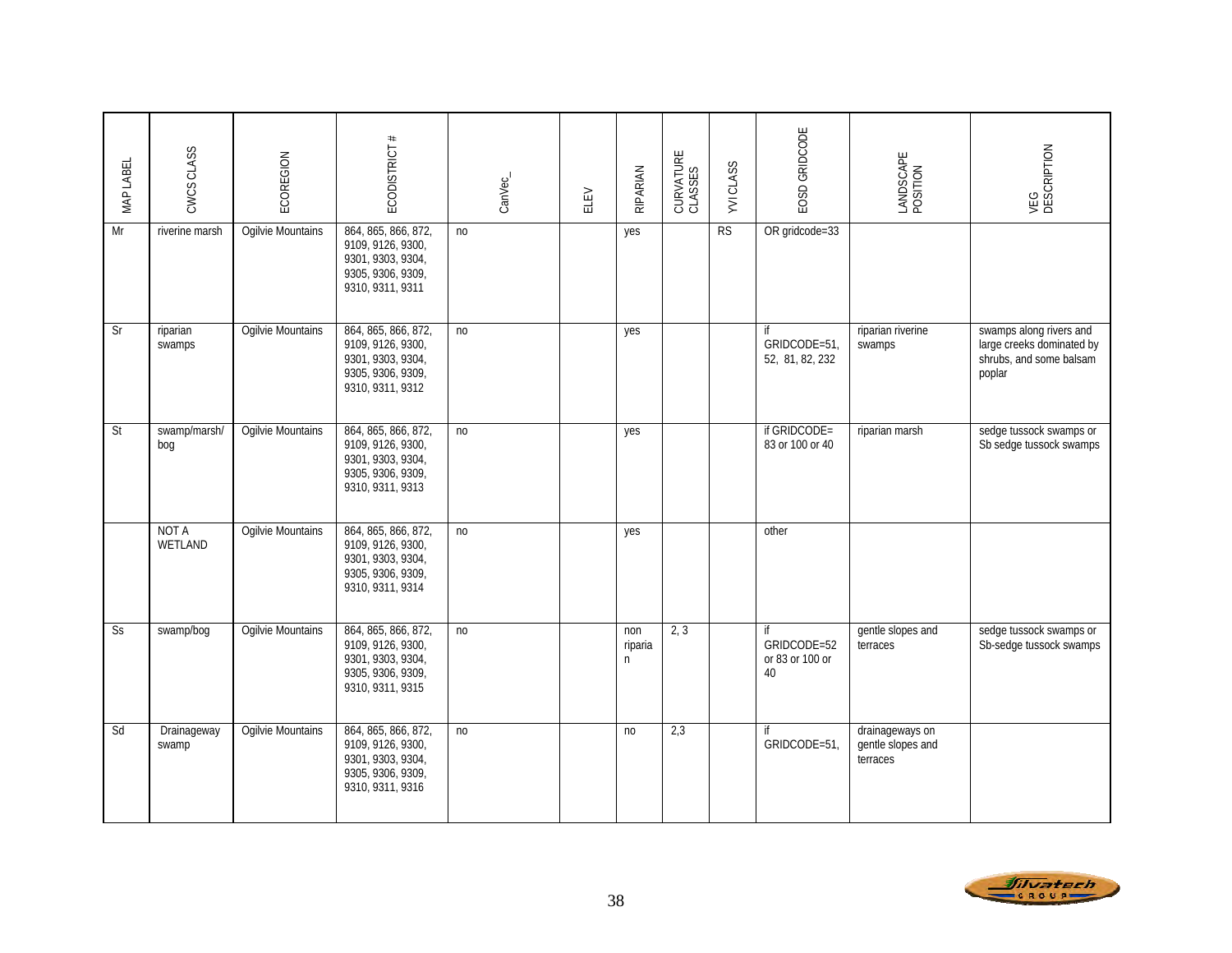| MAP LABEL             | CWCS CLASS           | ECOREGION                | ECODISTRICT #                                                                                          | CanVec_        | ELEV | RIPARIAN            | CURVATURE<br>CLASSES | <b>YVICLASS</b> | EOSD GRIDCODE                              | LANDSCAPE<br>POSITION                            | VEG<br>DESCRIPTION                                                                        |
|-----------------------|----------------------|--------------------------|--------------------------------------------------------------------------------------------------------|----------------|------|---------------------|----------------------|-----------------|--------------------------------------------|--------------------------------------------------|-------------------------------------------------------------------------------------------|
| Mr                    | riverine marsh       | Ogilvie Mountains        | 864, 865, 866, 872,<br>9109, 9126, 9300,<br>9301, 9303, 9304,<br>9305, 9306, 9309,<br>9310, 9311, 9311 | n <sub>0</sub> |      | yes                 |                      | <b>RS</b>       | OR gridcode=33                             |                                                  |                                                                                           |
| Sr                    | riparian<br>swamps   | Ogilvie Mountains        | 864, 865, 866, 872,<br>9109, 9126, 9300,<br>9301, 9303, 9304,<br>9305, 9306, 9309,<br>9310, 9311, 9312 | no             |      | yes                 |                      |                 | if<br>GRIDCODE=51,<br>52, 81, 82, 232      | riparian riverine<br>swamps                      | swamps along rivers and<br>large creeks dominated by<br>shrubs, and some balsam<br>poplar |
| St                    | swamp/marsh/<br>bog  | Ogilvie Mountains        | 864, 865, 866, 872,<br>9109, 9126, 9300,<br>9301, 9303, 9304,<br>9305, 9306, 9309,<br>9310, 9311, 9313 | n <sub>o</sub> |      | yes                 |                      |                 | if GRIDCODE=<br>83 or 100 or 40            | riparian marsh                                   | sedge tussock swamps or<br>Sb sedge tussock swamps                                        |
|                       | NOT A<br>WETLAND     | Ogilvie Mountains        | 864, 865, 866, 872,<br>9109, 9126, 9300,<br>9301, 9303, 9304,<br>9305, 9306, 9309,<br>9310, 9311, 9314 | no             |      | yes                 |                      |                 | other                                      |                                                  |                                                                                           |
| $\overline{\text{S}}$ | swamp/bog            | <b>Ogilvie Mountains</b> | 864, 865, 866, 872,<br>9109, 9126, 9300,<br>9301, 9303, 9304,<br>9305, 9306, 9309,<br>9310, 9311, 9315 | no             |      | non<br>riparia<br>n | 2, 3                 |                 | if<br>GRIDCODE=52<br>or 83 or 100 or<br>40 | gentle slopes and<br>terraces                    | sedge tussock swamps or<br>Sb-sedge tussock swamps                                        |
| Sd                    | Drainageway<br>swamp | Ogilvie Mountains        | 864, 865, 866, 872,<br>9109, 9126, 9300,<br>9301, 9303, 9304,<br>9305, 9306, 9309,<br>9310, 9311, 9316 | no             |      | no                  | 2,3                  |                 | if<br>GRIDCODE=51,                         | drainageways on<br>gentle slopes and<br>terraces |                                                                                           |

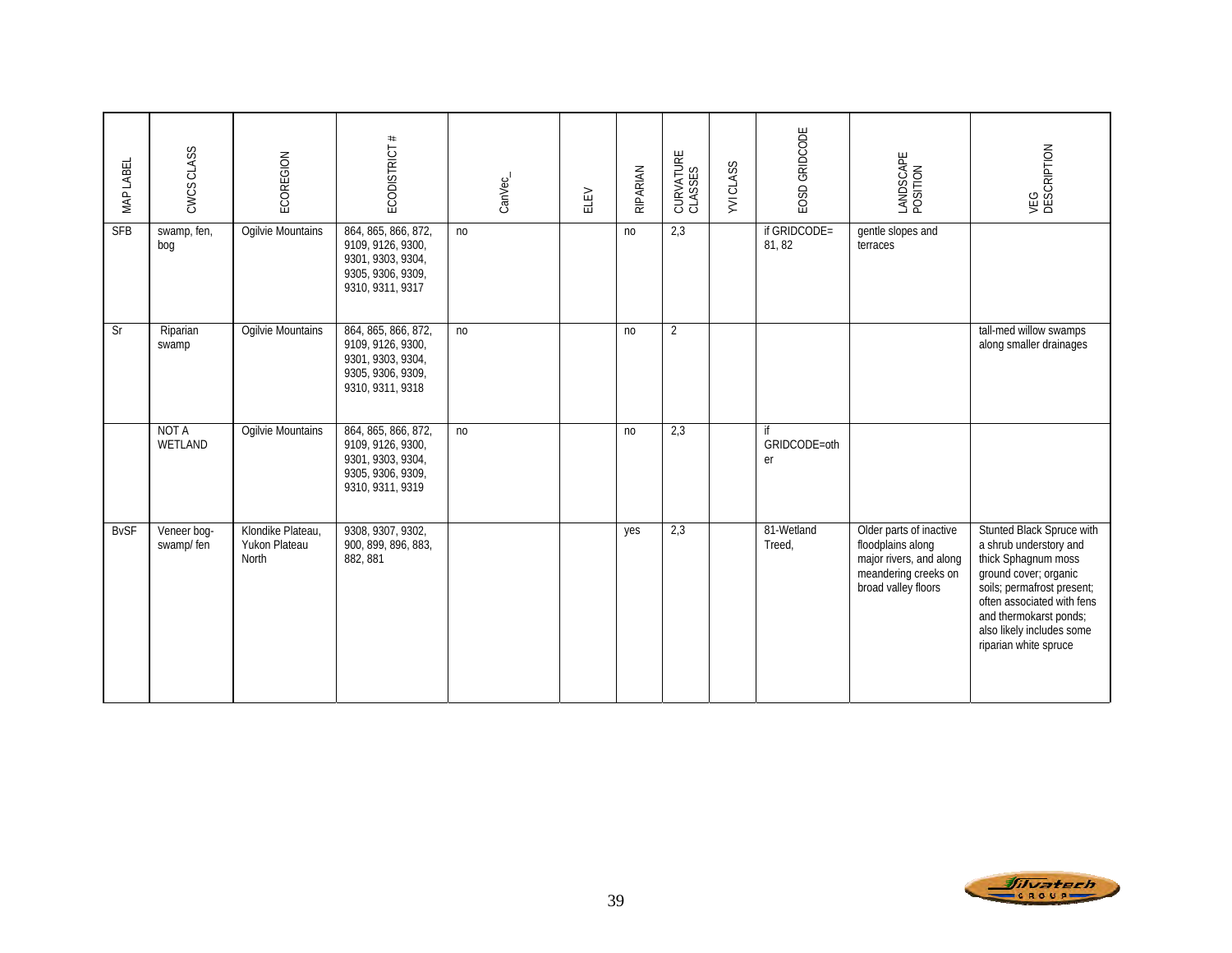| MAP LABEL   | CWCS CLASS               | ECOREGION                                   | ECODISTRICT #                                                                                          | CanVec_        | ELEV | RIPARIAN       | CURVATURE<br>CLASSES | <b>YVICLASS</b> | EOSD GRIDCODE            | LANDSCAPE<br>POSITION                                                                                                  | VEG<br>DESCRIPTION                                                                                                                                                                                                                              |
|-------------|--------------------------|---------------------------------------------|--------------------------------------------------------------------------------------------------------|----------------|------|----------------|----------------------|-----------------|--------------------------|------------------------------------------------------------------------------------------------------------------------|-------------------------------------------------------------------------------------------------------------------------------------------------------------------------------------------------------------------------------------------------|
| <b>SFB</b>  | swamp, fen,<br>bog       | Ogilvie Mountains                           | 864, 865, 866, 872,<br>9109, 9126, 9300,<br>9301, 9303, 9304,<br>9305, 9306, 9309,<br>9310, 9311, 9317 | no             |      | n <sub>0</sub> | 2,3                  |                 | if GRIDCODE=<br>81, 82   | gentle slopes and<br>terraces                                                                                          |                                                                                                                                                                                                                                                 |
| Sr          | Riparian<br>swamp        | Ogilvie Mountains                           | 864, 865, 866, 872,<br>9109, 9126, 9300,<br>9301, 9303, 9304,<br>9305, 9306, 9309,<br>9310, 9311, 9318 | n <sub>0</sub> |      | n <sub>0</sub> | $\overline{2}$       |                 |                          |                                                                                                                        | tall-med willow swamps<br>along smaller drainages                                                                                                                                                                                               |
|             | <b>NOT A</b><br>WETLAND  | Ogilvie Mountains                           | 864, 865, 866, 872,<br>9109, 9126, 9300,<br>9301, 9303, 9304,<br>9305, 9306, 9309,<br>9310, 9311, 9319 | no             |      | no             | 2,3                  |                 | if<br>GRIDCODE=oth<br>er |                                                                                                                        |                                                                                                                                                                                                                                                 |
| <b>BvSF</b> | Veneer bog-<br>swamp/fen | Klondike Plateau,<br>Yukon Plateau<br>North | 9308, 9307, 9302,<br>900, 899, 896, 883,<br>882, 881                                                   |                |      | yes            | 2,3                  |                 | 81-Wetland<br>Treed,     | Older parts of inactive<br>floodplains along<br>major rivers, and along<br>meandering creeks on<br>broad valley floors | Stunted Black Spruce with<br>a shrub understory and<br>thick Sphagnum moss<br>ground cover; organic<br>soils; permafrost present;<br>often associated with fens<br>and thermokarst ponds;<br>also likely includes some<br>riparian white spruce |

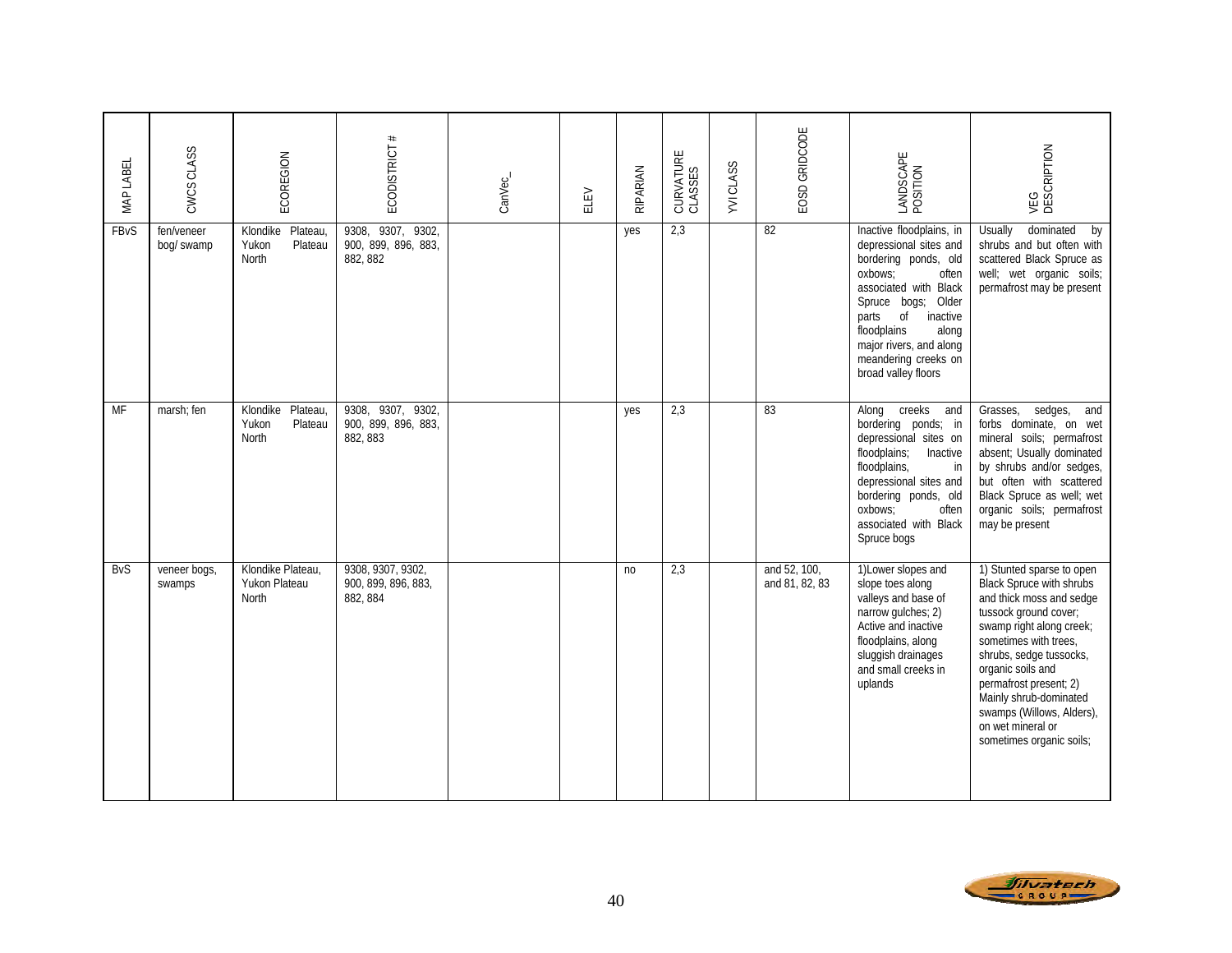| MAP LABEL   | CWCS CLASS               | ECOREGION                                         | ECODISTRICT #                                           | CanVec_ | ELEV | RIPARIAN | CURVATURE<br>CLASSES | <b>YVICLASS</b> | EOSD GRIDCODE                  | LANDSCAPE<br>POSITION                                                                                                                                                                                                                                                      | VEG<br>DESCRIPTION                                                                                                                                                                                                                                                                                                                                |
|-------------|--------------------------|---------------------------------------------------|---------------------------------------------------------|---------|------|----------|----------------------|-----------------|--------------------------------|----------------------------------------------------------------------------------------------------------------------------------------------------------------------------------------------------------------------------------------------------------------------------|---------------------------------------------------------------------------------------------------------------------------------------------------------------------------------------------------------------------------------------------------------------------------------------------------------------------------------------------------|
| <b>FBvS</b> | fen/veneer<br>bog/ swamp | Plateau,<br>Klondike<br>Yukon<br>Plateau<br>North | 9308, 9307,<br>9302,<br>900, 899, 896, 883,<br>882, 882 |         |      | yes      | 2,3                  |                 | 82                             | Inactive floodplains, in<br>depressional sites and<br>bordering ponds, old<br>oxbows:<br>often<br>associated with Black<br>Spruce bogs; Older<br>parts<br>of<br>inactive<br>floodplains<br>along<br>major rivers, and along<br>meandering creeks on<br>broad valley floors | dominated<br><b>Usually</b><br>by<br>shrubs and but often with<br>scattered Black Spruce as<br>well; wet organic soils;<br>permafrost may be present                                                                                                                                                                                              |
| <b>MF</b>   | marsh: fen               | Klondike<br>Plateau,<br>Yukon<br>Plateau<br>North | 9308, 9307, 9302,<br>900, 899, 896, 883,<br>882, 883    |         |      | yes      | 2,3                  |                 | 83                             | creeks<br>Along<br>and<br>bordering ponds; in<br>depressional sites on<br>floodplains;<br>Inactive<br>floodplains,<br>in<br>depressional sites and<br>bordering ponds, old<br>oxbows:<br>often<br>associated with Black<br>Spruce bogs                                     | sedges,<br>Grasses,<br>and<br>forbs dominate, on wet<br>mineral soils; permafrost<br>absent; Usually dominated<br>by shrubs and/or sedges,<br>but often with scattered<br>Black Spruce as well; wet<br>organic soils; permafrost<br>may be present                                                                                                |
| <b>BvS</b>  | veneer bogs,<br>swamps   | Klondike Plateau,<br>Yukon Plateau<br>North       | 9308, 9307, 9302,<br>900, 899, 896, 883,<br>882, 884    |         |      | no       | 2,3                  |                 | and 52, 100,<br>and 81, 82, 83 | 1) Lower slopes and<br>slope toes along<br>valleys and base of<br>narrow gulches; 2)<br>Active and inactive<br>floodplains, along<br>sluggish drainages<br>and small creeks in<br>uplands                                                                                  | 1) Stunted sparse to open<br>Black Spruce with shrubs<br>and thick moss and sedge<br>tussock ground cover;<br>swamp right along creek;<br>sometimes with trees,<br>shrubs, sedge tussocks,<br>organic soils and<br>permafrost present; 2)<br>Mainly shrub-dominated<br>swamps (Willows, Alders),<br>on wet mineral or<br>sometimes organic soils; |

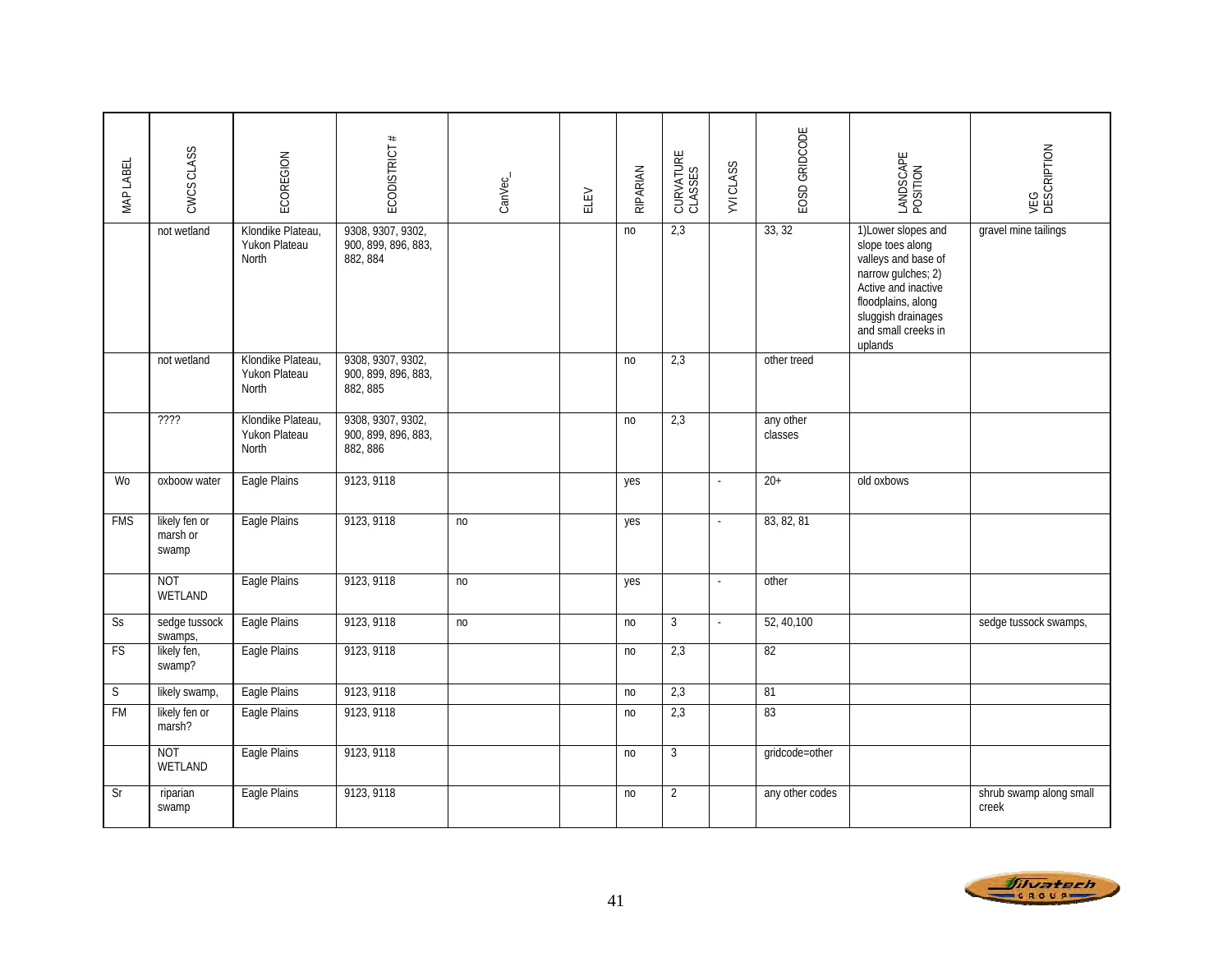| MAP LABEL   | CWCS CLASS                         | ECOREGION                                   | $\#$<br>ECODISTRICT                                  | CanVec_ | ELEV | RIPARIAN       | CURVATURE<br>CLASSES | <b>YVICLASS</b>             | EOSD GRIDCODE        | LANDSCAPE<br>POSITION                                                                                                                                                                     | VEG<br>DESCRIPTION               |
|-------------|------------------------------------|---------------------------------------------|------------------------------------------------------|---------|------|----------------|----------------------|-----------------------------|----------------------|-------------------------------------------------------------------------------------------------------------------------------------------------------------------------------------------|----------------------------------|
|             | not wetland                        | Klondike Plateau,<br>Yukon Plateau<br>North | 9308, 9307, 9302,<br>900, 899, 896, 883,<br>882, 884 |         |      | no             | 2,3                  |                             | 33, 32               | 1) Lower slopes and<br>slope toes along<br>valleys and base of<br>narrow gulches; 2)<br>Active and inactive<br>floodplains, along<br>sluggish drainages<br>and small creeks in<br>uplands | gravel mine tailings             |
|             | not wetland                        | Klondike Plateau.<br>Yukon Plateau<br>North | 9308, 9307, 9302,<br>900, 899, 896, 883,<br>882, 885 |         |      | n <sub>o</sub> | 2,3                  |                             | other treed          |                                                                                                                                                                                           |                                  |
|             | 7777                               | Klondike Plateau,<br>Yukon Plateau<br>North | 9308, 9307, 9302,<br>900, 899, 896, 883,<br>882, 886 |         |      | no             | 2,3                  |                             | any other<br>classes |                                                                                                                                                                                           |                                  |
| Wo          | oxboow water                       | Eagle Plains                                | 9123, 9118                                           |         |      | yes            |                      | $\omega$                    | $20+$                | old oxbows                                                                                                                                                                                |                                  |
| <b>FMS</b>  | likely fen or<br>marsh or<br>swamp | Eagle Plains                                | 9123, 9118                                           | no      |      | yes            |                      | $\overline{\phantom{a}}$    | 83, 82, 81           |                                                                                                                                                                                           |                                  |
|             | <b>NOT</b><br>WETLAND              | Eagle Plains                                | 9123, 9118                                           | no      |      | yes            |                      | $\omega$                    | other                |                                                                                                                                                                                           |                                  |
| Ss          | sedge tussock<br>swamps,           | Eagle Plains                                | 9123, 9118                                           | no      |      | no             | $\mathbf{3}$         | $\mathcal{L}_{\mathcal{A}}$ | 52, 40, 100          |                                                                                                                                                                                           | sedge tussock swamps,            |
| <b>FS</b>   | likely fen,<br>swamp?              | Eagle Plains                                | 9123, 9118                                           |         |      | no             | 2,3                  |                             | 82                   |                                                                                                                                                                                           |                                  |
| $\mathsf S$ | likely swamp,                      | Eagle Plains                                | 9123, 9118                                           |         |      | no             | 2,3                  |                             | 81                   |                                                                                                                                                                                           |                                  |
| <b>FM</b>   | likely fen or<br>marsh?            | Eagle Plains                                | 9123, 9118                                           |         |      | n <sub>o</sub> | 2,3                  |                             | 83                   |                                                                                                                                                                                           |                                  |
|             | <b>NOT</b><br>WETLAND              | Eagle Plains                                | 9123, 9118                                           |         |      | n <sub>o</sub> | $\overline{3}$       |                             | gridcode=other       |                                                                                                                                                                                           |                                  |
| Sr          | riparian<br>swamp                  | Eagle Plains                                | 9123, 9118                                           |         |      | n <sub>o</sub> | $\overline{2}$       |                             | any other codes      |                                                                                                                                                                                           | shrub swamp along small<br>creek |

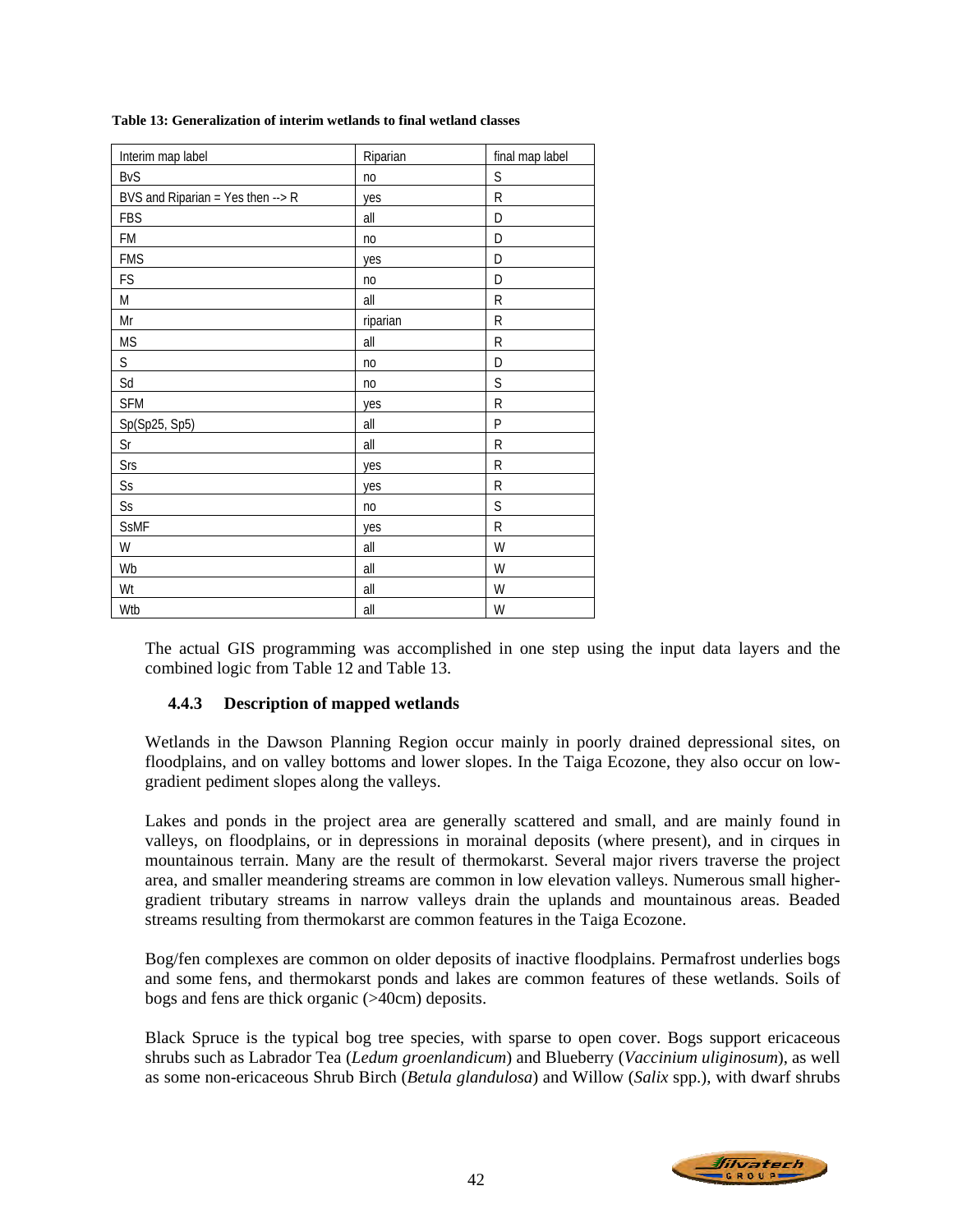| Interim map label                           | Riparian       | final map label |
|---------------------------------------------|----------------|-----------------|
| <b>BvS</b>                                  | no             | $\sf S$         |
| BVS and Riparian = Yes then $\rightarrow$ R | yes            | $\mathsf{R}$    |
| <b>FBS</b>                                  | all            | D               |
| FM                                          | no             | D               |
| <b>FMS</b>                                  | yes            | D               |
| FS                                          | n <sub>o</sub> | D               |
| M                                           | all            | R               |
| Mr                                          | riparian       | R               |
| <b>MS</b>                                   | all            | R               |
| $\mathsf S$                                 | n <sub>o</sub> | D               |
| Sd                                          | no             | S               |
| <b>SFM</b>                                  | yes            | R               |
| Sp(Sp25, Sp5)                               | all            | P               |
| $\mathsf{Sr}$                               | all            | R               |
| Srs                                         | yes            | R               |
| $\mathsf{S}\mathsf{s}$                      | yes            | R               |
| $\mathsf{S}\mathsf{s}$                      | no             | $\mathsf S$     |
| <b>SsMF</b>                                 | yes            | R               |
| W                                           | all            | W               |
| Wb                                          | all            | W               |
| Wt                                          | all            | W               |
| Wtb                                         | all            | W               |

#### **Table 13: Generalization of interim wetlands to final wetland classes**

The actual GIS programming was accomplished in one step using the input data layers and the combined logic from Table 12 and Table 13.

# **4.4.3 Description of mapped wetlands**

Wetlands in the Dawson Planning Region occur mainly in poorly drained depressional sites, on floodplains, and on valley bottoms and lower slopes. In the Taiga Ecozone, they also occur on lowgradient pediment slopes along the valleys.

Lakes and ponds in the project area are generally scattered and small, and are mainly found in valleys, on floodplains, or in depressions in morainal deposits (where present), and in cirques in mountainous terrain. Many are the result of thermokarst. Several major rivers traverse the project area, and smaller meandering streams are common in low elevation valleys. Numerous small highergradient tributary streams in narrow valleys drain the uplands and mountainous areas. Beaded streams resulting from thermokarst are common features in the Taiga Ecozone.

Bog/fen complexes are common on older deposits of inactive floodplains. Permafrost underlies bogs and some fens, and thermokarst ponds and lakes are common features of these wetlands. Soils of bogs and fens are thick organic (>40cm) deposits.

Black Spruce is the typical bog tree species, with sparse to open cover. Bogs support ericaceous shrubs such as Labrador Tea (*Ledum groenlandicum*) and Blueberry (*Vaccinium uliginosum*), as well as some non-ericaceous Shrub Birch (*Betula glandulosa*) and Willow (*Salix* spp.), with dwarf shrubs

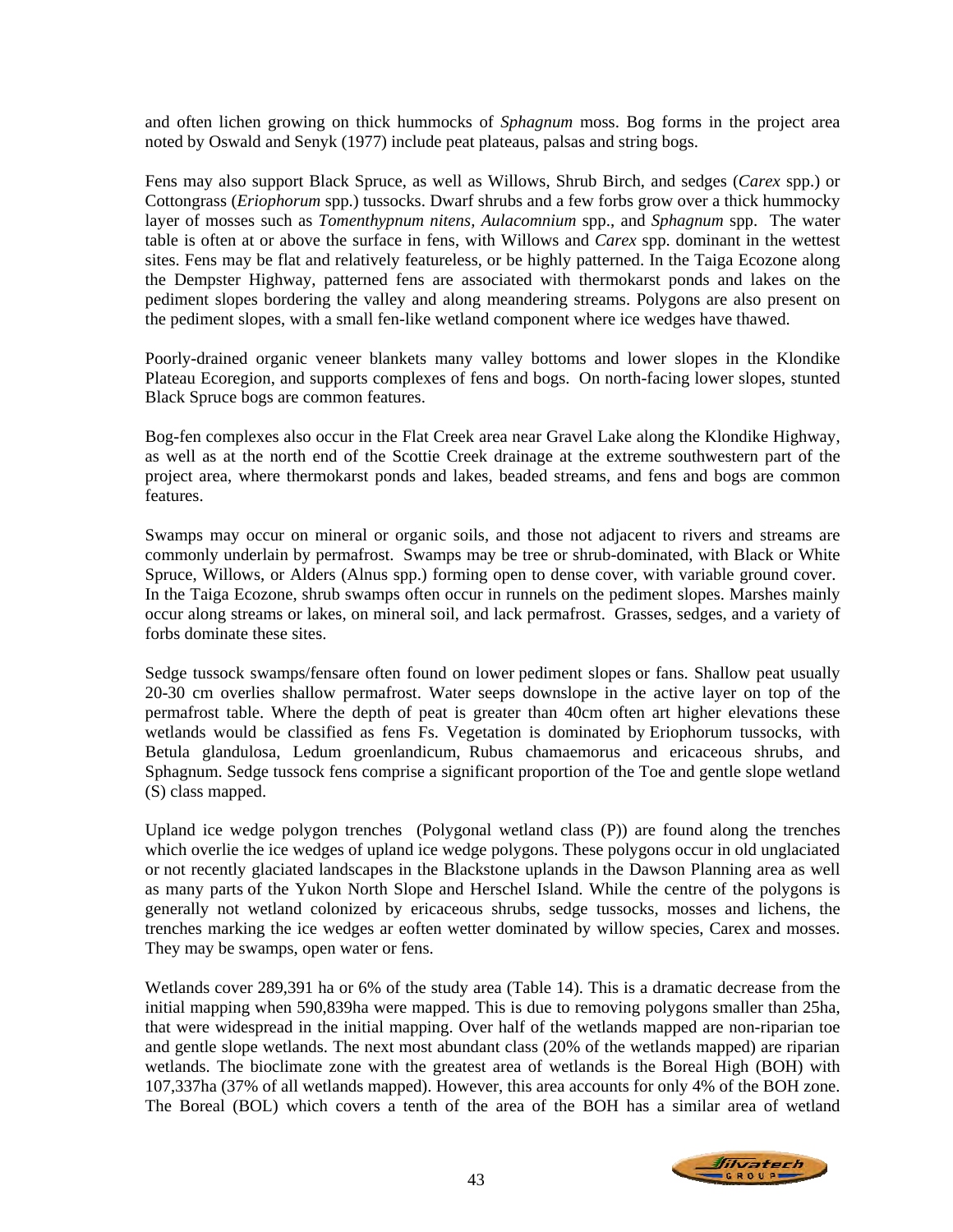and often lichen growing on thick hummocks of *Sphagnum* moss. Bog forms in the project area noted by Oswald and Senyk (1977) include peat plateaus, palsas and string bogs.

Fens may also support Black Spruce, as well as Willows, Shrub Birch, and sedges (*Carex* spp.) or Cottongrass (*Eriophorum* spp.) tussocks. Dwarf shrubs and a few forbs grow over a thick hummocky layer of mosses such as *Tomenthypnum nitens, Aulacomnium* spp., and *Sphagnum* spp. The water table is often at or above the surface in fens, with Willows and *Carex* spp. dominant in the wettest sites. Fens may be flat and relatively featureless, or be highly patterned. In the Taiga Ecozone along the Dempster Highway, patterned fens are associated with thermokarst ponds and lakes on the pediment slopes bordering the valley and along meandering streams. Polygons are also present on the pediment slopes, with a small fen-like wetland component where ice wedges have thawed.

Poorly-drained organic veneer blankets many valley bottoms and lower slopes in the Klondike Plateau Ecoregion, and supports complexes of fens and bogs. On north-facing lower slopes, stunted Black Spruce bogs are common features.

Bog-fen complexes also occur in the Flat Creek area near Gravel Lake along the Klondike Highway, as well as at the north end of the Scottie Creek drainage at the extreme southwestern part of the project area, where thermokarst ponds and lakes, beaded streams, and fens and bogs are common features.

Swamps may occur on mineral or organic soils, and those not adjacent to rivers and streams are commonly underlain by permafrost. Swamps may be tree or shrub-dominated, with Black or White Spruce, Willows, or Alders (Alnus spp.) forming open to dense cover, with variable ground cover. In the Taiga Ecozone, shrub swamps often occur in runnels on the pediment slopes. Marshes mainly occur along streams or lakes, on mineral soil, and lack permafrost. Grasses, sedges, and a variety of forbs dominate these sites.

Sedge tussock swamps/fensare often found on lower pediment slopes or fans. Shallow peat usually 20-30 cm overlies shallow permafrost. Water seeps downslope in the active layer on top of the permafrost table. Where the depth of peat is greater than 40cm often art higher elevations these wetlands would be classified as fens Fs. Vegetation is dominated by Eriophorum tussocks, with Betula glandulosa, Ledum groenlandicum, Rubus chamaemorus and ericaceous shrubs, and Sphagnum. Sedge tussock fens comprise a significant proportion of the Toe and gentle slope wetland (S) class mapped.

Upland ice wedge polygon trenches (Polygonal wetland class (P)) are found along the trenches which overlie the ice wedges of upland ice wedge polygons. These polygons occur in old unglaciated or not recently glaciated landscapes in the Blackstone uplands in the Dawson Planning area as well as many parts of the Yukon North Slope and Herschel Island. While the centre of the polygons is generally not wetland colonized by ericaceous shrubs, sedge tussocks, mosses and lichens, the trenches marking the ice wedges ar eoften wetter dominated by willow species, Carex and mosses. They may be swamps, open water or fens.

Wetlands cover 289,391 ha or 6% of the study area (Table 14). This is a dramatic decrease from the initial mapping when 590,839ha were mapped. This is due to removing polygons smaller than 25ha, that were widespread in the initial mapping. Over half of the wetlands mapped are non-riparian toe and gentle slope wetlands. The next most abundant class (20% of the wetlands mapped) are riparian wetlands. The bioclimate zone with the greatest area of wetlands is the Boreal High (BOH) with 107,337ha (37% of all wetlands mapped). However, this area accounts for only 4% of the BOH zone. The Boreal (BOL) which covers a tenth of the area of the BOH has a similar area of wetland

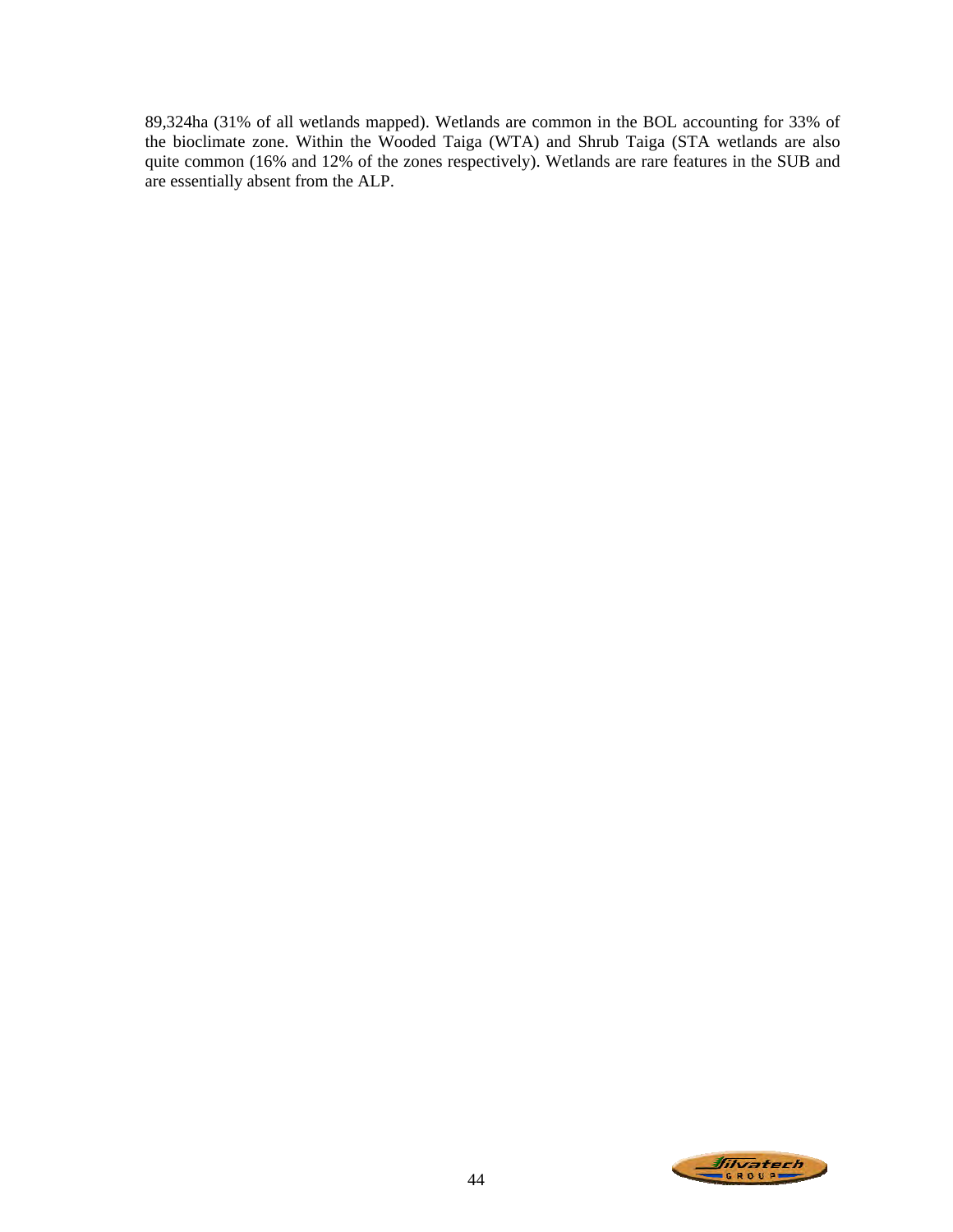89,324ha (31% of all wetlands mapped). Wetlands are common in the BOL accounting for 33% of the bioclimate zone. Within the Wooded Taiga (WTA) and Shrub Taiga (STA wetlands are also quite common (16% and 12% of the zones respectively). Wetlands are rare features in the SUB and are essentially absent from the ALP.

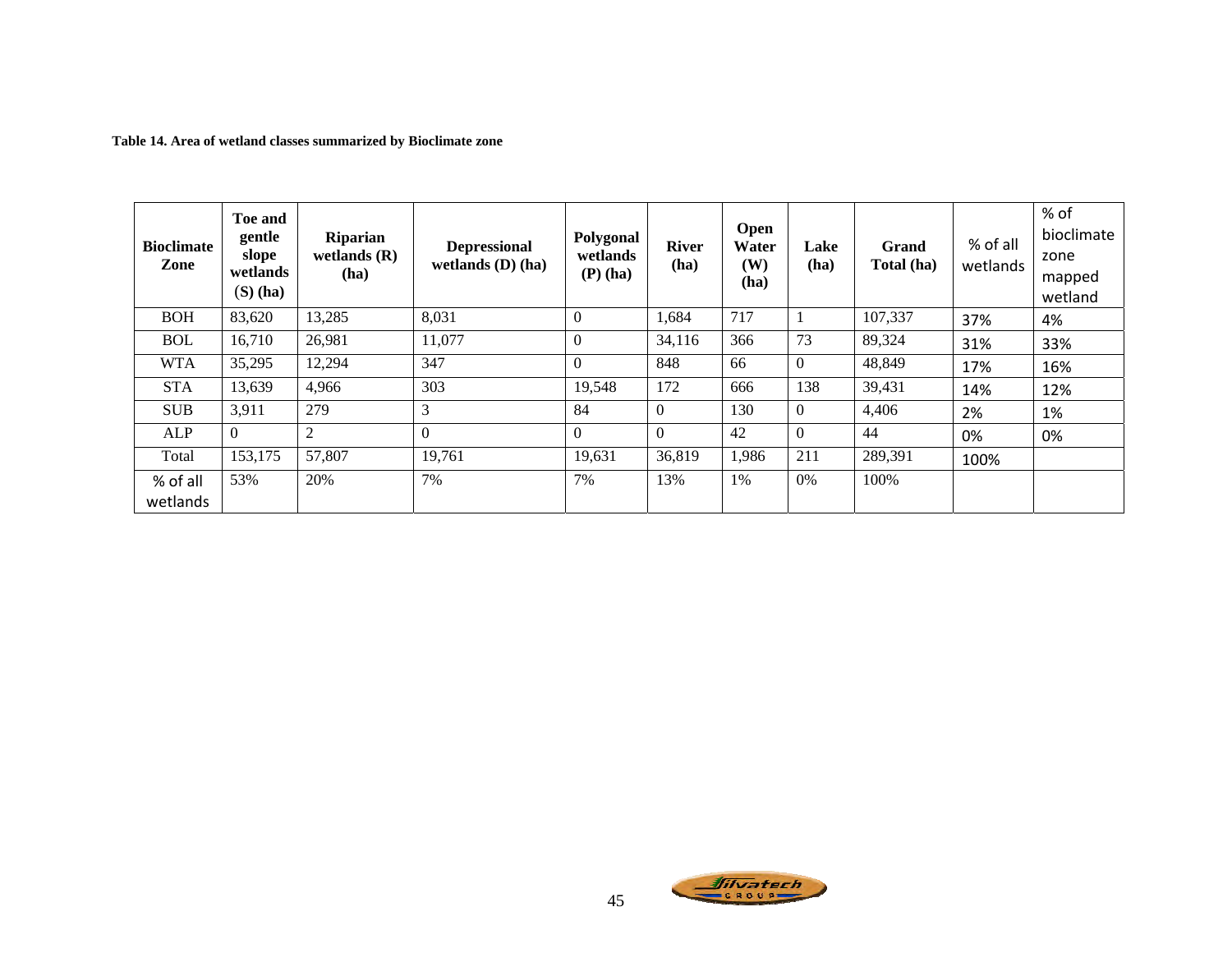**Table 14. Area of wetland classes summarized by Bioclimate zone**

| <b>Bioclimate</b><br>Zone | Toe and<br>gentle<br>slope<br>wetlands<br>$(S)$ (ha) | <b>Riparian</b><br>wetlands $(R)$<br>(ha) | <b>Depressional</b><br>wetlands $(D)$ (ha) | Polygonal<br>wetlands<br>$(P)$ (ha) | <b>River</b><br>(ha) | Open<br>Water<br><b>(W)</b><br>(ha) | Lake<br>(ha)     | Grand<br>Total (ha) | % of all<br>wetlands | % of<br>bioclimate<br>zone<br>mapped<br>wetland |
|---------------------------|------------------------------------------------------|-------------------------------------------|--------------------------------------------|-------------------------------------|----------------------|-------------------------------------|------------------|---------------------|----------------------|-------------------------------------------------|
| <b>BOH</b>                | 83,620                                               | 13,285                                    | 8,031                                      | $\theta$                            | 1,684                | 717                                 |                  | 107,337             | 37%                  | 4%                                              |
| <b>BOL</b>                | 16,710                                               | 26,981                                    | 11,077                                     | $\Omega$                            | 34,116               | 366                                 | 73               | 89,324              | 31%                  | 33%                                             |
| <b>WTA</b>                | 35,295                                               | 12,294                                    | 347                                        | $\Omega$                            | 848                  | 66                                  | $\overline{0}$   | 48,849              | 17%                  | 16%                                             |
| <b>STA</b>                | 13,639                                               | 4,966                                     | 303                                        | 19,548                              | 172                  | 666                                 | 138              | 39,431              | 14%                  | 12%                                             |
| <b>SUB</b>                | 3,911                                                | 279                                       | 3                                          | 84                                  | $\theta$             | 130                                 | $\boldsymbol{0}$ | 4,406               | 2%                   | 1%                                              |
| ALP                       | $\Omega$                                             | 2                                         | $\Omega$                                   | $\Omega$                            | $\theta$             | 42                                  | $\Omega$         | 44                  | 0%                   | 0%                                              |
| Total                     | 153,175                                              | 57,807                                    | 19,761                                     | 19,631                              | 36,819               | 1,986                               | 211              | 289,391             | 100%                 |                                                 |
| % of all<br>wetlands      | 53%                                                  | 20%                                       | 7%                                         | 7%                                  | 13%                  | 1%                                  | 0%               | 100%                |                      |                                                 |

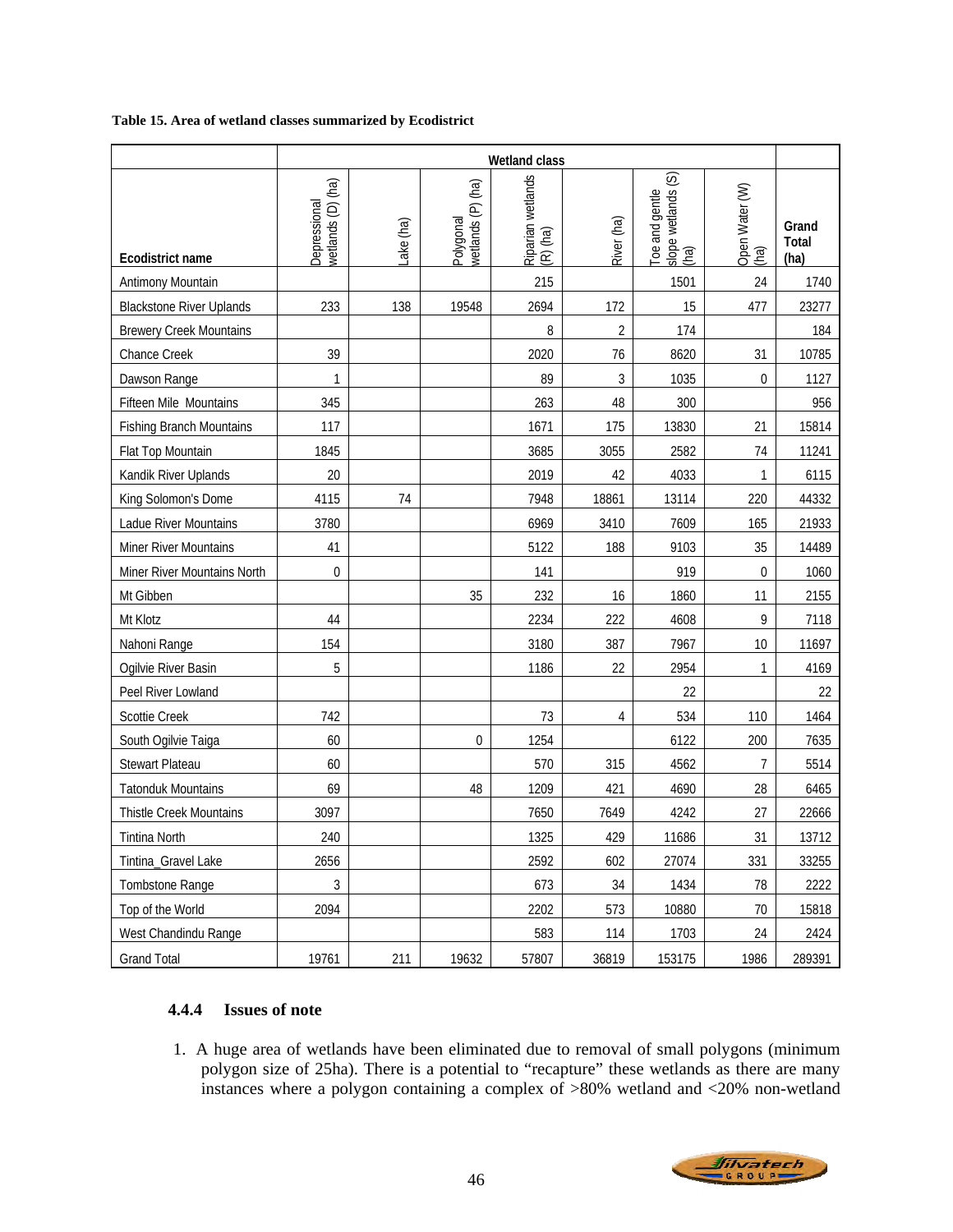#### **Table 15. Area of wetland classes summarized by Ecodistrict**

|                                 | Wetland class                     |           |                                |                               |                |                                                   |                        |                        |  |  |
|---------------------------------|-----------------------------------|-----------|--------------------------------|-------------------------------|----------------|---------------------------------------------------|------------------------|------------------------|--|--|
| Ecodistrict name                | wetlands (D) (ha)<br>Depressional | Lake (ha) | wetlands (P) (ha)<br>Polygonal | Riparian wetlands<br>(R) (ha) | River (ha)     | slope wetlands (S)<br>Toe and gentle<br>์<br>(คล) | Open Water (W)<br>(ha) | Grand<br>Total<br>(ha) |  |  |
| Antimony Mountain               |                                   |           |                                | 215                           |                | 1501                                              | 24                     | 1740                   |  |  |
| <b>Blackstone River Uplands</b> | 233                               | 138       | 19548                          | 2694                          | 172            | 15                                                | 477                    | 23277                  |  |  |
| <b>Brewery Creek Mountains</b>  |                                   |           |                                | 8                             | $\overline{2}$ | 174                                               |                        | 184                    |  |  |
| Chance Creek                    | 39                                |           |                                | 2020                          | 76             | 8620                                              | 31                     | 10785                  |  |  |
| Dawson Range                    | 1                                 |           |                                | 89                            | 3              | 1035                                              | $\overline{0}$         | 1127                   |  |  |
| Fifteen Mile Mountains          | 345                               |           |                                | 263                           | 48             | 300                                               |                        | 956                    |  |  |
| <b>Fishing Branch Mountains</b> | 117                               |           |                                | 1671                          | 175            | 13830                                             | 21                     | 15814                  |  |  |
| Flat Top Mountain               | 1845                              |           |                                | 3685                          | 3055           | 2582                                              | 74                     | 11241                  |  |  |
| Kandik River Uplands            | 20                                |           |                                | 2019                          | 42             | 4033                                              | 1                      | 6115                   |  |  |
| King Solomon's Dome             | 4115                              | 74        |                                | 7948                          | 18861          | 13114                                             | 220                    | 44332                  |  |  |
| Ladue River Mountains           | 3780                              |           |                                | 6969                          | 3410           | 7609                                              | 165                    | 21933                  |  |  |
| Miner River Mountains           | 41                                |           |                                | 5122                          | 188            | 9103                                              | 35                     | 14489                  |  |  |
| Miner River Mountains North     | $\boldsymbol{0}$                  |           |                                | 141                           |                | 919                                               | $\mathbf 0$            | 1060                   |  |  |
| Mt Gibben                       |                                   |           | 35                             | 232                           | 16             | 1860                                              | 11                     | 2155                   |  |  |
| Mt Klotz                        | 44                                |           |                                | 2234                          | 222            | 4608                                              | 9                      | 7118                   |  |  |
| Nahoni Range                    | 154                               |           |                                | 3180                          | 387            | 7967                                              | 10                     | 11697                  |  |  |
| Ogilvie River Basin             | 5                                 |           |                                | 1186                          | 22             | 2954                                              | 1                      | 4169                   |  |  |
| Peel River Lowland              |                                   |           |                                |                               |                | 22                                                |                        | 22                     |  |  |
| Scottie Creek                   | 742                               |           |                                | 73                            | 4              | 534                                               | 110                    | 1464                   |  |  |
| South Ogilvie Taiga             | 60                                |           | 0                              | 1254                          |                | 6122                                              | 200                    | 7635                   |  |  |
| Stewart Plateau                 | 60                                |           |                                | 570                           | 315            | 4562                                              | $\overline{7}$         | 5514                   |  |  |
| <b>Tatonduk Mountains</b>       | 69                                |           | 48                             | 1209                          | 421            | 4690                                              | 28                     | 6465                   |  |  |
| Thistle Creek Mountains         | 3097                              |           |                                | 7650                          | 7649           | 4242                                              | 27                     | 22666                  |  |  |
| Tintina North                   | 240                               |           |                                | 1325                          | 429            | 11686                                             | 31                     | 13712                  |  |  |
| Tintina_Gravel Lake             | 2656                              |           |                                | 2592                          | 602            | 27074                                             | 331                    | 33255                  |  |  |
| Tombstone Range                 | $\sqrt{3}$                        |           |                                | 673                           | 34             | 1434                                              | 78                     | 2222                   |  |  |
| Top of the World                | 2094                              |           |                                | 2202                          | 573            | 10880                                             | 70                     | 15818                  |  |  |
| West Chandindu Range            |                                   |           |                                | 583                           | 114            | 1703                                              | 24                     | 2424                   |  |  |
| <b>Grand Total</b>              | 19761                             | 211       | 19632                          | 57807                         | 36819          | 153175                                            | 1986                   | 289391                 |  |  |

# **4.4.4 Issues of note**

1. A huge area of wetlands have been eliminated due to removal of small polygons (minimum polygon size of 25ha). There is a potential to "recapture" these wetlands as there are many instances where a polygon containing a complex of  $>80\%$  wetland and  $<20\%$  non-wetland

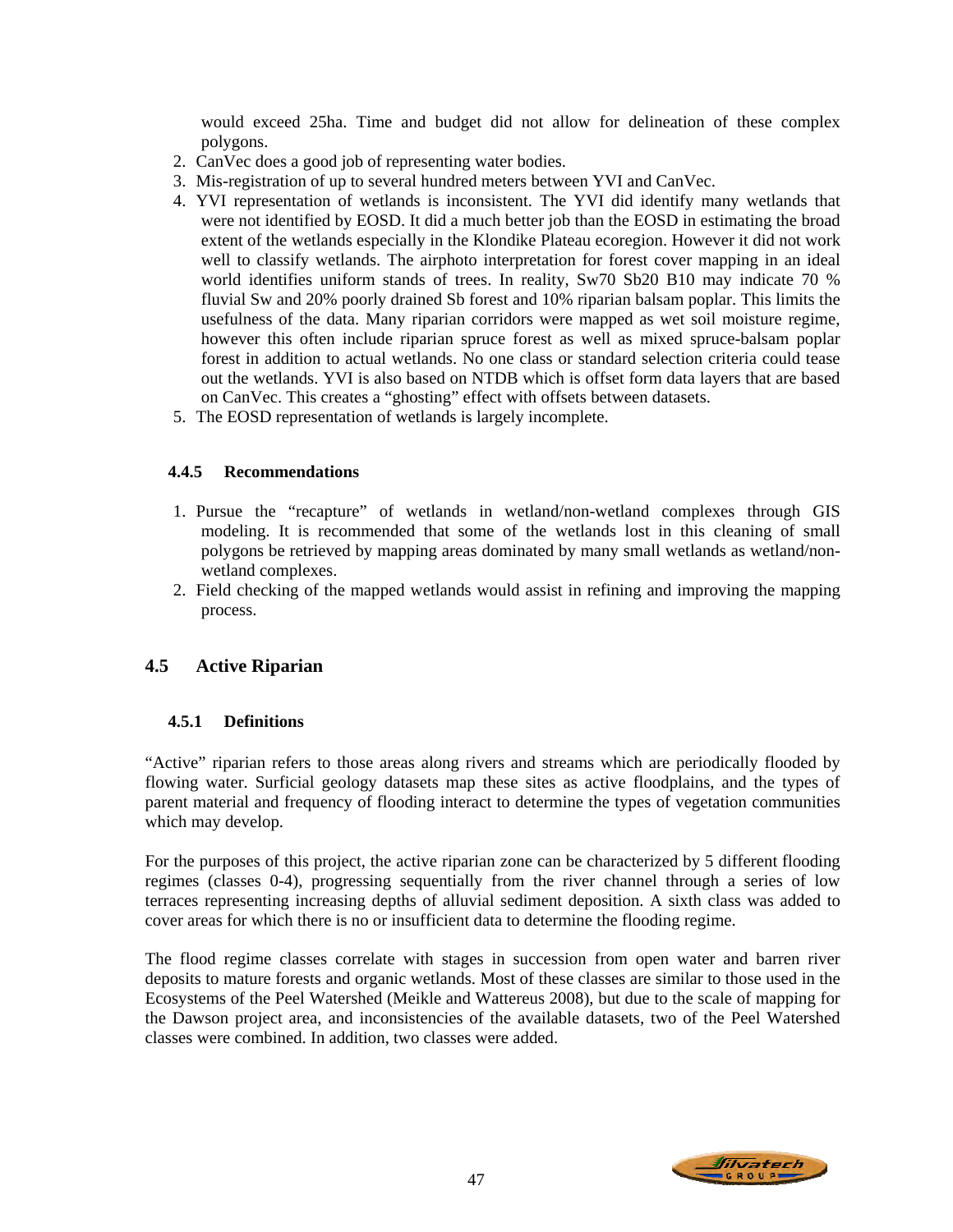would exceed 25ha. Time and budget did not allow for delineation of these complex polygons.

- 2. CanVec does a good job of representing water bodies.
- 3. Mis-registration of up to several hundred meters between YVI and CanVec.
- 4. YVI representation of wetlands is inconsistent. The YVI did identify many wetlands that were not identified by EOSD. It did a much better job than the EOSD in estimating the broad extent of the wetlands especially in the Klondike Plateau ecoregion. However it did not work well to classify wetlands. The airphoto interpretation for forest cover mapping in an ideal world identifies uniform stands of trees. In reality, Sw70 Sb20 B10 may indicate 70 % fluvial Sw and 20% poorly drained Sb forest and 10% riparian balsam poplar. This limits the usefulness of the data. Many riparian corridors were mapped as wet soil moisture regime, however this often include riparian spruce forest as well as mixed spruce-balsam poplar forest in addition to actual wetlands. No one class or standard selection criteria could tease out the wetlands. YVI is also based on NTDB which is offset form data layers that are based on CanVec. This creates a "ghosting" effect with offsets between datasets.
- 5. The EOSD representation of wetlands is largely incomplete.

# **4.4.5 Recommendations**

- 1. Pursue the "recapture" of wetlands in wetland/non-wetland complexes through GIS modeling. It is recommended that some of the wetlands lost in this cleaning of small polygons be retrieved by mapping areas dominated by many small wetlands as wetland/nonwetland complexes.
- 2. Field checking of the mapped wetlands would assist in refining and improving the mapping process.

# **4.5 Active Riparian**

# **4.5.1 Definitions**

"Active" riparian refers to those areas along rivers and streams which are periodically flooded by flowing water. Surficial geology datasets map these sites as active floodplains, and the types of parent material and frequency of flooding interact to determine the types of vegetation communities which may develop.

For the purposes of this project, the active riparian zone can be characterized by 5 different flooding regimes (classes 0-4), progressing sequentially from the river channel through a series of low terraces representing increasing depths of alluvial sediment deposition. A sixth class was added to cover areas for which there is no or insufficient data to determine the flooding regime.

The flood regime classes correlate with stages in succession from open water and barren river deposits to mature forests and organic wetlands. Most of these classes are similar to those used in the Ecosystems of the Peel Watershed (Meikle and Wattereus 2008), but due to the scale of mapping for the Dawson project area, and inconsistencies of the available datasets, two of the Peel Watershed classes were combined. In addition, two classes were added.

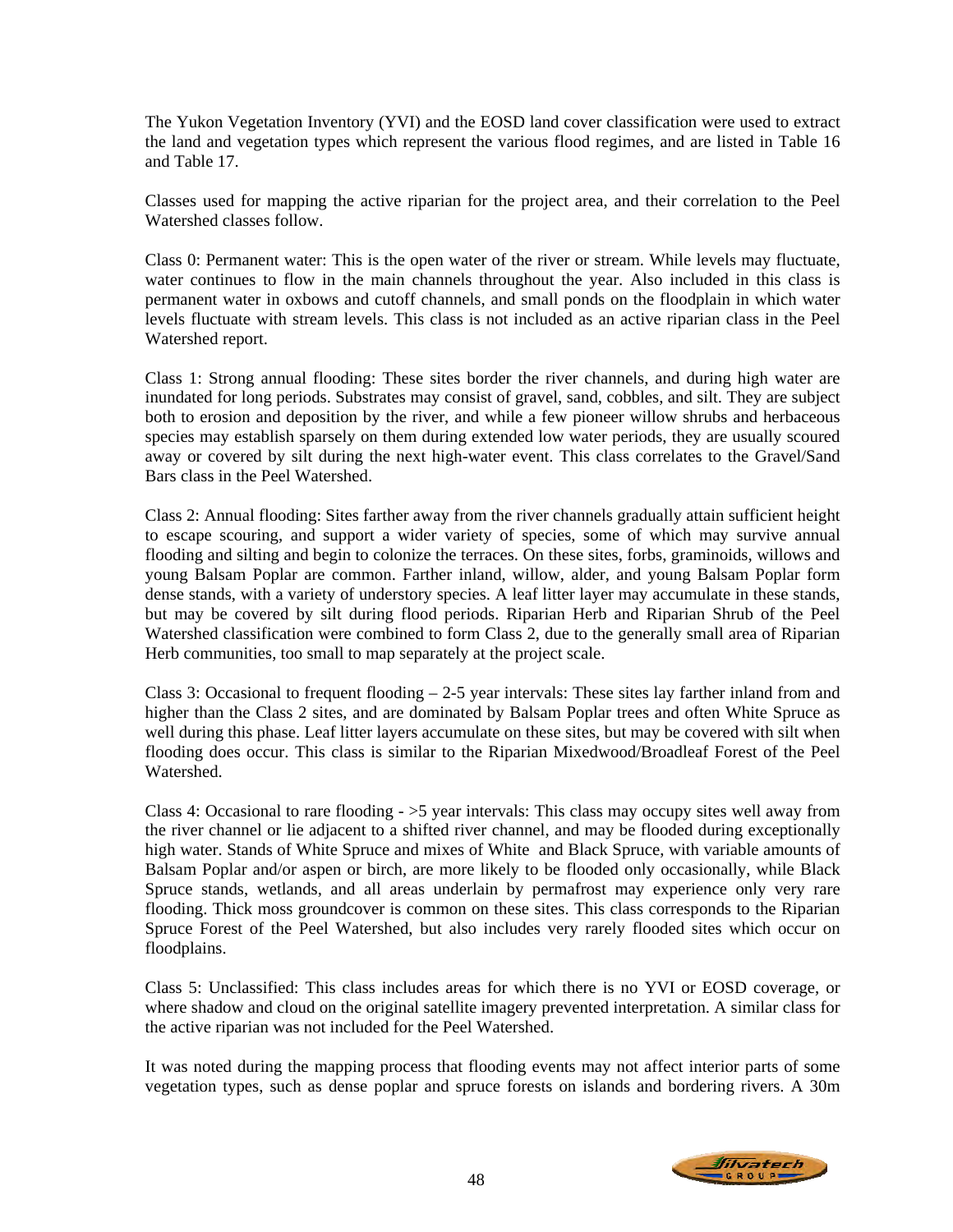The Yukon Vegetation Inventory (YVI) and the EOSD land cover classification were used to extract the land and vegetation types which represent the various flood regimes, and are listed in Table 16 and Table 17.

Classes used for mapping the active riparian for the project area, and their correlation to the Peel Watershed classes follow.

Class 0: Permanent water: This is the open water of the river or stream. While levels may fluctuate, water continues to flow in the main channels throughout the year. Also included in this class is permanent water in oxbows and cutoff channels, and small ponds on the floodplain in which water levels fluctuate with stream levels. This class is not included as an active riparian class in the Peel Watershed report.

Class 1: Strong annual flooding: These sites border the river channels, and during high water are inundated for long periods. Substrates may consist of gravel, sand, cobbles, and silt. They are subject both to erosion and deposition by the river, and while a few pioneer willow shrubs and herbaceous species may establish sparsely on them during extended low water periods, they are usually scoured away or covered by silt during the next high-water event. This class correlates to the Gravel/Sand Bars class in the Peel Watershed.

Class 2: Annual flooding: Sites farther away from the river channels gradually attain sufficient height to escape scouring, and support a wider variety of species, some of which may survive annual flooding and silting and begin to colonize the terraces. On these sites, forbs, graminoids, willows and young Balsam Poplar are common. Farther inland, willow, alder, and young Balsam Poplar form dense stands, with a variety of understory species. A leaf litter layer may accumulate in these stands, but may be covered by silt during flood periods. Riparian Herb and Riparian Shrub of the Peel Watershed classification were combined to form Class 2, due to the generally small area of Riparian Herb communities, too small to map separately at the project scale.

Class 3: Occasional to frequent flooding  $-2-5$  year intervals: These sites lay farther inland from and higher than the Class 2 sites, and are dominated by Balsam Poplar trees and often White Spruce as well during this phase. Leaf litter layers accumulate on these sites, but may be covered with silt when flooding does occur. This class is similar to the Riparian Mixedwood/Broadleaf Forest of the Peel Watershed.

Class 4: Occasional to rare flooding - >5 year intervals: This class may occupy sites well away from the river channel or lie adjacent to a shifted river channel, and may be flooded during exceptionally high water. Stands of White Spruce and mixes of White and Black Spruce, with variable amounts of Balsam Poplar and/or aspen or birch, are more likely to be flooded only occasionally, while Black Spruce stands, wetlands, and all areas underlain by permafrost may experience only very rare flooding. Thick moss groundcover is common on these sites. This class corresponds to the Riparian Spruce Forest of the Peel Watershed, but also includes very rarely flooded sites which occur on floodplains.

Class 5: Unclassified: This class includes areas for which there is no YVI or EOSD coverage, or where shadow and cloud on the original satellite imagery prevented interpretation. A similar class for the active riparian was not included for the Peel Watershed.

It was noted during the mapping process that flooding events may not affect interior parts of some vegetation types, such as dense poplar and spruce forests on islands and bordering rivers. A 30m

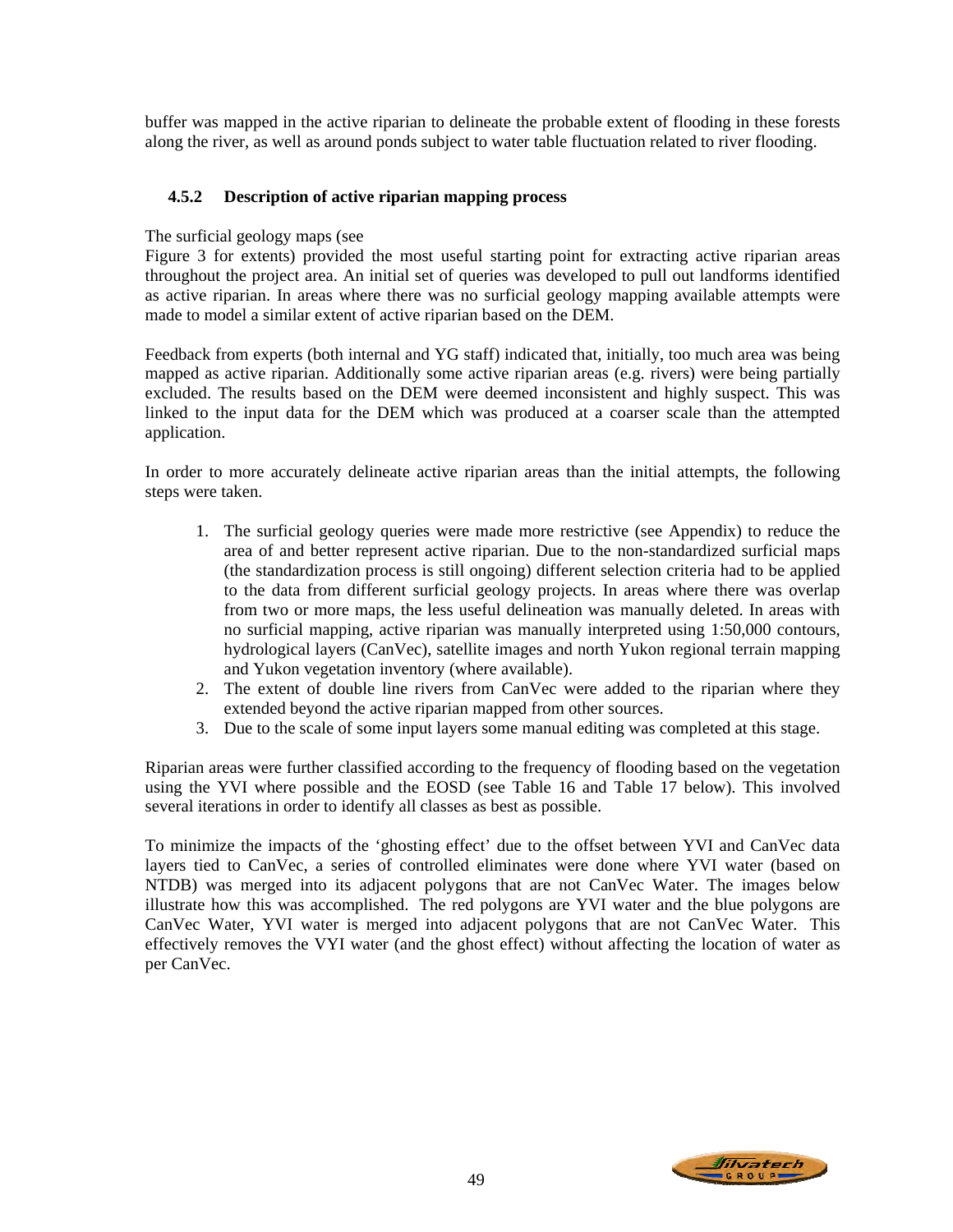buffer was mapped in the active riparian to delineate the probable extent of flooding in these forests along the river, as well as around ponds subject to water table fluctuation related to river flooding.

# **4.5.2 Description of active riparian mapping process**

### The surficial geology maps (see

Figure 3 for extents) provided the most useful starting point for extracting active riparian areas throughout the project area. An initial set of queries was developed to pull out landforms identified as active riparian. In areas where there was no surficial geology mapping available attempts were made to model a similar extent of active riparian based on the DEM.

Feedback from experts (both internal and YG staff) indicated that, initially, too much area was being mapped as active riparian. Additionally some active riparian areas (e.g. rivers) were being partially excluded. The results based on the DEM were deemed inconsistent and highly suspect. This was linked to the input data for the DEM which was produced at a coarser scale than the attempted application.

In order to more accurately delineate active riparian areas than the initial attempts, the following steps were taken.

- 1. The surficial geology queries were made more restrictive (see Appendix) to reduce the area of and better represent active riparian. Due to the non-standardized surficial maps (the standardization process is still ongoing) different selection criteria had to be applied to the data from different surficial geology projects. In areas where there was overlap from two or more maps, the less useful delineation was manually deleted. In areas with no surficial mapping, active riparian was manually interpreted using 1:50,000 contours, hydrological layers (CanVec), satellite images and north Yukon regional terrain mapping and Yukon vegetation inventory (where available).
- 2. The extent of double line rivers from CanVec were added to the riparian where they extended beyond the active riparian mapped from other sources.
- 3. Due to the scale of some input layers some manual editing was completed at this stage.

Riparian areas were further classified according to the frequency of flooding based on the vegetation using the YVI where possible and the EOSD (see Table 16 and Table 17 below). This involved several iterations in order to identify all classes as best as possible.

To minimize the impacts of the 'ghosting effect' due to the offset between YVI and CanVec data layers tied to CanVec, a series of controlled eliminates were done where YVI water (based on NTDB) was merged into its adjacent polygons that are not CanVec Water. The images below illustrate how this was accomplished. The red polygons are YVI water and the blue polygons are CanVec Water, YVI water is merged into adjacent polygons that are not CanVec Water. This effectively removes the VYI water (and the ghost effect) without affecting the location of water as per CanVec.

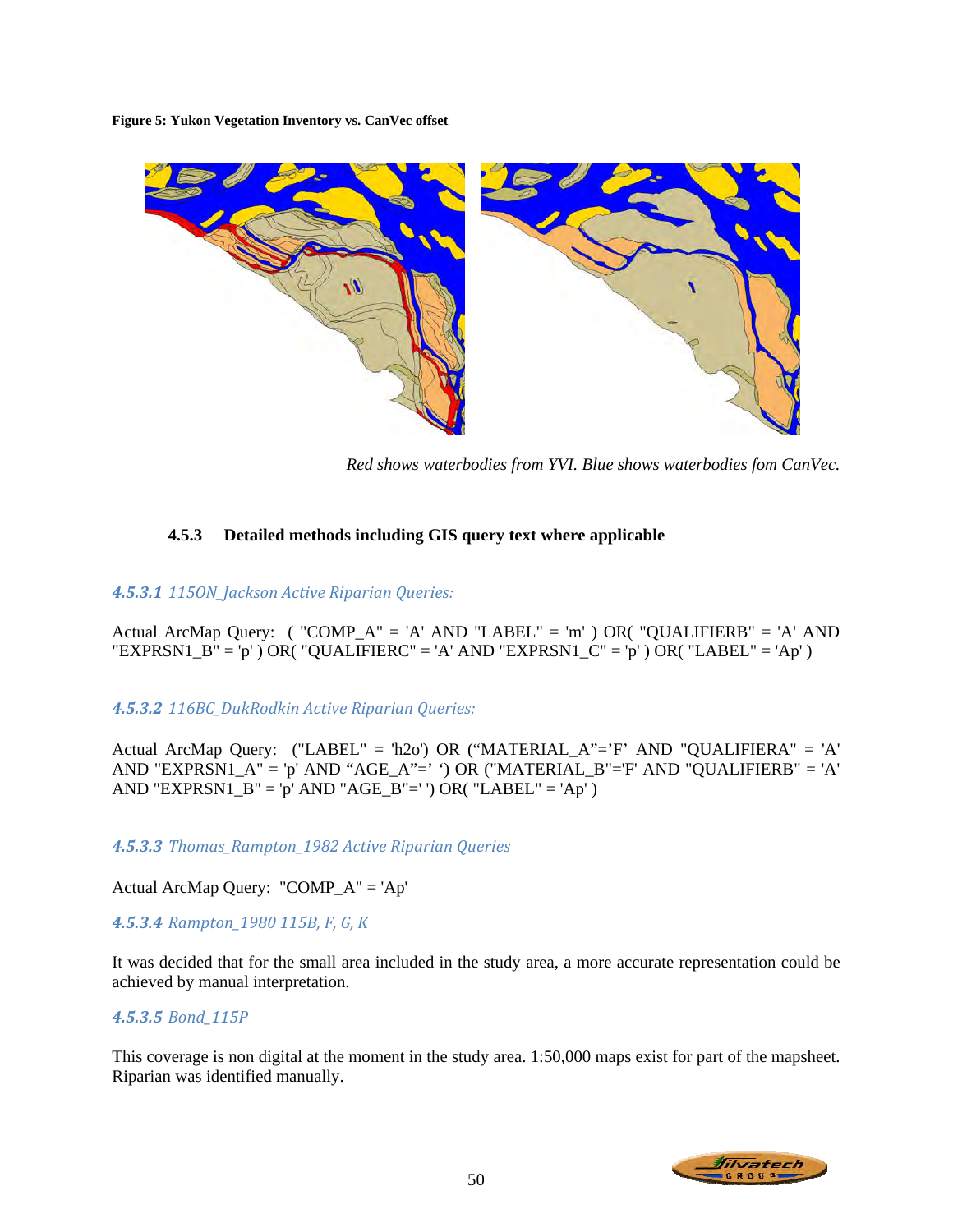**Figure 5: Yukon Vegetation Inventory vs. CanVec offset** 



*Red shows waterbodies from YVI. Blue shows waterbodies fom CanVec.* 

# **4.5.3 Detailed methods including GIS query text where applicable**

# *4.5.3.1 115ON\_Jackson Active Riparian Queries:*

Actual ArcMap Query:  $($  "COMP\_A" = 'A' AND "LABEL" = 'm'  $)$  OR $($  "QUALIFIERB" = 'A' AND "EXPRSN1\_B" = 'p' ) OR( "QUALIFIERC" = 'A' AND "EXPRSN1\_C" = 'p' ) OR( "LABEL" = 'Ap' )

# *4.5.3.2 116BC\_DukRodkin Active Riparian Queries:*

Actual ArcMap Query: ("LABEL" = 'h2o') OR ("MATERIAL\_A"='F' AND "QUALIFIERA" = 'A' AND "EXPRSN1\_A" = 'p' AND "AGE\_A"=' ') OR ("MATERIAL\_B"='F' AND "QUALIFIERB" = 'A' AND "EXPRSN1\_B" = 'p' AND "AGE\_B"=' ') OR( "LABEL" = 'Ap' )

*4.5.3.3 Thomas\_Rampton\_1982 Active Riparian Queries*

Actual ArcMap Query: "COMP\_A" = 'Ap'

*4.5.3.4 Rampton\_1980 115B, F, G, K*

It was decided that for the small area included in the study area, a more accurate representation could be achieved by manual interpretation.

### *4.5.3.5 Bond\_115P*

This coverage is non digital at the moment in the study area. 1:50,000 maps exist for part of the mapsheet. Riparian was identified manually.

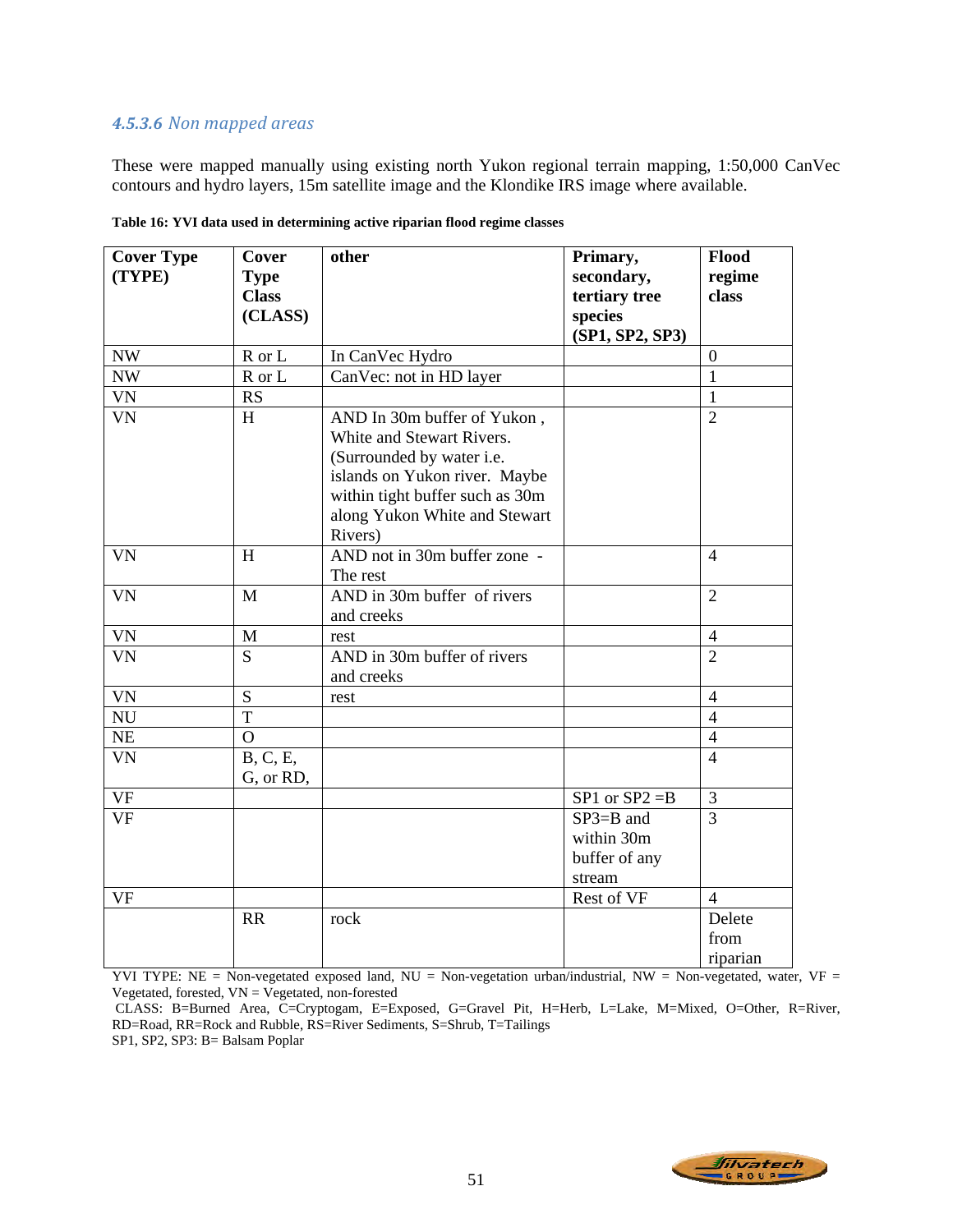# *4.5.3.6 Non mapped areas*

These were mapped manually using existing north Yukon regional terrain mapping, 1:50,000 CanVec contours and hydro layers, 15m satellite image and the Klondike IRS image where available.

| <b>Cover Type</b> | Cover          | other                           | Primary,           | Flood          |
|-------------------|----------------|---------------------------------|--------------------|----------------|
| (TYPE)            | <b>Type</b>    |                                 | secondary,         | regime         |
|                   | <b>Class</b>   |                                 | tertiary tree      | class          |
|                   | (CLASS)        |                                 | species            |                |
|                   |                |                                 | (SP1, SP2, SP3)    |                |
| <b>NW</b>         | R or L         | In CanVec Hydro                 |                    | $\overline{0}$ |
| <b>NW</b>         | R or L         | CanVec: not in HD layer         |                    | $\mathbf{1}$   |
| <b>VN</b>         | RS             |                                 |                    | $\mathbf{1}$   |
| <b>VN</b>         | H              | AND In 30m buffer of Yukon,     |                    | $\overline{2}$ |
|                   |                | White and Stewart Rivers.       |                    |                |
|                   |                | (Surrounded by water i.e.       |                    |                |
|                   |                | islands on Yukon river. Maybe   |                    |                |
|                   |                | within tight buffer such as 30m |                    |                |
|                   |                | along Yukon White and Stewart   |                    |                |
|                   |                | Rivers)                         |                    |                |
| <b>VN</b>         | H              | AND not in 30m buffer zone -    |                    | $\overline{4}$ |
|                   |                | The rest                        |                    |                |
| <b>VN</b>         | $\mathbf M$    | AND in 30m buffer of rivers     |                    | $\overline{2}$ |
|                   |                | and creeks                      |                    |                |
| VN                | M              | rest                            |                    | $\overline{4}$ |
| <b>VN</b>         | S              | AND in 30m buffer of rivers     |                    | $\overline{2}$ |
|                   |                | and creeks                      |                    |                |
| <b>VN</b>         | S              | rest                            |                    | $\overline{4}$ |
| ${\rm NU}$        | $\overline{T}$ |                                 |                    | $\overline{4}$ |
| NE                | $\overline{O}$ |                                 |                    | $\overline{4}$ |
| <b>VN</b>         | B, C, E,       |                                 |                    | $\overline{4}$ |
|                   | G, or RD,      |                                 |                    |                |
| VF                |                |                                 | $SP1$ or $SP2 = B$ | 3              |
| <b>VF</b>         |                |                                 | $SP3 = B$ and      | $\overline{3}$ |
|                   |                |                                 | within 30m         |                |
|                   |                |                                 | buffer of any      |                |
|                   |                |                                 | stream             |                |
| <b>VF</b>         |                |                                 | Rest of VF         | $\overline{4}$ |
|                   | <b>RR</b>      | rock                            |                    | Delete         |
|                   |                |                                 |                    | from           |
|                   |                |                                 |                    | riparian       |

**Table 16: YVI data used in determining active riparian flood regime classes** 

YVI TYPE: NE = Non-vegetated exposed land,  $NU = Non-vegetation urban/industrial, NW = Non-vegetated, water, VF =$ Vegetated, forested,  $VN = V$ egetated, non-forested

 CLASS: B=Burned Area, C=Cryptogam, E=Exposed, G=Gravel Pit, H=Herb, L=Lake, M=Mixed, O=Other, R=River, RD=Road, RR=Rock and Rubble, RS=River Sediments, S=Shrub, T=Tailings

SP1, SP2, SP3: B= Balsam Poplar

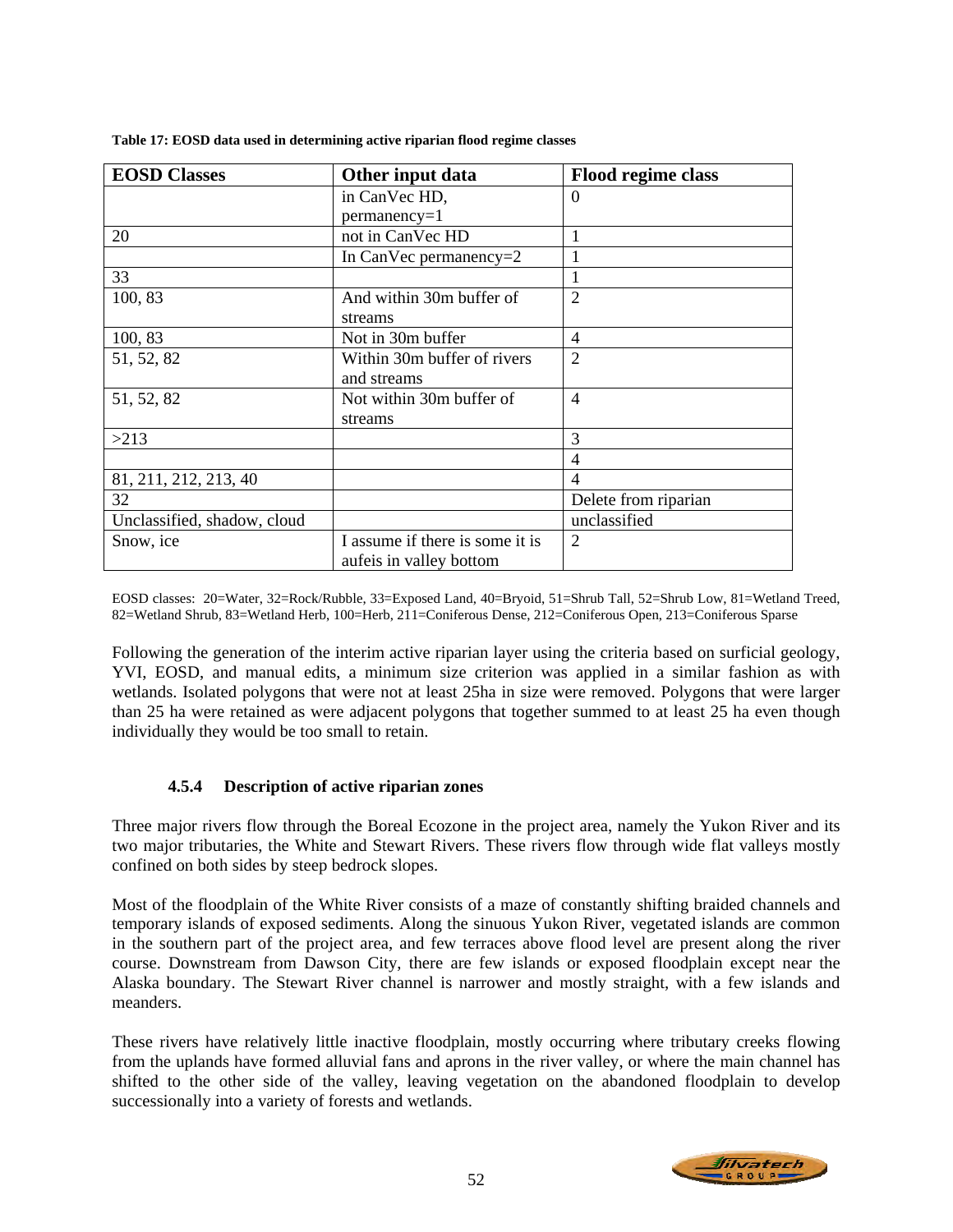| <b>EOSD Classes</b>         | Other input data                | <b>Flood regime class</b> |
|-----------------------------|---------------------------------|---------------------------|
|                             | in CanVec HD,                   | $\theta$                  |
|                             | $permanency=1$                  |                           |
| 20                          | not in CanVec HD                | 1                         |
|                             | In CanVec permanency= $2$       |                           |
| 33                          |                                 |                           |
| 100, 83                     | And within 30m buffer of        | $\overline{2}$            |
|                             | streams                         |                           |
| 100, 83                     | Not in 30m buffer               | $\overline{4}$            |
| 51, 52, 82                  | Within 30m buffer of rivers     | $\overline{2}$            |
|                             | and streams                     |                           |
| 51, 52, 82                  | Not within 30m buffer of        | $\overline{4}$            |
|                             | streams                         |                           |
| >213                        |                                 | 3                         |
|                             |                                 | $\overline{4}$            |
| 81, 211, 212, 213, 40       |                                 | $\overline{4}$            |
| 32                          |                                 | Delete from riparian      |
| Unclassified, shadow, cloud |                                 | unclassified              |
| Snow, ice                   | I assume if there is some it is | $\overline{2}$            |
|                             | aufeis in valley bottom         |                           |

**Table 17: EOSD data used in determining active riparian flood regime classes** 

EOSD classes: 20=Water, 32=Rock/Rubble, 33=Exposed Land, 40=Bryoid, 51=Shrub Tall, 52=Shrub Low, 81=Wetland Treed, 82=Wetland Shrub, 83=Wetland Herb, 100=Herb, 211=Coniferous Dense, 212=Coniferous Open, 213=Coniferous Sparse

Following the generation of the interim active riparian layer using the criteria based on surficial geology, YVI, EOSD, and manual edits, a minimum size criterion was applied in a similar fashion as with wetlands. Isolated polygons that were not at least 25ha in size were removed. Polygons that were larger than 25 ha were retained as were adjacent polygons that together summed to at least 25 ha even though individually they would be too small to retain.

# **4.5.4 Description of active riparian zones**

Three major rivers flow through the Boreal Ecozone in the project area, namely the Yukon River and its two major tributaries, the White and Stewart Rivers. These rivers flow through wide flat valleys mostly confined on both sides by steep bedrock slopes.

Most of the floodplain of the White River consists of a maze of constantly shifting braided channels and temporary islands of exposed sediments. Along the sinuous Yukon River, vegetated islands are common in the southern part of the project area, and few terraces above flood level are present along the river course. Downstream from Dawson City, there are few islands or exposed floodplain except near the Alaska boundary. The Stewart River channel is narrower and mostly straight, with a few islands and meanders.

These rivers have relatively little inactive floodplain, mostly occurring where tributary creeks flowing from the uplands have formed alluvial fans and aprons in the river valley, or where the main channel has shifted to the other side of the valley, leaving vegetation on the abandoned floodplain to develop successionally into a variety of forests and wetlands.

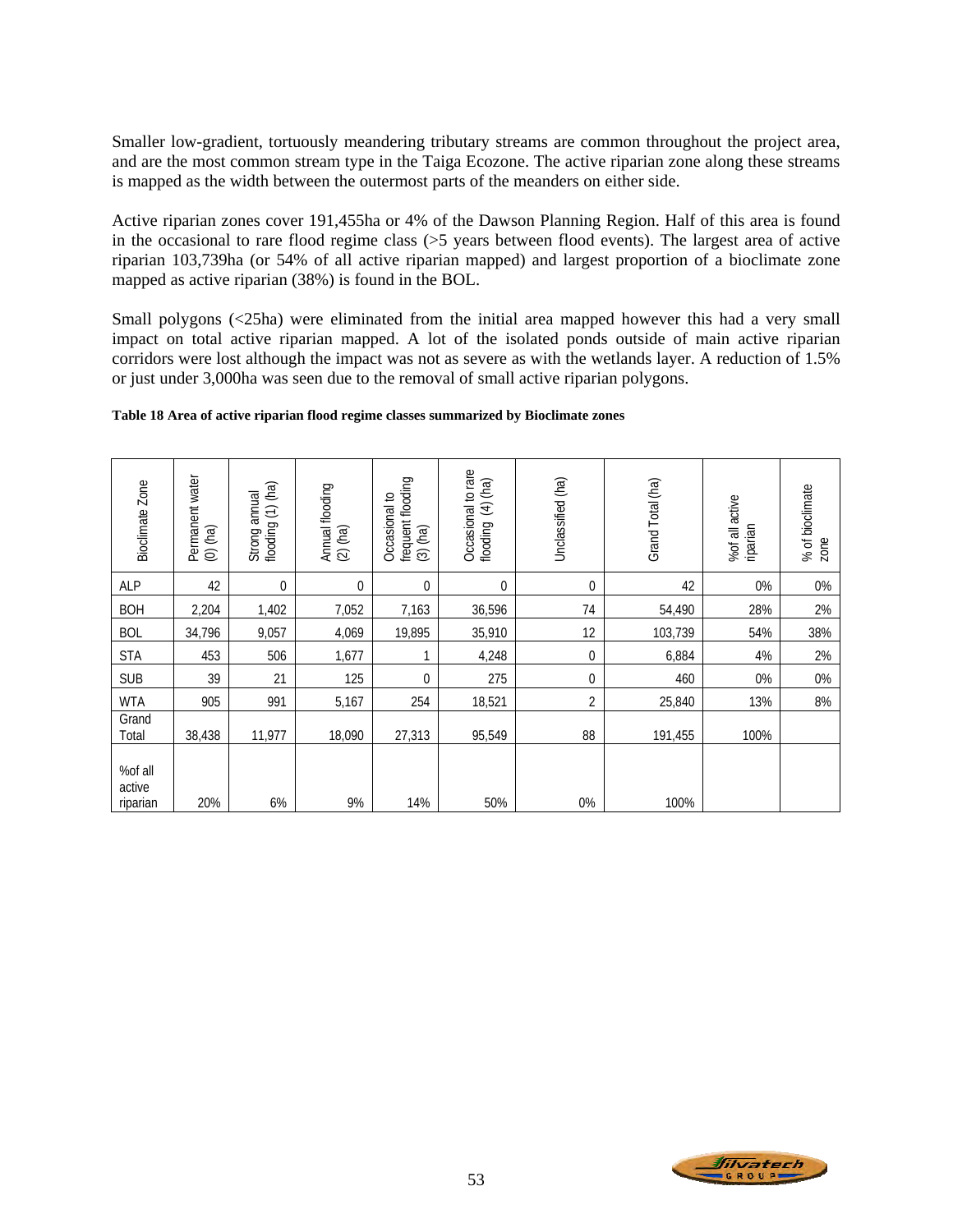Smaller low-gradient, tortuously meandering tributary streams are common throughout the project area, and are the most common stream type in the Taiga Ecozone. The active riparian zone along these streams is mapped as the width between the outermost parts of the meanders on either side.

Active riparian zones cover 191,455ha or 4% of the Dawson Planning Region. Half of this area is found in the occasional to rare flood regime class (>5 years between flood events). The largest area of active riparian 103,739ha (or 54% of all active riparian mapped) and largest proportion of a bioclimate zone mapped as active riparian (38%) is found in the BOL.

Small polygons (<25ha) were eliminated from the initial area mapped however this had a very small impact on total active riparian mapped. A lot of the isolated ponds outside of main active riparian corridors were lost although the impact was not as severe as with the wetlands layer. A reduction of 1.5% or just under 3,000ha was seen due to the removal of small active riparian polygons.

#### **Table 18 Area of active riparian flood regime classes summarized by Bioclimate zones**

| Bioclimate Zone               | Permanent water<br>$(0)$ $(ha)$ | flooding (1) (ha)<br>Strong annual | Annual flooding<br>(2) (ha) | frequent flooding<br>Occasional to<br>$(3)$ (ha) | Occasional to rare<br>$(4)$ (ha)<br>flooding | Unclassified (ha) | Grand Total (ha) | %of all active<br>riparian | % of bioclimate<br>zone |
|-------------------------------|---------------------------------|------------------------------------|-----------------------------|--------------------------------------------------|----------------------------------------------|-------------------|------------------|----------------------------|-------------------------|
| ALP                           | 42                              | $\overline{0}$                     | 0                           | $\mathbf 0$                                      | $\overline{0}$                               | $\overline{0}$    | 42               | 0%                         | 0%                      |
| <b>BOH</b>                    | 2,204                           | 1,402                              | 7,052                       | 7,163                                            | 36,596                                       | 74                | 54,490           | 28%                        | 2%                      |
| <b>BOL</b>                    | 34,796                          | 9,057                              | 4,069                       | 19,895                                           | 35,910                                       | 12                | 103,739          | 54%                        | 38%                     |
| <b>STA</b>                    | 453                             | 506                                | 1,677                       | 1                                                | 4,248                                        | $\theta$          | 6,884            | 4%                         | 2%                      |
| <b>SUB</b>                    | 39                              | 21                                 | 125                         | 0                                                | 275                                          | $\overline{0}$    | 460              | 0%                         | 0%                      |
| <b>WTA</b>                    | 905                             | 991                                | 5,167                       | 254                                              | 18,521                                       | $\overline{2}$    | 25,840           | 13%                        | 8%                      |
| Grand<br>Total                | 38,438                          | 11,977                             | 18,090                      | 27,313                                           | 95,549                                       | 88                | 191,455          | 100%                       |                         |
| %of all<br>active<br>riparian | 20%                             | 6%                                 | 9%                          | 14%                                              | 50%                                          | 0%                | 100%             |                            |                         |

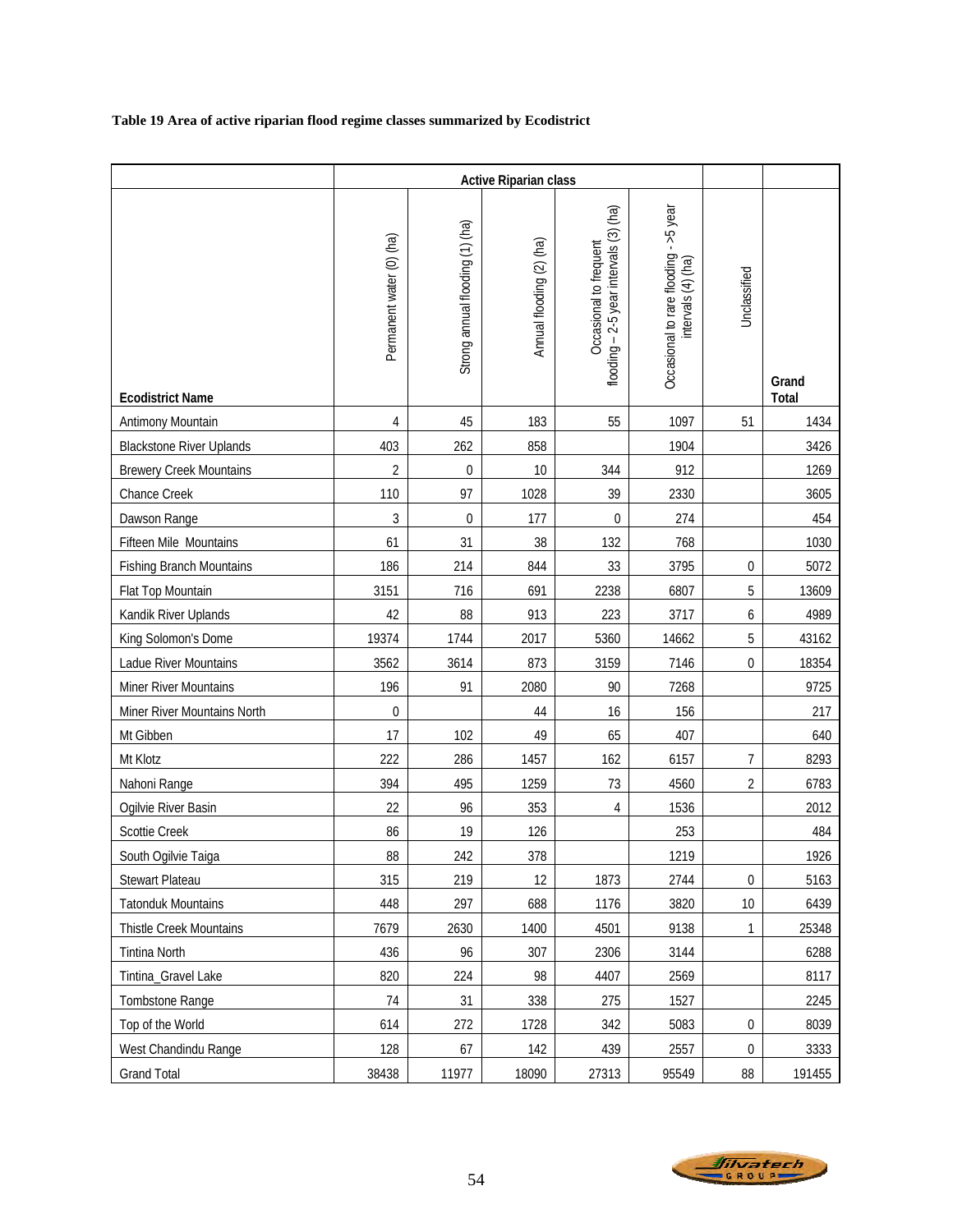# **Table 19 Area of active riparian flood regime classes summarized by Ecodistrict**

|                                 |                          | <b>Active Riparian class</b>    |                          |                                                                  |                                                             |                  |                |
|---------------------------------|--------------------------|---------------------------------|--------------------------|------------------------------------------------------------------|-------------------------------------------------------------|------------------|----------------|
| <b>Ecodistrict Name</b>         | Permanent water (0) (ha) | Strong annual flooding (1) (ha) | Annual flooding (2) (ha) | flooding - 2-5 year intervals (3) (ha)<br>Occasional to frequent | Occasional to rare flooding - >5 year<br>intervals (4) (ha) | Unclassified     | Grand<br>Total |
| Antimony Mountain               | 4                        | 45                              | 183                      | 55                                                               | 1097                                                        | 51               | 1434           |
| <b>Blackstone River Uplands</b> | 403                      | 262                             | 858                      |                                                                  | 1904                                                        |                  | 3426           |
| <b>Brewery Creek Mountains</b>  | $\overline{2}$           | $\boldsymbol{0}$                | 10                       | 344                                                              | 912                                                         |                  | 1269           |
| Chance Creek                    | 110                      | 97                              | 1028                     | 39                                                               | 2330                                                        |                  | 3605           |
| Dawson Range                    | 3                        | $\pmb{0}$                       | 177                      | $\mathbf 0$                                                      | 274                                                         |                  | 454            |
| Fifteen Mile Mountains          | 61                       | 31                              | 38                       | 132                                                              | 768                                                         |                  | 1030           |
| <b>Fishing Branch Mountains</b> | 186                      | 214                             | 844                      | 33                                                               | 3795                                                        | $\pmb{0}$        | 5072           |
| Flat Top Mountain               | 3151                     | 716                             | 691                      | 2238                                                             | 6807                                                        | 5                | 13609          |
| Kandik River Uplands            | 42                       | 88                              | 913                      | 223                                                              | 3717                                                        | 6                | 4989           |
| King Solomon's Dome             | 19374                    | 1744                            | 2017                     | 5360                                                             | 14662                                                       | 5                | 43162          |
| Ladue River Mountains           | 3562                     | 3614                            | 873                      | 3159                                                             | 7146                                                        | $\overline{0}$   | 18354          |
| Miner River Mountains           | 196                      | 91                              | 2080                     | 90                                                               | 7268                                                        |                  | 9725           |
| Miner River Mountains North     | $\boldsymbol{0}$         |                                 | 44                       | 16                                                               | 156                                                         |                  | 217            |
| Mt Gibben                       | 17                       | 102                             | 49                       | 65                                                               | 407                                                         |                  | 640            |
| Mt Klotz                        | 222                      | 286                             | 1457                     | 162                                                              | 6157                                                        | 7                | 8293           |
| Nahoni Range                    | 394                      | 495                             | 1259                     | 73                                                               | 4560                                                        | 2                | 6783           |
| Ogilvie River Basin             | 22                       | 96                              | 353                      | 4                                                                | 1536                                                        |                  | 2012           |
| Scottie Creek                   | 86                       | 19                              | 126                      |                                                                  | 253                                                         |                  | 484            |
| South Ogilvie Taiga             | 88                       | 242                             | 378                      |                                                                  | 1219                                                        |                  | 1926           |
| Stewart Plateau                 | 315                      | 219                             | 12                       | 1873                                                             | 2744                                                        | $\boldsymbol{0}$ | 5163           |
| <b>Tatonduk Mountains</b>       | 448                      | 297                             | 688                      | 1176                                                             | 3820                                                        | 10               | 6439           |
| Thistle Creek Mountains         | 7679                     | 2630                            | 1400                     | 4501                                                             | 9138                                                        | 1                | 25348          |
| Tintina North                   | 436                      | 96                              | 307                      | 2306                                                             | 3144                                                        |                  | 6288           |
| Tintina_Gravel Lake             | 820                      | 224                             | 98                       | 4407                                                             | 2569                                                        |                  | 8117           |
| Tombstone Range                 | 74                       | 31                              | 338                      | 275                                                              | 1527                                                        |                  | 2245           |
| Top of the World                | 614                      | 272                             | 1728                     | 342                                                              | 5083                                                        | $\pmb{0}$        | 8039           |
| West Chandindu Range            | 128                      | 67                              | 142                      | 439                                                              | 2557                                                        | $\boldsymbol{0}$ | 3333           |
| <b>Grand Total</b>              | 38438                    | 11977                           | 18090                    | 27313                                                            | 95549                                                       | 88               | 191455         |

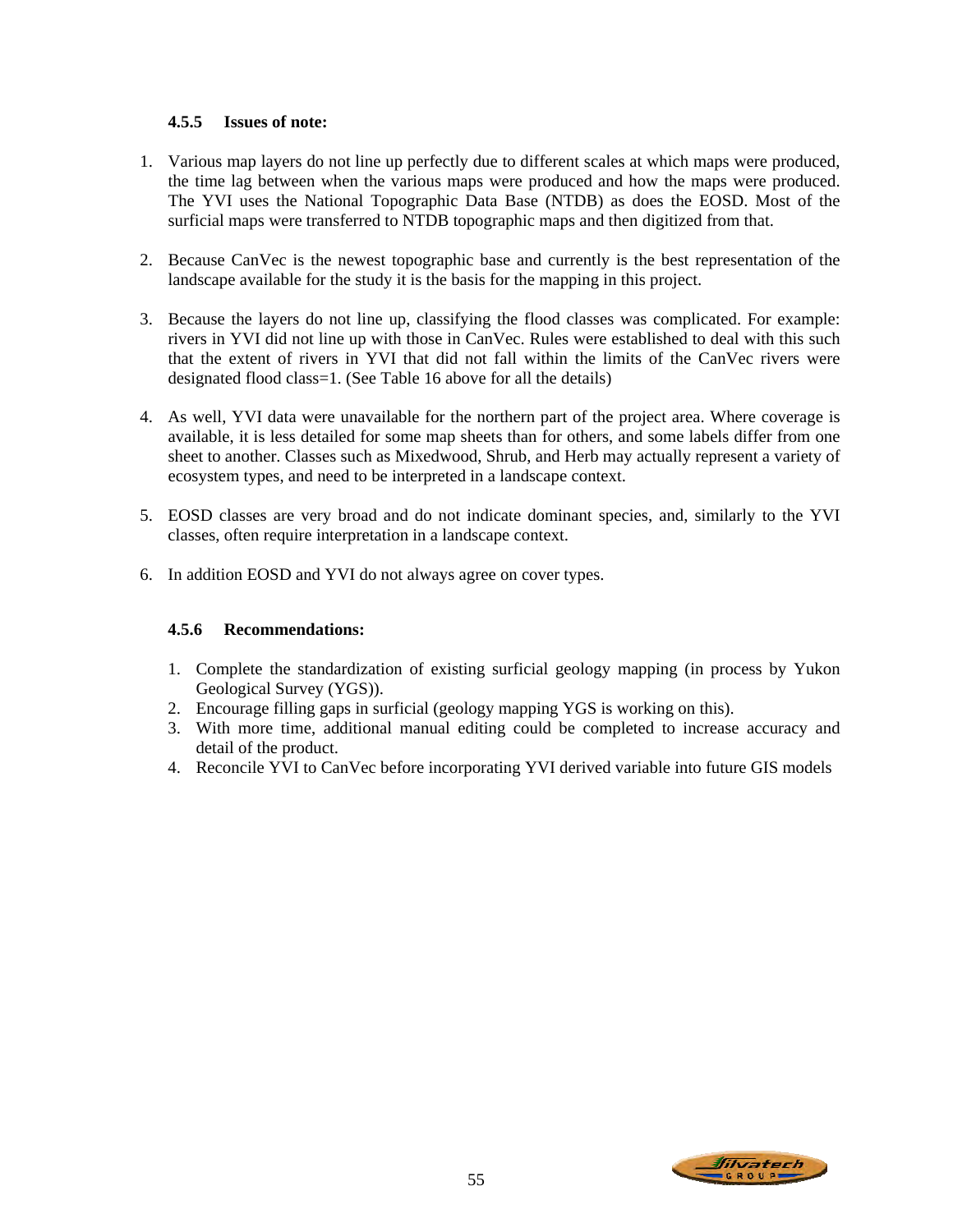### **4.5.5 Issues of note:**

- 1. Various map layers do not line up perfectly due to different scales at which maps were produced, the time lag between when the various maps were produced and how the maps were produced. The YVI uses the National Topographic Data Base (NTDB) as does the EOSD. Most of the surficial maps were transferred to NTDB topographic maps and then digitized from that.
- 2. Because CanVec is the newest topographic base and currently is the best representation of the landscape available for the study it is the basis for the mapping in this project.
- 3. Because the layers do not line up, classifying the flood classes was complicated. For example: rivers in YVI did not line up with those in CanVec. Rules were established to deal with this such that the extent of rivers in YVI that did not fall within the limits of the CanVec rivers were designated flood class=1. (See Table 16 above for all the details)
- 4. As well, YVI data were unavailable for the northern part of the project area. Where coverage is available, it is less detailed for some map sheets than for others, and some labels differ from one sheet to another. Classes such as Mixedwood, Shrub, and Herb may actually represent a variety of ecosystem types, and need to be interpreted in a landscape context.
- 5. EOSD classes are very broad and do not indicate dominant species, and, similarly to the YVI classes, often require interpretation in a landscape context.
- 6. In addition EOSD and YVI do not always agree on cover types.

# **4.5.6 Recommendations:**

- 1. Complete the standardization of existing surficial geology mapping (in process by Yukon Geological Survey (YGS)).
- 2. Encourage filling gaps in surficial (geology mapping YGS is working on this).
- 3. With more time, additional manual editing could be completed to increase accuracy and detail of the product.
- 4. Reconcile YVI to CanVec before incorporating YVI derived variable into future GIS models

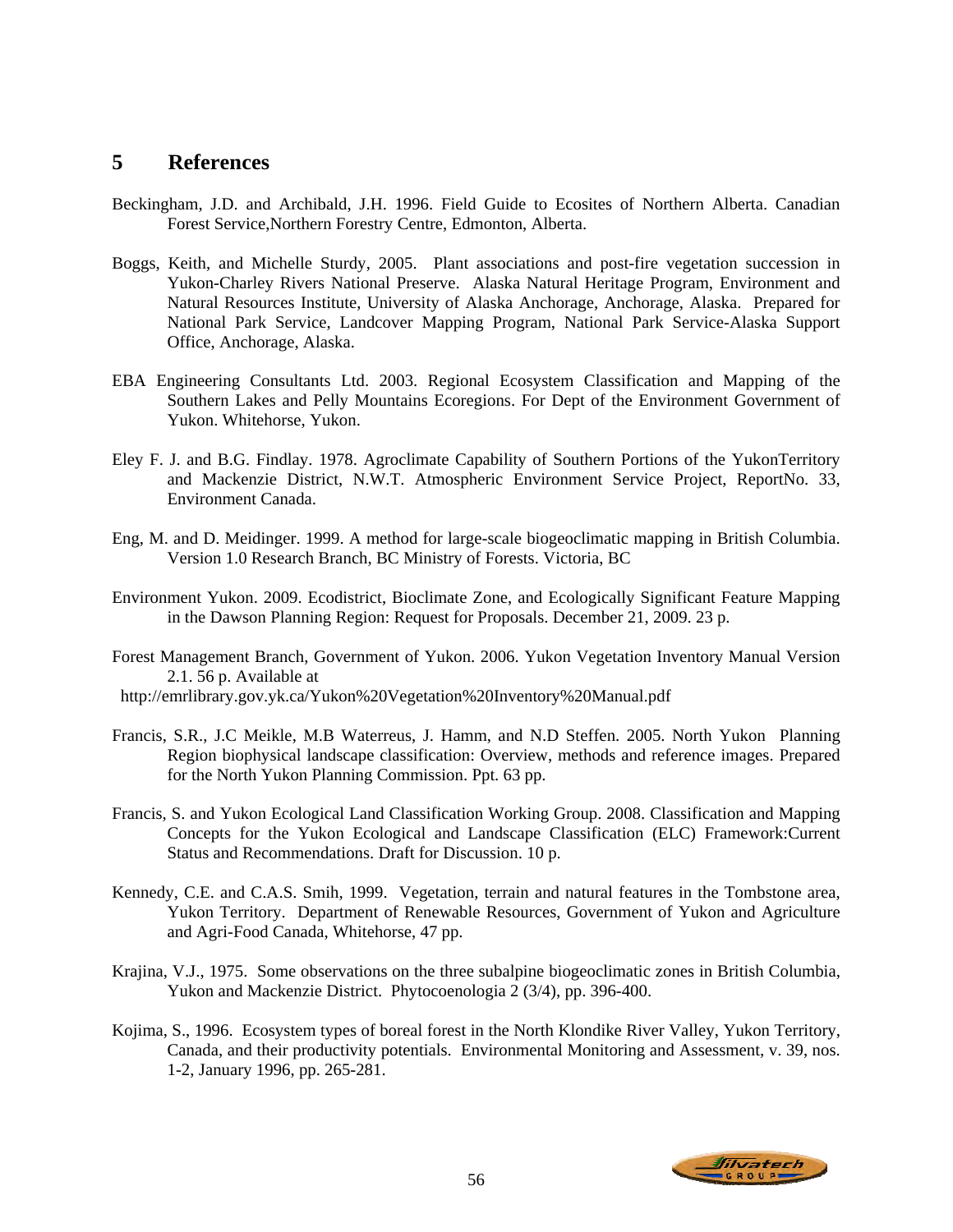# **5 References**

- Beckingham, J.D. and Archibald, J.H. 1996. Field Guide to Ecosites of Northern Alberta. Canadian Forest Service,Northern Forestry Centre, Edmonton, Alberta.
- Boggs, Keith, and Michelle Sturdy, 2005. Plant associations and post-fire vegetation succession in Yukon-Charley Rivers National Preserve. Alaska Natural Heritage Program, Environment and Natural Resources Institute, University of Alaska Anchorage, Anchorage, Alaska. Prepared for National Park Service, Landcover Mapping Program, National Park Service-Alaska Support Office, Anchorage, Alaska.
- EBA Engineering Consultants Ltd. 2003. Regional Ecosystem Classification and Mapping of the Southern Lakes and Pelly Mountains Ecoregions. For Dept of the Environment Government of Yukon. Whitehorse, Yukon.
- Eley F. J. and B.G. Findlay. 1978. Agroclimate Capability of Southern Portions of the YukonTerritory and Mackenzie District, N.W.T. Atmospheric Environment Service Project, ReportNo. 33, Environment Canada.
- Eng, M. and D. Meidinger. 1999. A method for large-scale biogeoclimatic mapping in British Columbia. Version 1.0 Research Branch, BC Ministry of Forests. Victoria, BC
- Environment Yukon. 2009. Ecodistrict, Bioclimate Zone, and Ecologically Significant Feature Mapping in the Dawson Planning Region: Request for Proposals. December 21, 2009. 23 p.
- Forest Management Branch, Government of Yukon. 2006. Yukon Vegetation Inventory Manual Version 2.1. 56 p. Available at

http://emrlibrary.gov.yk.ca/Yukon%20Vegetation%20Inventory%20Manual.pdf

- Francis, S.R., J.C Meikle, M.B Waterreus, J. Hamm, and N.D Steffen. 2005. North Yukon Planning Region biophysical landscape classification: Overview, methods and reference images. Prepared for the North Yukon Planning Commission. Ppt. 63 pp.
- Francis, S. and Yukon Ecological Land Classification Working Group. 2008. Classification and Mapping Concepts for the Yukon Ecological and Landscape Classification (ELC) Framework:Current Status and Recommendations. Draft for Discussion. 10 p.
- Kennedy, C.E. and C.A.S. Smih, 1999. Vegetation, terrain and natural features in the Tombstone area, Yukon Territory. Department of Renewable Resources, Government of Yukon and Agriculture and Agri-Food Canada, Whitehorse, 47 pp.
- Krajina, V.J., 1975. Some observations on the three subalpine biogeoclimatic zones in British Columbia, Yukon and Mackenzie District. Phytocoenologia 2 (3/4), pp. 396-400.
- Kojima, S., 1996. Ecosystem types of boreal forest in the North Klondike River Valley, Yukon Territory, Canada, and their productivity potentials. Environmental Monitoring and Assessment, v. 39, nos. 1-2, January 1996, pp. 265-281.

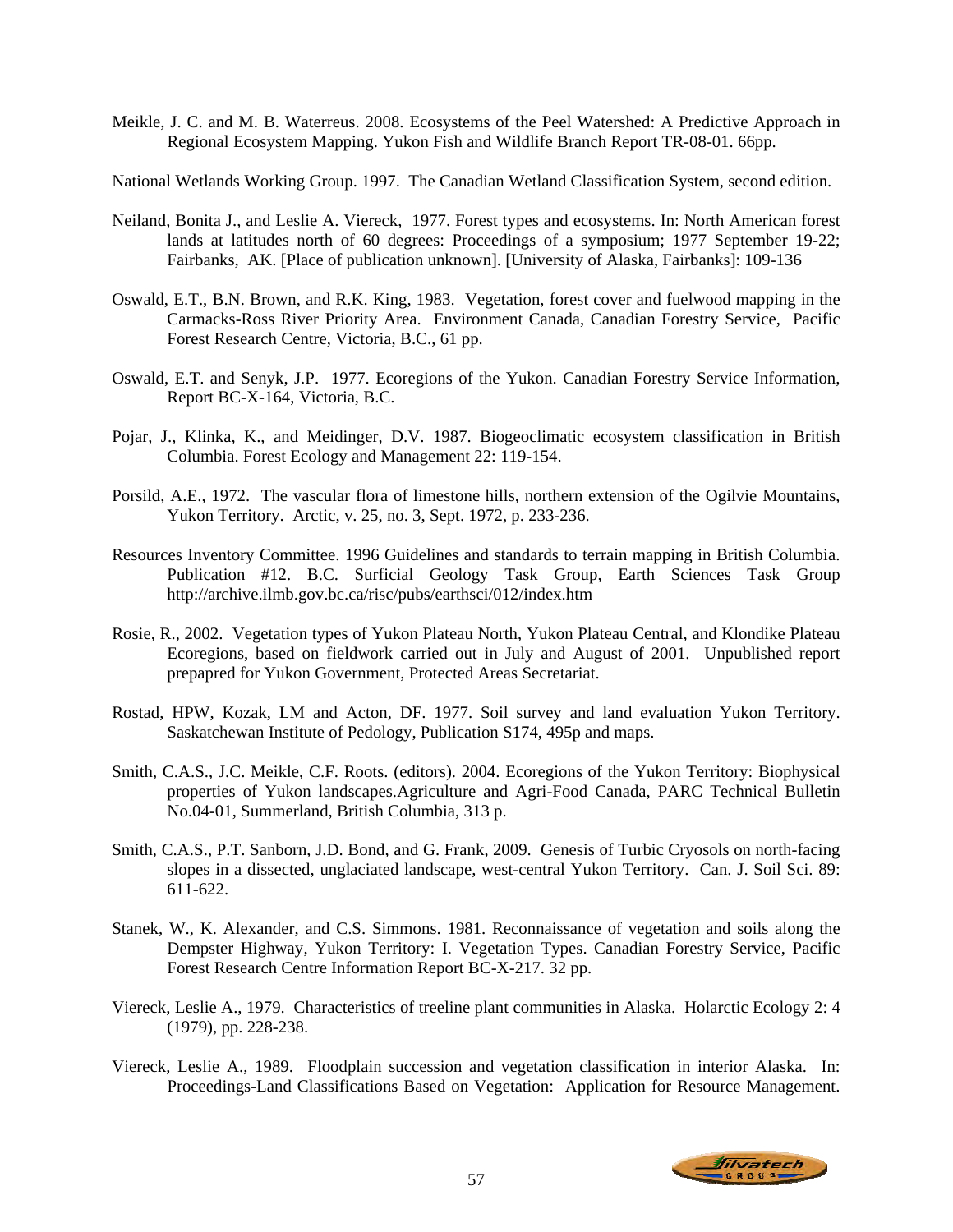Meikle, J. C. and M. B. Waterreus. 2008. Ecosystems of the Peel Watershed: A Predictive Approach in Regional Ecosystem Mapping. Yukon Fish and Wildlife Branch Report TR-08-01. 66pp.

National Wetlands Working Group. 1997. The Canadian Wetland Classification System, second edition.

- Neiland, Bonita J., and Leslie A. Viereck, 1977. Forest types and ecosystems. In: North American forest lands at latitudes north of 60 degrees: Proceedings of a symposium; 1977 September 19-22; Fairbanks, AK. [Place of publication unknown]. [University of Alaska, Fairbanks]: 109-136
- Oswald, E.T., B.N. Brown, and R.K. King, 1983. Vegetation, forest cover and fuelwood mapping in the Carmacks-Ross River Priority Area. Environment Canada, Canadian Forestry Service, Pacific Forest Research Centre, Victoria, B.C., 61 pp.
- Oswald, E.T. and Senyk, J.P. 1977. Ecoregions of the Yukon. Canadian Forestry Service Information, Report BC-X-164, Victoria, B.C.
- Pojar, J., Klinka, K., and Meidinger, D.V. 1987. Biogeoclimatic ecosystem classification in British Columbia. Forest Ecology and Management 22: 119-154.
- Porsild, A.E., 1972. The vascular flora of limestone hills, northern extension of the Ogilvie Mountains, Yukon Territory. Arctic, v. 25, no. 3, Sept. 1972, p. 233-236.
- Resources Inventory Committee. 1996 Guidelines and standards to terrain mapping in British Columbia. Publication #12. B.C. Surficial Geology Task Group, Earth Sciences Task Group http://archive.ilmb.gov.bc.ca/risc/pubs/earthsci/012/index.htm
- Rosie, R., 2002. Vegetation types of Yukon Plateau North, Yukon Plateau Central, and Klondike Plateau Ecoregions, based on fieldwork carried out in July and August of 2001. Unpublished report prepapred for Yukon Government, Protected Areas Secretariat.
- Rostad, HPW, Kozak, LM and Acton, DF. 1977. Soil survey and land evaluation Yukon Territory. Saskatchewan Institute of Pedology, Publication S174, 495p and maps.
- Smith, C.A.S., J.C. Meikle, C.F. Roots. (editors). 2004. Ecoregions of the Yukon Territory: Biophysical properties of Yukon landscapes.Agriculture and Agri-Food Canada, PARC Technical Bulletin No.04-01, Summerland, British Columbia, 313 p.
- Smith, C.A.S., P.T. Sanborn, J.D. Bond, and G. Frank, 2009. Genesis of Turbic Cryosols on north-facing slopes in a dissected, unglaciated landscape, west-central Yukon Territory. Can. J. Soil Sci. 89: 611-622.
- Stanek, W., K. Alexander, and C.S. Simmons. 1981. Reconnaissance of vegetation and soils along the Dempster Highway, Yukon Territory: I. Vegetation Types. Canadian Forestry Service, Pacific Forest Research Centre Information Report BC-X-217. 32 pp.
- Viereck, Leslie A., 1979. Characteristics of treeline plant communities in Alaska. Holarctic Ecology 2: 4 (1979), pp. 228-238.
- Viereck, Leslie A., 1989. Floodplain succession and vegetation classification in interior Alaska. In: Proceedings-Land Classifications Based on Vegetation: Application for Resource Management.